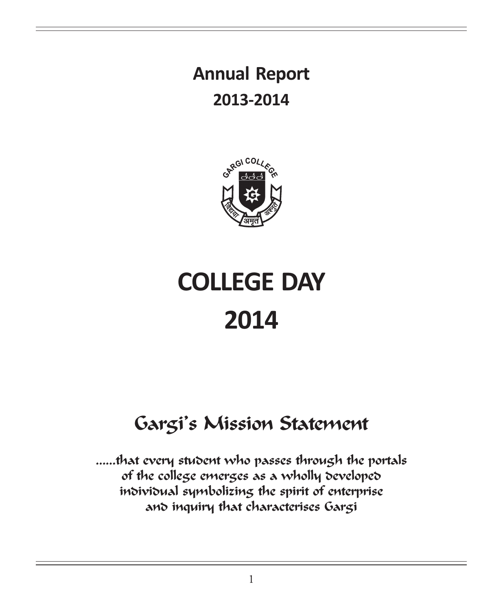# Annual Report 2013-2014



# COLLEGE DAY 2014

# Gargi's Mission Statement

……that every student who passes through the portals of the college emerges as a wholly developed individual symbolizing the spirit of enterprise and inquiry that characterises Gargi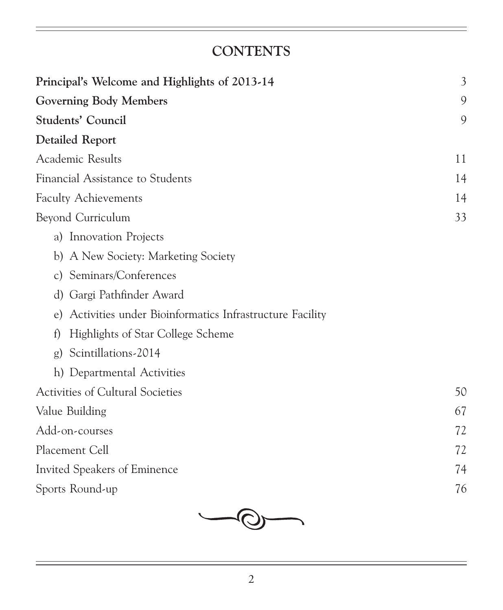## **CONTENTS**

| Principal's Welcome and Highlights of 2013-14                 | $\mathfrak{Z}$ |
|---------------------------------------------------------------|----------------|
| <b>Governing Body Members</b>                                 | 9              |
| Students' Council                                             | 9              |
| <b>Detailed Report</b>                                        |                |
| Academic Results                                              | 11             |
| Financial Assistance to Students                              | 14             |
| <b>Faculty Achievements</b>                                   | 14             |
| Beyond Curriculum                                             | 33             |
| a) Innovation Projects                                        |                |
| b) A New Society: Marketing Society                           |                |
| c) Seminars/Conferences                                       |                |
| d) Gargi Pathfinder Award                                     |                |
| Activities under Bioinformatics Infrastructure Facility<br>e) |                |
| Highlights of Star College Scheme<br>f                        |                |
| Scintillations-2014<br>g)                                     |                |
| h) Departmental Activities                                    |                |
| Activities of Cultural Societies                              | 50             |
| Value Building                                                | 67             |
| Add-on-courses                                                | 72             |
| Placement Cell                                                | 72             |
| Invited Speakers of Eminence                                  | 74             |
| Sports Round-up                                               | 76             |

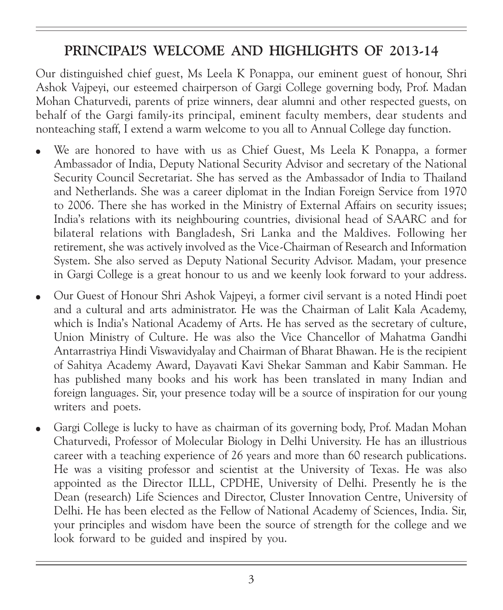## PRINCIPAL'S WELCOME AND HIGHLIGHTS OF 2013-14

Our distinguished chief guest, Ms Leela K Ponappa, our eminent guest of honour, Shri Ashok Vajpeyi, our esteemed chairperson of Gargi College governing body, Prof. Madan Mohan Chaturvedi, parents of prize winners, dear alumni and other respected guests, on behalf of the Gargi family-its principal, eminent faculty members, dear students and nonteaching staff, I extend a warm welcome to you all to Annual College day function.

- We are honored to have with us as Chief Guest, Ms Leela K Ponappa, a former Ambassador of India, Deputy National Security Advisor and secretary of the National Security Council Secretariat. She has served as the Ambassador of India to Thailand and Netherlands. She was a career diplomat in the Indian Foreign Service from 1970 to 2006. There she has worked in the Ministry of External Affairs on security issues; India's relations with its neighbouring countries, divisional head of SAARC and for bilateral relations with Bangladesh, Sri Lanka and the Maldives. Following her retirement, she was actively involved as the Vice-Chairman of Research and Information System. She also served as Deputy National Security Advisor. Madam, your presence in Gargi College is a great honour to us and we keenly look forward to your address.
- <sup>l</sup> Our Guest of Honour Shri Ashok Vajpeyi, a former civil servant is a noted Hindi poet and a cultural and arts administrator. He was the Chairman of Lalit Kala Academy, which is India's National Academy of Arts. He has served as the secretary of culture, Union Ministry of Culture. He was also the Vice Chancellor of Mahatma Gandhi Antarrastriya Hindi Viswavidyalay and Chairman of Bharat Bhawan. He is the recipient of Sahitya Academy Award, Dayavati Kavi Shekar Samman and Kabir Samman. He has published many books and his work has been translated in many Indian and foreign languages. Sir, your presence today will be a source of inspiration for our young writers and poets.
- <sup>l</sup> Gargi College is lucky to have as chairman of its governing body, Prof. Madan Mohan Chaturvedi, Professor of Molecular Biology in Delhi University. He has an illustrious career with a teaching experience of 26 years and more than 60 research publications. He was a visiting professor and scientist at the University of Texas. He was also appointed as the Director ILLL, CPDHE, University of Delhi. Presently he is the Dean (research) Life Sciences and Director, Cluster Innovation Centre, University of Delhi. He has been elected as the Fellow of National Academy of Sciences, India. Sir, your principles and wisdom have been the source of strength for the college and we look forward to be guided and inspired by you.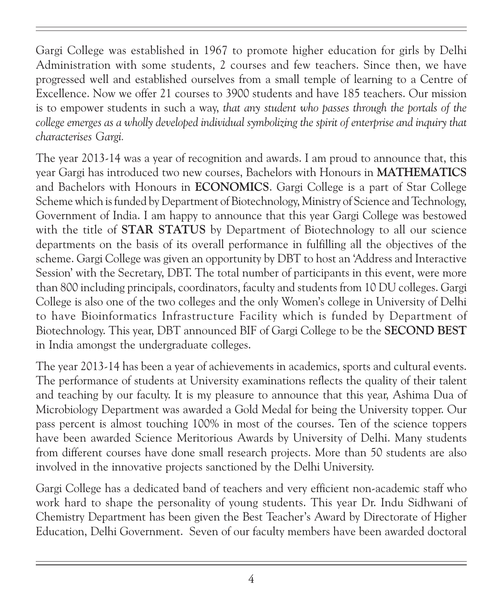Gargi College was established in 1967 to promote higher education for girls by Delhi Administration with some students, 2 courses and few teachers. Since then, we have progressed well and established ourselves from a small temple of learning to a Centre of Excellence. Now we offer 21 courses to 3900 students and have 185 teachers. Our mission is to empower students in such a way, that any student who passes through the portals of the college emerges as a wholly developed individual symbolizing the spirit of enterprise and inquiry that characterises Gargi.

The year 2013-14 was a year of recognition and awards. I am proud to announce that, this year Gargi has introduced two new courses, Bachelors with Honours in MATHEMATICS and Bachelors with Honours in ECONOMICS. Gargi College is a part of Star College Scheme which is funded by Department of Biotechnology, Ministry of Science and Technology, Government of India. I am happy to announce that this year Gargi College was bestowed with the title of **STAR STATUS** by Department of Biotechnology to all our science departments on the basis of its overall performance in fulfilling all the objectives of the scheme. Gargi College was given an opportunity by DBT to host an 'Address and Interactive Session' with the Secretary, DBT. The total number of participants in this event, were more than 800 including principals, coordinators, faculty and students from 10 DU colleges. Gargi College is also one of the two colleges and the only Women's college in University of Delhi to have Bioinformatics Infrastructure Facility which is funded by Department of Biotechnology. This year, DBT announced BIF of Gargi College to be the SECOND BEST in India amongst the undergraduate colleges.

The year 2013-14 has been a year of achievements in academics, sports and cultural events. The performance of students at University examinations reflects the quality of their talent and teaching by our faculty. It is my pleasure to announce that this year, Ashima Dua of Microbiology Department was awarded a Gold Medal for being the University topper. Our pass percent is almost touching 100% in most of the courses. Ten of the science toppers have been awarded Science Meritorious Awards by University of Delhi. Many students from different courses have done small research projects. More than 50 students are also involved in the innovative projects sanctioned by the Delhi University.

Gargi College has a dedicated band of teachers and very efficient non-academic staff who work hard to shape the personality of young students. This year Dr. Indu Sidhwani of Chemistry Department has been given the Best Teacher's Award by Directorate of Higher Education, Delhi Government. Seven of our faculty members have been awarded doctoral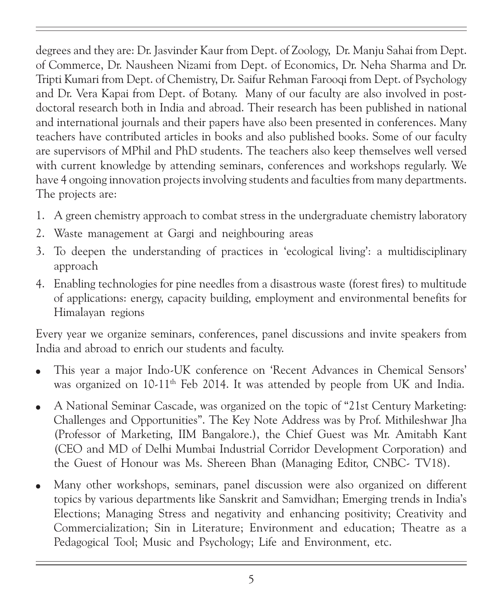degrees and they are: Dr. Jasvinder Kaur from Dept. of Zoology, Dr. Manju Sahai from Dept. of Commerce, Dr. Nausheen Nizami from Dept. of Economics, Dr. Neha Sharma and Dr. Tripti Kumari from Dept. of Chemistry, Dr. Saifur Rehman Farooqi from Dept. of Psychology and Dr. Vera Kapai from Dept. of Botany. Many of our faculty are also involved in postdoctoral research both in India and abroad. Their research has been published in national and international journals and their papers have also been presented in conferences. Many teachers have contributed articles in books and also published books. Some of our faculty are supervisors of MPhil and PhD students. The teachers also keep themselves well versed with current knowledge by attending seminars, conferences and workshops regularly. We have 4 ongoing innovation projects involving students and faculties from many departments. The projects are:

- 1. A green chemistry approach to combat stress in the undergraduate chemistry laboratory
- 2. Waste management at Gargi and neighbouring areas
- 3. To deepen the understanding of practices in 'ecological living': a multidisciplinary approach
- 4. Enabling technologies for pine needles from a disastrous waste (forest fires) to multitude of applications: energy, capacity building, employment and environmental benefits for Himalayan regions

Every year we organize seminars, conferences, panel discussions and invite speakers from India and abroad to enrich our students and faculty.

- This year a major Indo-UK conference on 'Recent Advances in Chemical Sensors' was organized on 10-11<sup>th</sup> Feb 2014. It was attended by people from UK and India.
- <sup>l</sup> A National Seminar Cascade, was organized on the topic of "21st Century Marketing: Challenges and Opportunities". The Key Note Address was by Prof. Mithileshwar Jha (Professor of Marketing, IIM Bangalore.), the Chief Guest was Mr. Amitabh Kant (CEO and MD of Delhi Mumbai Industrial Corridor Development Corporation) and the Guest of Honour was Ms. Shereen Bhan (Managing Editor, CNBC- TV18).
- Many other workshops, seminars, panel discussion were also organized on different topics by various departments like Sanskrit and Samvidhan; Emerging trends in India's Elections; Managing Stress and negativity and enhancing positivity; Creativity and Commercialization; Sin in Literature; Environment and education; Theatre as a Pedagogical Tool; Music and Psychology; Life and Environment, etc.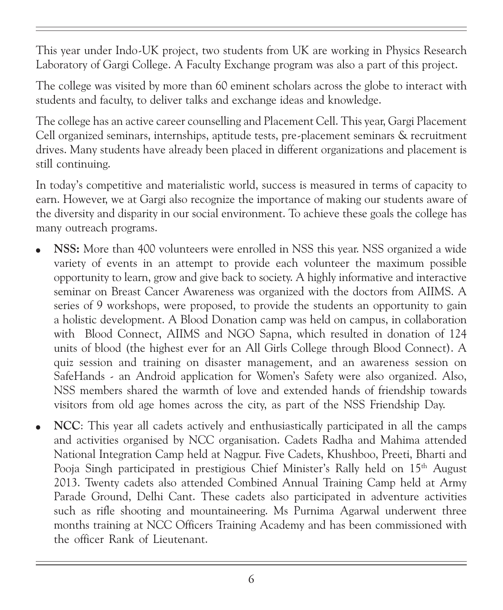This year under Indo-UK project, two students from UK are working in Physics Research Laboratory of Gargi College. A Faculty Exchange program was also a part of this project.

The college was visited by more than 60 eminent scholars across the globe to interact with students and faculty, to deliver talks and exchange ideas and knowledge.

The college has an active career counselling and Placement Cell. This year, Gargi Placement Cell organized seminars, internships, aptitude tests, pre-placement seminars & recruitment drives. Many students have already been placed in different organizations and placement is still continuing.

In today's competitive and materialistic world, success is measured in terms of capacity to earn. However, we at Gargi also recognize the importance of making our students aware of the diversity and disparity in our social environment. To achieve these goals the college has many outreach programs.

- **NSS:** More than 400 volunteers were enrolled in NSS this year. NSS organized a wide variety of events in an attempt to provide each volunteer the maximum possible opportunity to learn, grow and give back to society. A highly informative and interactive seminar on Breast Cancer Awareness was organized with the doctors from AIIMS. A series of 9 workshops, were proposed, to provide the students an opportunity to gain a holistic development. A Blood Donation camp was held on campus, in collaboration with Blood Connect, AIIMS and NGO Sapna, which resulted in donation of 124 units of blood (the highest ever for an All Girls College through Blood Connect). A quiz session and training on disaster management, and an awareness session on SafeHands - an Android application for Women's Safety were also organized. Also, NSS members shared the warmth of love and extended hands of friendship towards visitors from old age homes across the city, as part of the NSS Friendship Day.
- NCC: This year all cadets actively and enthusiastically participated in all the camps and activities organised by NCC organisation. Cadets Radha and Mahima attended National Integration Camp held at Nagpur. Five Cadets, Khushboo, Preeti, Bharti and Pooja Singh participated in prestigious Chief Minister's Rally held on 15<sup>th</sup> August 2013. Twenty cadets also attended Combined Annual Training Camp held at Army Parade Ground, Delhi Cant. These cadets also participated in adventure activities such as rifle shooting and mountaineering. Ms Purnima Agarwal underwent three months training at NCC Officers Training Academy and has been commissioned with the officer Rank of Lieutenant.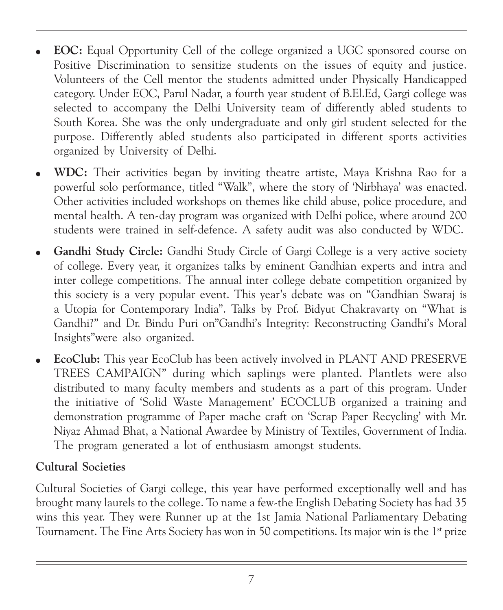- <sup>l</sup> EOC: Equal Opportunity Cell of the college organized a UGC sponsored course on Positive Discrimination to sensitize students on the issues of equity and justice. Volunteers of the Cell mentor the students admitted under Physically Handicapped category. Under EOC, Parul Nadar, a fourth year student of B.El.Ed, Gargi college was selected to accompany the Delhi University team of differently abled students to South Korea. She was the only undergraduate and only girl student selected for the purpose. Differently abled students also participated in different sports activities organized by University of Delhi.
- WDC: Their activities began by inviting theatre artiste, Maya Krishna Rao for a powerful solo performance, titled "Walk", where the story of 'Nirbhaya' was enacted. Other activities included workshops on themes like child abuse, police procedure, and mental health. A ten-day program was organized with Delhi police, where around 200 students were trained in self-defence. A safety audit was also conducted by WDC.
- Gandhi Study Circle: Gandhi Study Circle of Gargi College is a very active society of college. Every year, it organizes talks by eminent Gandhian experts and intra and inter college competitions. The annual inter college debate competition organized by this society is a very popular event. This year's debate was on "Gandhian Swaraj is a Utopia for Contemporary India". Talks by Prof. Bidyut Chakravarty on "What is Gandhi?" and Dr. Bindu Puri on"Gandhi's Integrity: Reconstructing Gandhi's Moral Insights"were also organized.
- EcoClub: This year EcoClub has been actively involved in PLANT AND PRESERVE TREES CAMPAIGN" during which saplings were planted. Plantlets were also distributed to many faculty members and students as a part of this program. Under the initiative of 'Solid Waste Management' ECOCLUB organized a training and demonstration programme of Paper mache craft on 'Scrap Paper Recycling' with Mr. Niyaz Ahmad Bhat, a National Awardee by Ministry of Textiles, Government of India. The program generated a lot of enthusiasm amongst students.

#### Cultural Societies

Cultural Societies of Gargi college, this year have performed exceptionally well and has brought many laurels to the college. To name a few-the English Debating Society has had 35 wins this year. They were Runner up at the 1st Jamia National Parliamentary Debating Tournament. The Fine Arts Society has won in 50 competitions. Its major win is the 1<sup>st</sup> prize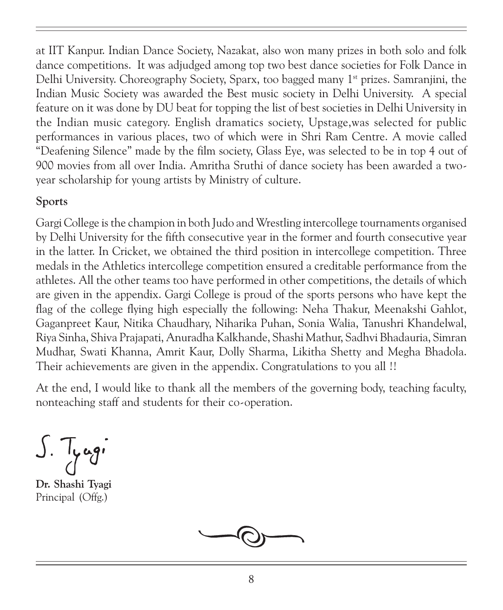at IIT Kanpur. Indian Dance Society, Nazakat, also won many prizes in both solo and folk dance competitions. It was adjudged among top two best dance societies for Folk Dance in Delhi University. Choreography Society, Sparx, too bagged many 1st prizes. Samranjini, the Indian Music Society was awarded the Best music society in Delhi University. A special feature on it was done by DU beat for topping the list of best societies in Delhi University in the Indian music category. English dramatics society, Upstage,was selected for public performances in various places, two of which were in Shri Ram Centre. A movie called "Deafening Silence" made by the film society, Glass Eye, was selected to be in top 4 out of 900 movies from all over India. Amritha Sruthi of dance society has been awarded a twoyear scholarship for young artists by Ministry of culture.

#### Sports

Gargi College is the champion in both Judo and Wrestling intercollege tournaments organised by Delhi University for the fifth consecutive year in the former and fourth consecutive year in the latter. In Cricket, we obtained the third position in intercollege competition. Three medals in the Athletics intercollege competition ensured a creditable performance from the athletes. All the other teams too have performed in other competitions, the details of which are given in the appendix. Gargi College is proud of the sports persons who have kept the flag of the college flying high especially the following: Neha Thakur, Meenakshi Gahlot, Gaganpreet Kaur, Nitika Chaudhary, Niharika Puhan, Sonia Walia, Tanushri Khandelwal, Riya Sinha, Shiva Prajapati, Anuradha Kalkhande, Shashi Mathur, Sadhvi Bhadauria, Simran Mudhar, Swati Khanna, Amrit Kaur, Dolly Sharma, Likitha Shetty and Megha Bhadola. Their achievements are given in the appendix. Congratulations to you all !!

At the end, I would like to thank all the members of the governing body, teaching faculty, nonteaching staff and students for their co-operation.

 $J.$  Tyagi

Dr. Shashi Tyagi Principal (Offg.)

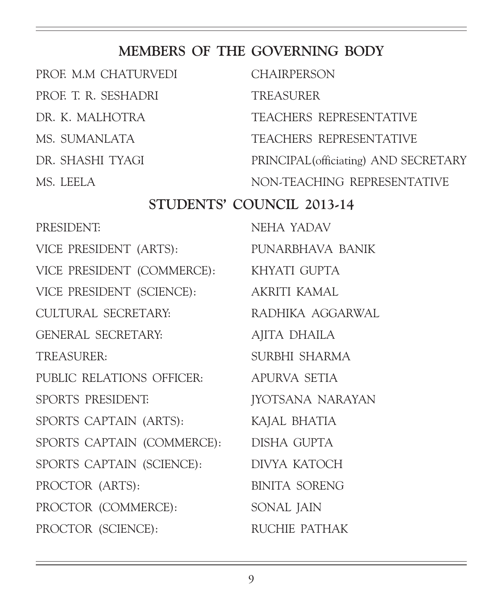## MEMBERS OF THE GOVERNING BODY

| PROF. M.M CHATURVEDI                    | <b>CHAIRPERSON</b>                    |  |
|-----------------------------------------|---------------------------------------|--|
| PROF. T. R. SESHADRI                    | <b>TREASURER</b>                      |  |
| DR. K. MALHOTRA                         | TEACHERS REPRESENTATIVE               |  |
| MS. SUMANLATA                           | TEACHERS REPRESENTATIVE               |  |
| DR. SHASHI TYAGI                        | PRINCIPAL (officiating) AND SECRETARY |  |
| MS. LEELA                               | NON-TEACHING REPRESENTATIVE           |  |
| STUDENTS' COUNCIL 2013-14               |                                       |  |
| PRESIDENT:                              | NEHA YADAV                            |  |
| VICE PRESIDENT (ARTS):                  | PUNARBHAVA BANIK                      |  |
| VICE PRESIDENT (COMMERCE): KHYATI GUPTA |                                       |  |
| VICE PRESIDENT (SCIENCE): AKRITI KAMAL  |                                       |  |
| CULTURAL SECRETARY:                     | RADHIKA AGGARWAL                      |  |
| GENERAL SECRETARY:                      | AJITA DHAILA                          |  |
| TREASURER:                              | SURBHI SHARMA                         |  |
| PUBLIC RELATIONS OFFICER: APURVA SETIA  |                                       |  |
| SPORTS PRESIDENT:                       | <b>JYOTSANA NARAYAN</b>               |  |
| SPORTS CAPTAIN (ARTS):                  | KAJAL BHATIA                          |  |
| SPORTS CAPTAIN (COMMERCE): DISHA GUPTA  |                                       |  |
| SPORTS CAPTAIN (SCIENCE): DIVYA KATOCH  |                                       |  |
| PROCTOR (ARTS):                         | <b>BINITA SORENG</b>                  |  |
| PROCTOR (COMMERCE):                     | SONAL JAIN                            |  |
| PROCTOR (SCIENCE):                      | RUCHIE PATHAK                         |  |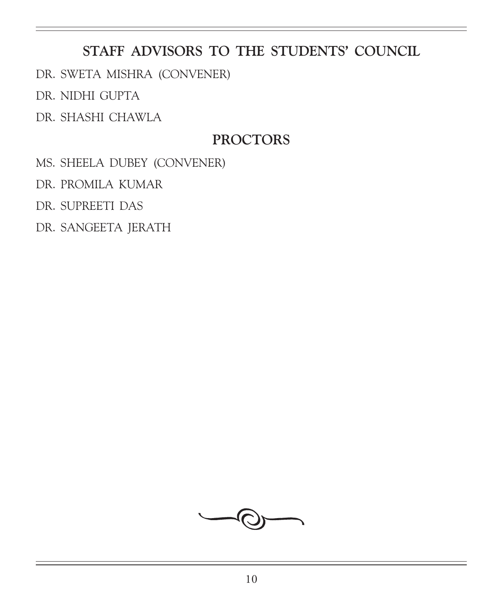## STAFF ADVISORS TO THE STUDENTS' COUNCIL

DR. SWETA MISHRA (CONVENER)

DR. NIDHI GUPTA

DR. SHASHI CHAWLA

## PROCTORS

MS. SHEELA DUBEY (CONVENER)

DR. PROMILA KUMAR

DR. SUPREETI DAS

DR. SANGEETA JERATH

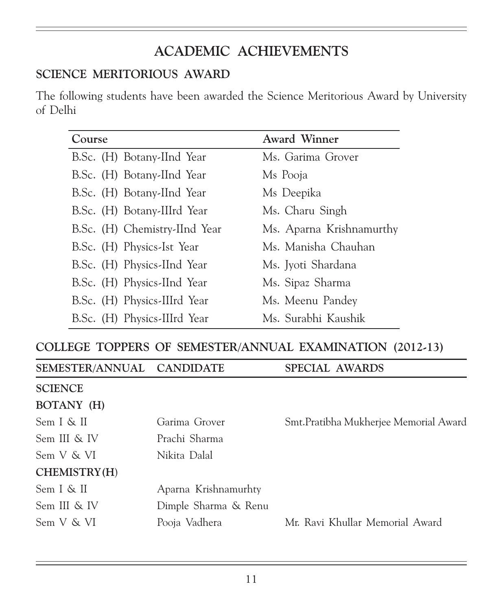## ACADEMIC ACHIEVEMENTS

#### SCIENCE MERITORIOUS AWARD

The following students have been awarded the Science Meritorious Award by University of Delhi

| Course                        | <b>Award Winner</b>      |
|-------------------------------|--------------------------|
| B.Sc. (H) Botany-IInd Year    | Ms. Garima Grover        |
| B.Sc. (H) Botany-IInd Year    | Ms Pooja                 |
| B.Sc. (H) Botany-IInd Year    | Ms Deepika               |
| B.Sc. (H) Botany-IIIrd Year   | Ms. Charu Singh          |
| B.Sc. (H) Chemistry-IInd Year | Ms. Aparna Krishnamurthy |
| B.Sc. (H) Physics-Ist Year    | Ms. Manisha Chauhan      |
| B.Sc. (H) Physics-IInd Year   | Ms. Jyoti Shardana       |
| B.Sc. (H) Physics-IInd Year   | Ms. Sipaz Sharma         |
| B.Sc. (H) Physics-IIIrd Year  | Ms. Meenu Pandey         |
| B.Sc. (H) Physics-IIIrd Year  | Ms. Surabhi Kaushik      |

#### COLLEGE TOPPERS OF SEMESTER/ANNUAL EXAMINATION (2012-13)

| SEMESTER/ANNUAL CANDIDATE |                      | SPECIAL AWARDS                         |
|---------------------------|----------------------|----------------------------------------|
| <b>SCIENCE</b>            |                      |                                        |
| BOTANY (H)                |                      |                                        |
| Sem I & II                | Garima Grover        | Smt. Pratibha Mukherjee Memorial Award |
| Sem III & IV              | Prachi Sharma        |                                        |
| Sem V & VI                | Nikita Dalal         |                                        |
| CHEMISTRY(H)              |                      |                                        |
| Sem I & II                | Aparna Krishnamurhty |                                        |
| Sem III & IV              | Dimple Sharma & Renu |                                        |
| Sem V & VI                | Pooja Vadhera        | Mr. Ravi Khullar Memorial Award        |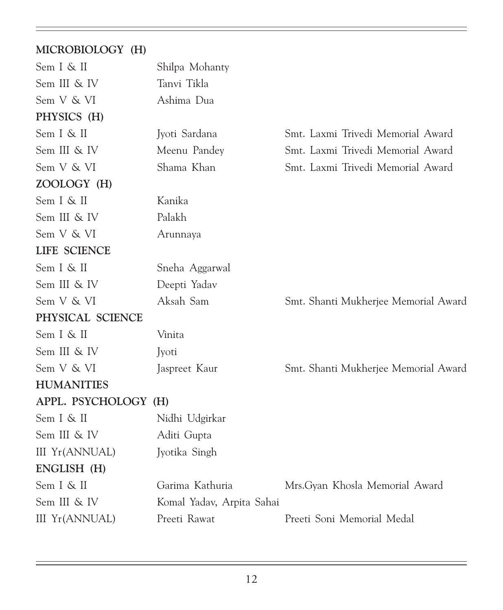#### MICROBIOLOGY (H)

| Sem I & II            | Shilpa Mohanty            |                                      |
|-----------------------|---------------------------|--------------------------------------|
| Sem III & IV          | Tanvi Tikla               |                                      |
| Sem V & VI            | Ashima Dua                |                                      |
| PHYSICS (H)           |                           |                                      |
| Sem I & II            | Jyoti Sardana             | Smt. Laxmi Trivedi Memorial Award    |
| Sem III & IV          | Meenu Pandey              | Smt. Laxmi Trivedi Memorial Award    |
| Sem V & VI            | Shama Khan                | Smt. Laxmi Trivedi Memorial Award    |
| ZOOLOGY (H)           |                           |                                      |
| Sem I & II            | Kanika                    |                                      |
| Sem III & IV          | Palakh                    |                                      |
| Sem V & VI            | Arunnaya                  |                                      |
| LIFE SCIENCE          |                           |                                      |
| Sem I & II            | Sneha Aggarwal            |                                      |
| Sem III & IV          | Deepti Yadav              |                                      |
| Sem V & VI            | Aksah Sam                 | Smt. Shanti Mukherjee Memorial Award |
| PHYSICAL SCIENCE      |                           |                                      |
| Sem I & II            | Vinita                    |                                      |
| Sem III & IV          | Jyoti                     |                                      |
| Sem V & VI            | Jaspreet Kaur             | Smt. Shanti Mukherjee Memorial Award |
| <b>HUMANITIES</b>     |                           |                                      |
| APPL. PSYCHOLOGY (H)  |                           |                                      |
| Sem I & II            | Nidhi Udgirkar            |                                      |
| Sem III & IV          | Aditi Gupta               |                                      |
| <b>III Yr(ANNUAL)</b> | Jyotika Singh             |                                      |
| ENGLISH (H)           |                           |                                      |
| Sem I & II            | Garima Kathuria           | Mrs. Gyan Khosla Memorial Award      |
| Sem III & IV          | Komal Yadav, Arpita Sahai |                                      |
| <b>III Yr(ANNUAL)</b> | Preeti Rawat              | Preeti Soni Memorial Medal           |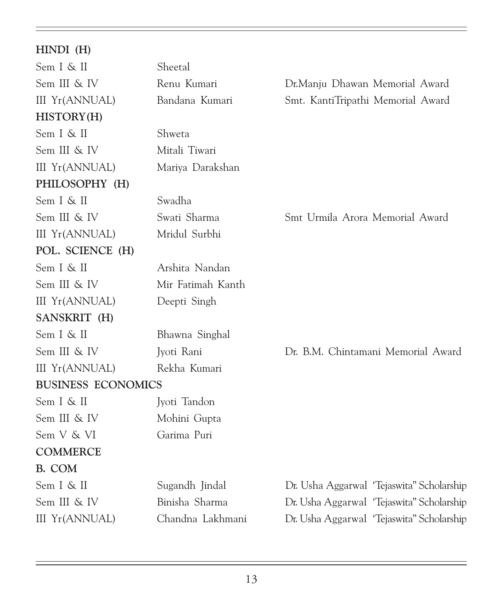| $HINDI$ (H)               |                   |                                            |
|---------------------------|-------------------|--------------------------------------------|
| Sem I & II                | Sheetal           |                                            |
| Sem III & IV              | Renu Kumari       | Dr.Manju Dhawan Memorial Award             |
| <b>III Yr(ANNUAL)</b>     | Bandana Kumari    | Smt. KantiTripathi Memorial Award          |
| HISTORY(H)                |                   |                                            |
| Sem I & II                | Shweta            |                                            |
| Sem III & IV              | Mitali Tiwari     |                                            |
| <b>III Yr(ANNUAL)</b>     | Mariya Darakshan  |                                            |
| PHILOSOPHY (H)            |                   |                                            |
| Sem I & II                | Swadha            |                                            |
| Sem III & IV              | Swati Sharma      | Smt Urmila Arora Memorial Award            |
| <b>III Yr(ANNUAL)</b>     | Mridul Surbhi     |                                            |
| POL. SCIENCE (H)          |                   |                                            |
| Sem I & II                | Arshita Nandan    |                                            |
| Sem III & IV              | Mir Fatimah Kanth |                                            |
| <b>III</b> Yr(ANNUAL)     | Deepti Singh      |                                            |
| SANSKRIT (H)              |                   |                                            |
| Sem I & II                | Bhawna Singhal    |                                            |
| Sem III & IV              | Jyoti Rani        | Dr. B.M. Chintamani Memorial Award         |
| <b>III Yr(ANNUAL)</b>     | Rekha Kumari      |                                            |
| <b>BUSINESS ECONOMICS</b> |                   |                                            |
| Sem I & II                | Jyoti Tandon      |                                            |
| Sem III & IV              | Mohini Gupta      |                                            |
| Sem V & VI                | Garima Puri       |                                            |
| <b>COMMERCE</b>           |                   |                                            |
| B. COM                    |                   |                                            |
| Sem I & II                | Sugandh Jindal    | Dr. Usha Aggarwal 'Tejaswita'' Scholarship |
| Sem III & IV              | Binisha Sharma    | Dr. Usha Aggarwal 'Tejaswita'' Scholarship |
| <b>III Yr(ANNUAL)</b>     | Chandna Lakhmani  | Dr. Usha Aggarwal 'Tejaswita'' Scholarship |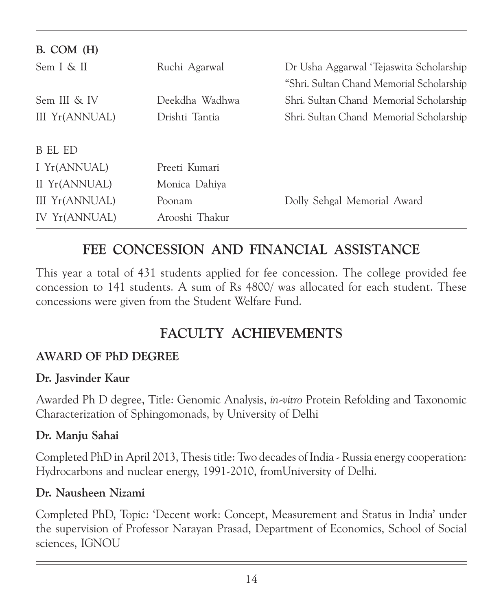| B. COM (H)     |                |                                          |
|----------------|----------------|------------------------------------------|
| Sem I & II     | Ruchi Agarwal  | Dr Usha Aggarwal 'Tejaswita Scholarship  |
|                |                | "Shri. Sultan Chand Memorial Scholarship |
| Sem III & IV   | Deekdha Wadhwa | Shri. Sultan Chand Memorial Scholarship  |
| III Yr(ANNUAL) | Drishti Tantia | Shri. Sultan Chand Memorial Scholarship  |
|                |                |                                          |
| B EL ED        |                |                                          |
| I Yr(ANNUAL)   | Preeti Kumari  |                                          |
| II Yr(ANNUAL)  | Monica Dahiya  |                                          |
| III Yr(ANNUAL) | Poonam         | Dolly Sehgal Memorial Award              |
| IV Yr(ANNUAL)  | Arooshi Thakur |                                          |

## FEE CONCESSION AND FINANCIAL ASSISTANCE

This year a total of 431 students applied for fee concession. The college provided fee concession to 141 students. A sum of Rs 4800/ was allocated for each student. These concessions were given from the Student Welfare Fund.

## FACULTY ACHIEVEMENTS

#### AWARD OF PhD DEGREE

#### Dr. Jasvinder Kaur

Awarded Ph D degree, Title: Genomic Analysis, in-vitro Protein Refolding and Taxonomic Characterization of Sphingomonads, by University of Delhi

#### Dr. Manju Sahai

Completed PhD in April 2013, Thesis title: Two decades of India - Russia energy cooperation: Hydrocarbons and nuclear energy, 1991-2010, fromUniversity of Delhi.

#### Dr. Nausheen Nizami

Completed PhD, Topic: 'Decent work: Concept, Measurement and Status in India' under the supervision of Professor Narayan Prasad, Department of Economics, School of Social sciences, IGNOU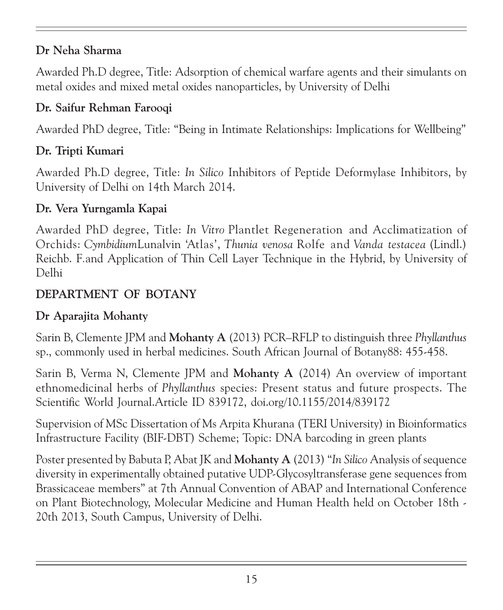#### Dr Neha Sharma

Awarded Ph.D degree, Title: Adsorption of chemical warfare agents and their simulants on metal oxides and mixed metal oxides nanoparticles, by University of Delhi

#### Dr. Saifur Rehman Farooqi

Awarded PhD degree, Title: "Being in Intimate Relationships: Implications for Wellbeing"

#### Dr. Tripti Kumari

Awarded Ph.D degree, Title: In Silico Inhibitors of Peptide Deformylase Inhibitors, by University of Delhi on 14th March 2014.

#### Dr. Vera Yurngamla Kapai

Awarded PhD degree, Title: In Vitro Plantlet Regeneration and Acclimatization of Orchids: CymbidiumLunalvin 'Atlas', Thunia venosa Rolfe and Vanda testacea (Lindl.) Reichb. F.and Application of Thin Cell Layer Technique in the Hybrid, by University of Delhi

#### DEPARTMENT OF BOTANY

#### Dr Aparajita Mohanty

Sarin B, Clemente JPM and Mohanty A (2013) PCR–RFLP to distinguish three Phyllanthus sp., commonly used in herbal medicines. South African Journal of Botany88: 455-458.

Sarin B, Verma N, Clemente JPM and Mohanty A (2014) An overview of important ethnomedicinal herbs of Phyllanthus species: Present status and future prospects. The Scientific World Journal.Article ID 839172, doi.org/10.1155/2014/839172

Supervision of MSc Dissertation of Ms Arpita Khurana (TERI University) in Bioinformatics Infrastructure Facility (BIF-DBT) Scheme; Topic: DNA barcoding in green plants

Poster presented by Babuta P, Abat JK and **Mohanty A** (2013) "In Silico Analysis of sequence diversity in experimentally obtained putative UDP-Glycosyltransferase gene sequences from Brassicaceae members" at 7th Annual Convention of ABAP and International Conference on Plant Biotechnology, Molecular Medicine and Human Health held on October 18th - 20th 2013, South Campus, University of Delhi.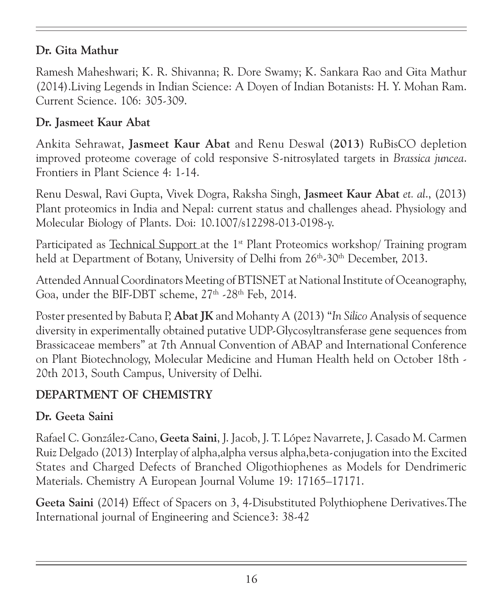#### Dr. Gita Mathur

Ramesh Maheshwari; K. R. Shivanna; R. Dore Swamy; K. Sankara Rao and Gita Mathur (2014).Living Legends in Indian Science: A Doyen of Indian Botanists: H. Y. Mohan Ram. Current Science. 106: 305-309.

#### Dr. Jasmeet Kaur Abat

Ankita Sehrawat, Jasmeet Kaur Abat and Renu Deswal (2013) RuBisCO depletion improved proteome coverage of cold responsive S-nitrosylated targets in Brassica juncea. Frontiers in Plant Science 4: 1-14.

Renu Deswal, Ravi Gupta, Vivek Dogra, Raksha Singh, Jasmeet Kaur Abat et. al., (2013) Plant proteomics in India and Nepal: current status and challenges ahead. Physiology and Molecular Biology of Plants. Doi: 10.1007/s12298-013-0198-y.

Participated as Technical Support at the  $1<sup>st</sup>$  Plant Proteomics workshop/ Training program held at Department of Botany, University of Delhi from 26<sup>th</sup>-30<sup>th</sup> December, 2013.

Attended Annual Coordinators Meeting of BTISNET at National Institute of Oceanography, Goa, under the BIF-DBT scheme,  $27<sup>th</sup>$ -28<sup>th</sup> Feb, 2014.

Poster presented by Babuta P, Abat JK and Mohanty A (2013) "In Silico Analysis of sequence diversity in experimentally obtained putative UDP-Glycosyltransferase gene sequences from Brassicaceae members" at 7th Annual Convention of ABAP and International Conference on Plant Biotechnology, Molecular Medicine and Human Health held on October 18th - 20th 2013, South Campus, University of Delhi.

## DEPARTMENT OF CHEMISTRY

## Dr. Geeta Saini

Rafael C. González-Cano, Geeta Saini, J. Jacob, J. T. López Navarrete, J. Casado M. Carmen Ruiz Delgado (2013) Interplay of alpha,alpha versus alpha,beta-conjugation into the Excited States and Charged Defects of Branched Oligothiophenes as Models for Dendrimeric Materials. Chemistry A European Journal Volume 19: 17165–17171.

Geeta Saini (2014) Effect of Spacers on 3, 4-Disubstituted Polythiophene Derivatives.The International journal of Engineering and Science3: 38-42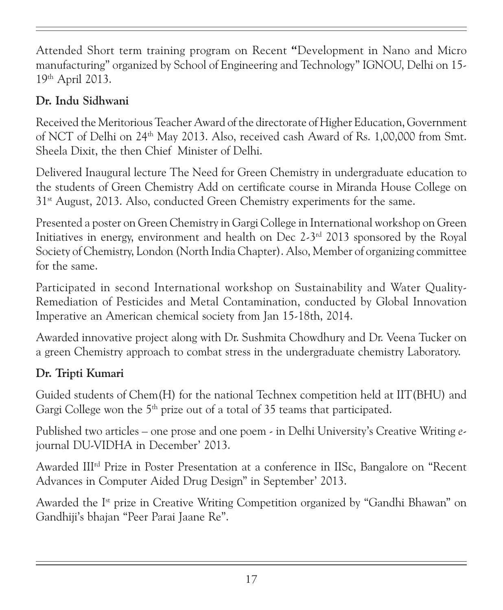Attended Short term training program on Recent "Development in Nano and Micro manufacturing" organized by School of Engineering and Technology" IGNOU, Delhi on 15- 19th April 2013.

## Dr. Indu Sidhwani

Received the Meritorious Teacher Award of the directorate of Higher Education, Government of NCT of Delhi on 24th May 2013. Also, received cash Award of Rs. 1,00,000 from Smt. Sheela Dixit, the then Chief Minister of Delhi.

Delivered Inaugural lecture The Need for Green Chemistry in undergraduate education to the students of Green Chemistry Add on certificate course in Miranda House College on 31<sup>st</sup> August, 2013. Also, conducted Green Chemistry experiments for the same.

Presented a poster on Green Chemistry in Gargi College in International workshop on Green Initiatives in energy, environment and health on Dec  $2-3<sup>rd</sup>$  2013 sponsored by the Royal Society of Chemistry, London (North India Chapter). Also, Member of organizing committee for the same.

Participated in second International workshop on Sustainability and Water Quality-Remediation of Pesticides and Metal Contamination, conducted by Global Innovation Imperative an American chemical society from Jan 15-18th, 2014.

Awarded innovative project along with Dr. Sushmita Chowdhury and Dr. Veena Tucker on a green Chemistry approach to combat stress in the undergraduate chemistry Laboratory.

## Dr. Tripti Kumari

Guided students of Chem(H) for the national Technex competition held at IIT(BHU) and Gargi College won the 5<sup>th</sup> prize out of a total of 35 teams that participated.

Published two articles – one prose and one poem - in Delhi University's Creative Writing ejournal DU-VIDHA in December' 2013.

Awarded IIIrd Prize in Poster Presentation at a conference in IISc, Bangalore on "Recent Advances in Computer Aided Drug Design" in September' 2013.

Awarded the Ist prize in Creative Writing Competition organized by "Gandhi Bhawan" on Gandhiji's bhajan "Peer Parai Jaane Re".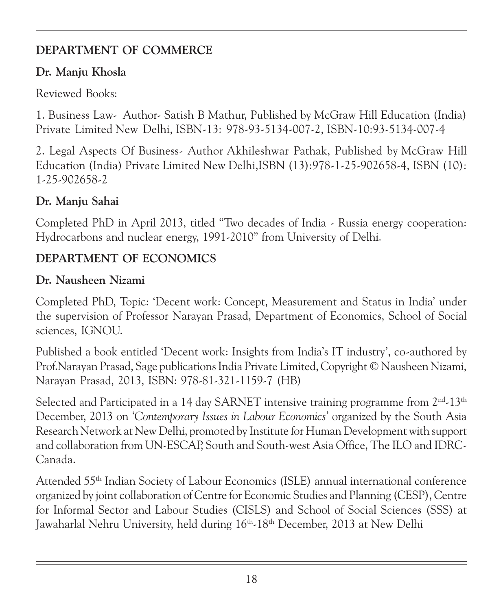## DEPARTMENT OF COMMERCE

#### Dr. Manju Khosla

Reviewed Books:

1. Business Law- Author- Satish B Mathur, Published by McGraw Hill Education (India) Private Limited New Delhi, ISBN-13: 978-93-5134-007-2, ISBN-10:93-5134-007-4

2. Legal Aspects Of Business- Author Akhileshwar Pathak, Published by McGraw Hill Education (India) Private Limited New Delhi,ISBN (13):978-1-25-902658-4, ISBN (10): 1-25-902658-2

## Dr. Manju Sahai

Completed PhD in April 2013, titled "Two decades of India - Russia energy cooperation: Hydrocarbons and nuclear energy, 1991-2010" from University of Delhi.

## DEPARTMENT OF ECONOMICS

## Dr. Nausheen Nizami

Completed PhD, Topic: 'Decent work: Concept, Measurement and Status in India' under the supervision of Professor Narayan Prasad, Department of Economics, School of Social sciences, IGNOU.

Published a book entitled 'Decent work: Insights from India's IT industry', co-authored by Prof.Narayan Prasad, Sage publications India Private Limited, Copyright © Nausheen Nizami, Narayan Prasad, 2013, ISBN: 978-81-321-1159-7 (HB)

Selected and Participated in a 14 day SARNET intensive training programme from  $2<sup>nd</sup>·13<sup>th</sup>$ December, 2013 on 'Contemporary Issues in Labour Economics' organized by the South Asia Research Network at New Delhi, promoted by Institute for Human Development with support and collaboration from UN-ESCAP, South and South-west Asia Office, The ILO and IDRC-Canada.

Attended 55th Indian Society of Labour Economics (ISLE) annual international conference organized by joint collaboration of Centre for Economic Studies and Planning (CESP), Centre for Informal Sector and Labour Studies (CISLS) and School of Social Sciences (SSS) at Jawaharlal Nehru University, held during 16th-18th December, 2013 at New Delhi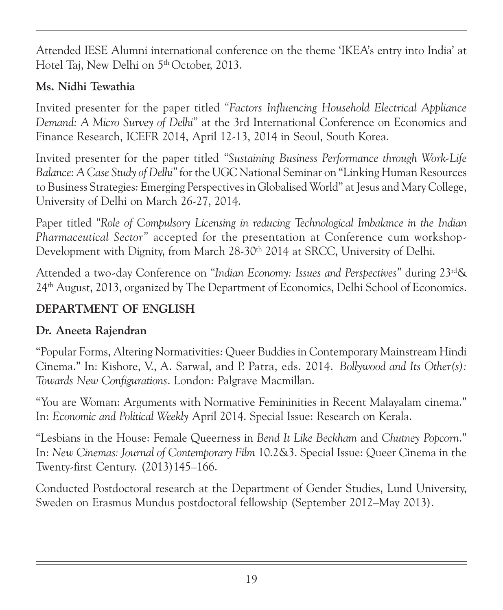Attended IESE Alumni international conference on the theme 'IKEA's entry into India' at Hotel Taj, New Delhi on 5<sup>th</sup> October, 2013.

## Ms. Nidhi Tewathia

Invited presenter for the paper titled "Factors Influencing Household Electrical Appliance Demand: A Micro Survey of Delhi" at the 3rd International Conference on Economics and Finance Research, ICEFR 2014, April 12-13, 2014 in Seoul, South Korea.

Invited presenter for the paper titled "Sustaining Business Performance through Work-Life Balance: A Case Study of Delhi" for the UGC National Seminar on "Linking Human Resources to Business Strategies: Emerging Perspectives in Globalised World" at Jesus and Mary College, University of Delhi on March 26-27, 2014.

Paper titled "Role of Compulsory Licensing in reducing Technological Imbalance in the Indian Pharmaceutical Sector" accepted for the presentation at Conference cum workshop-Development with Dignity, from March 28-30<sup>th</sup> 2014 at SRCC, University of Delhi.

Attended a two-day Conference on "Indian Economy: Issues and Perspectives" during 23rd& 24th August, 2013, organized by The Department of Economics, Delhi School of Economics.

## DEPARTMENT OF ENGLISH

## Dr. Aneeta Rajendran

"Popular Forms, Altering Normativities: Queer Buddies in Contemporary Mainstream Hindi Cinema." In: Kishore, V., A. Sarwal, and P. Patra, eds. 2014. Bollywood and Its Other(s): Towards New Configurations. London: Palgrave Macmillan.

"You are Woman: Arguments with Normative Femininities in Recent Malayalam cinema." In: Economic and Political Weekly April 2014. Special Issue: Research on Kerala.

"Lesbians in the House: Female Queerness in Bend It Like Beckham and Chutney Popcorn." In: New Cinemas: Journal of Contemporary Film 10.2&3. Special Issue: Queer Cinema in the Twenty-first Century. (2013)145–166.

Conducted Postdoctoral research at the Department of Gender Studies, Lund University, Sweden on Erasmus Mundus postdoctoral fellowship (September 2012–May 2013).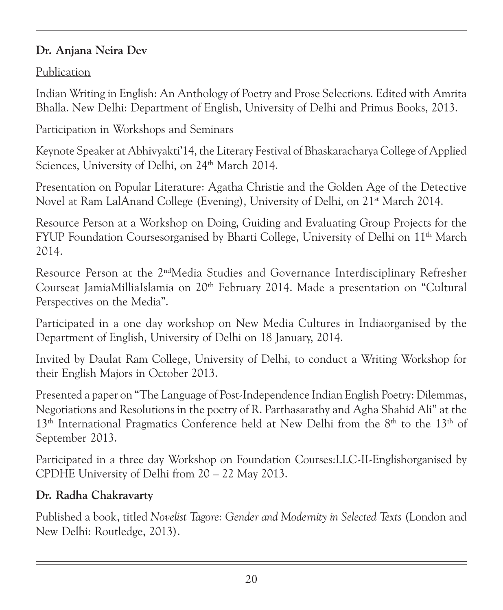### Dr. Anjana Neira Dev

## Publication

Indian Writing in English: An Anthology of Poetry and Prose Selections. Edited with Amrita Bhalla. New Delhi: Department of English, University of Delhi and Primus Books, 2013.

#### Participation in Workshops and Seminars

Keynote Speaker at Abhivyakti'14, the Literary Festival of Bhaskaracharya College of Applied Sciences, University of Delhi, on 24<sup>th</sup> March 2014.

Presentation on Popular Literature: Agatha Christie and the Golden Age of the Detective Novel at Ram LalAnand College (Evening), University of Delhi, on 21<sup>st</sup> March 2014.

Resource Person at a Workshop on Doing, Guiding and Evaluating Group Projects for the FYUP Foundation Coursesorganised by Bharti College, University of Delhi on 11<sup>th</sup> March 2014.

Resource Person at the 2<sup>nd</sup>Media Studies and Governance Interdisciplinary Refresher Courseat JamiaMilliaIslamia on 20th February 2014. Made a presentation on "Cultural Perspectives on the Media".

Participated in a one day workshop on New Media Cultures in Indiaorganised by the Department of English, University of Delhi on 18 January, 2014.

Invited by Daulat Ram College, University of Delhi, to conduct a Writing Workshop for their English Majors in October 2013.

Presented a paper on "The Language of Post-Independence Indian English Poetry: Dilemmas, Negotiations and Resolutions in the poetry of R. Parthasarathy and Agha Shahid Ali" at the  $13<sup>th</sup>$  International Pragmatics Conference held at New Delhi from the  $8<sup>th</sup>$  to the  $13<sup>th</sup>$  of September 2013.

Participated in a three day Workshop on Foundation Courses:LLC-II-Englishorganised by CPDHE University of Delhi from 20 – 22 May 2013.

## Dr. Radha Chakravarty

Published a book, titled Novelist Tagore: Gender and Modernity in Selected Texts (London and New Delhi: Routledge, 2013).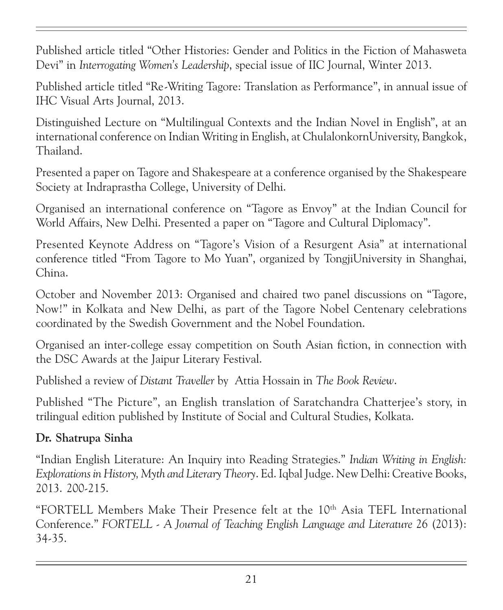Published article titled "Other Histories: Gender and Politics in the Fiction of Mahasweta Devi" in Interrogating Women's Leadership, special issue of IIC Journal, Winter 2013.

Published article titled "Re-Writing Tagore: Translation as Performance", in annual issue of IHC Visual Arts Journal, 2013.

Distinguished Lecture on "Multilingual Contexts and the Indian Novel in English", at an international conference on Indian Writing in English, at ChulalonkornUniversity, Bangkok, Thailand.

Presented a paper on Tagore and Shakespeare at a conference organised by the Shakespeare Society at Indraprastha College, University of Delhi.

Organised an international conference on "Tagore as Envoy" at the Indian Council for World Affairs, New Delhi. Presented a paper on "Tagore and Cultural Diplomacy".

Presented Keynote Address on "Tagore's Vision of a Resurgent Asia" at international conference titled "From Tagore to Mo Yuan", organized by TongjiUniversity in Shanghai, China.

October and November 2013: Organised and chaired two panel discussions on "Tagore, Now!" in Kolkata and New Delhi, as part of the Tagore Nobel Centenary celebrations coordinated by the Swedish Government and the Nobel Foundation.

Organised an inter-college essay competition on South Asian fiction, in connection with the DSC Awards at the Jaipur Literary Festival.

Published a review of Distant Traveller by Attia Hossain in The Book Review.

Published "The Picture", an English translation of Saratchandra Chatterjee's story, in trilingual edition published by Institute of Social and Cultural Studies, Kolkata.

#### Dr. Shatrupa Sinha

"Indian English Literature: An Inquiry into Reading Strategies." Indian Writing in English: Explorations in History, Myth and Literary Theory. Ed. Iqbal Judge. New Delhi: Creative Books, 2013. 200-215.

"FORTELL Members Make Their Presence felt at the 10th Asia TEFL International Conference." FORTELL - A Journal of Teaching English Language and Literature 26 (2013): 34-35.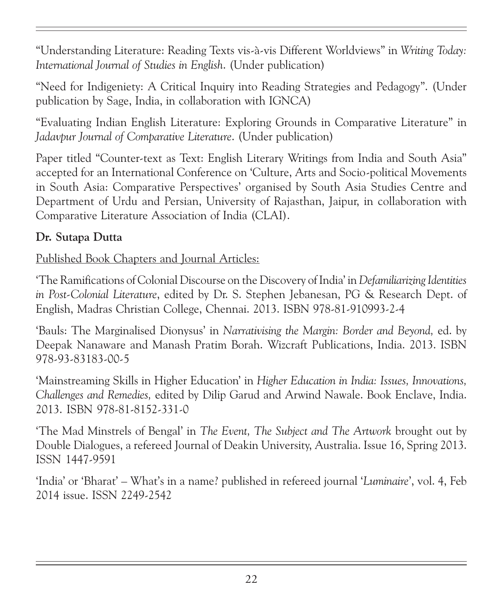"Understanding Literature: Reading Texts vis-à-vis Different Worldviews" in Writing Today: International Journal of Studies in English. (Under publication)

"Need for Indigeniety: A Critical Inquiry into Reading Strategies and Pedagogy". (Under publication by Sage, India, in collaboration with IGNCA)

"Evaluating Indian English Literature: Exploring Grounds in Comparative Literature" in Jadavpur Journal of Comparative Literature. (Under publication)

Paper titled "Counter-text as Text: English Literary Writings from India and South Asia" accepted for an International Conference on 'Culture, Arts and Socio-political Movements in South Asia: Comparative Perspectives' organised by South Asia Studies Centre and Department of Urdu and Persian, University of Rajasthan, Jaipur, in collaboration with Comparative Literature Association of India (CLAI).

#### Dr. Sutapa Dutta

Published Book Chapters and Journal Articles:

'The Ramifications of Colonial Discourse on the Discovery of India' in Defamiliarizing Identities in Post-Colonial Literature, edited by Dr. S. Stephen Jebanesan, PG & Research Dept. of English, Madras Christian College, Chennai. 2013. ISBN 978-81-910993-2-4

'Bauls: The Marginalised Dionysus' in Narrativising the Margin: Border and Beyond, ed. by Deepak Nanaware and Manash Pratim Borah. Wizcraft Publications, India. 2013. ISBN 978-93-83183-00-5

'Mainstreaming Skills in Higher Education' in Higher Education in India: Issues, Innovations, Challenges and Remedies, edited by Dilip Garud and Arwind Nawale. Book Enclave, India. 2013. ISBN 978-81-8152-331-0

'The Mad Minstrels of Bengal' in The Event, The Subject and The Artwork brought out by Double Dialogues, a refereed Journal of Deakin University, Australia. Issue 16, Spring 2013. ISSN 1447-9591

'India' or 'Bharat' – What's in a name? published in refereed journal 'Luminaire', vol. 4, Feb 2014 issue. ISSN 2249-2542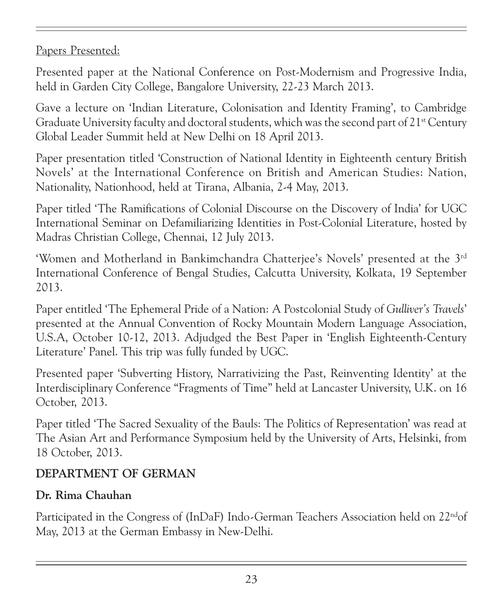Papers Presented:

Presented paper at the National Conference on Post-Modernism and Progressive India, held in Garden City College, Bangalore University, 22-23 March 2013.

Gave a lecture on 'Indian Literature, Colonisation and Identity Framing', to Cambridge Graduate University faculty and doctoral students, which was the second part of  $21<sup>st</sup>$  Century Global Leader Summit held at New Delhi on 18 April 2013.

Paper presentation titled 'Construction of National Identity in Eighteenth century British Novels' at the International Conference on British and American Studies: Nation, Nationality, Nationhood, held at Tirana, Albania, 2-4 May, 2013.

Paper titled 'The Ramifications of Colonial Discourse on the Discovery of India' for UGC International Seminar on Defamiliarizing Identities in Post-Colonial Literature, hosted by Madras Christian College, Chennai, 12 July 2013.

'Women and Motherland in Bankimchandra Chatterjee's Novels' presented at the 3<sup>rd</sup> International Conference of Bengal Studies, Calcutta University, Kolkata, 19 September 2013.

Paper entitled 'The Ephemeral Pride of a Nation: A Postcolonial Study of Gulliver's Travels' presented at the Annual Convention of Rocky Mountain Modern Language Association, U.S.A, October 10-12, 2013. Adjudged the Best Paper in 'English Eighteenth-Century Literature' Panel. This trip was fully funded by UGC.

Presented paper 'Subverting History, Narrativizing the Past, Reinventing Identity' at the Interdisciplinary Conference "Fragments of Time" held at Lancaster University, U.K. on 16 October, 2013.

Paper titled 'The Sacred Sexuality of the Bauls: The Politics of Representation' was read at The Asian Art and Performance Symposium held by the University of Arts, Helsinki, from 18 October, 2013.

#### DEPARTMENT OF GERMAN

#### Dr. Rima Chauhan

Participated in the Congress of (InDaF) Indo-German Teachers Association held on 22<sup>nd</sup>of May, 2013 at the German Embassy in New-Delhi.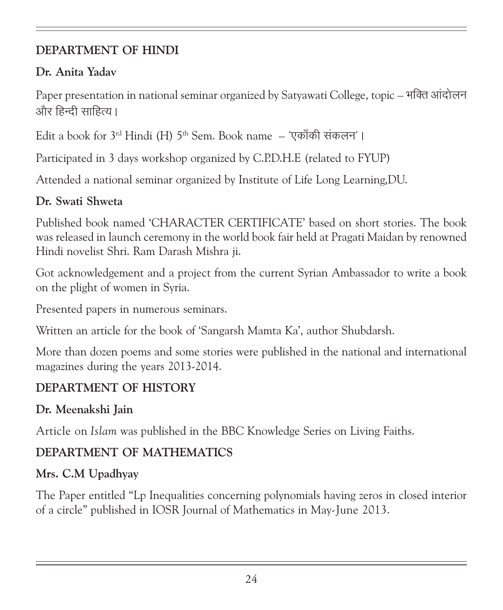#### DEPARTMENT OF HINDI

#### Dr. Anita Yadav

Paper presentation in national seminar organized by Satyawati College, topic – भक्ति आंदोलन और हिन्दी साहित्य।

Edit a book for  $3^{\text{rd}}$  Hindi (H)  $5^{\text{th}}$  Sem. Book name  $-$  'एकाँकी संकलन' ।

Participated in 3 days workshop organized by C.P.D.H.E (related to FYUP)

Attended a national seminar organized by Institute of Life Long Learning,DU.

#### Dr. Swati Shweta

Published book named 'CHARACTER CERTIFICATE' based on short stories. The book was released in launch ceremony in the world book fair held at Pragati Maidan by renowned Hindi novelist Shri. Ram Darash Mishra ji.

Got acknowledgement and a project from the current Syrian Ambassador to write a book on the plight of women in Syria.

Presented papers in numerous seminars.

Written an article for the book of 'Sangarsh Mamta Ka', author Shubdarsh.

More than dozen poems and some stories were published in the national and international magazines during the years 2013-2014.

## DEPARTMENT OF HISTORY

#### Dr. Meenakshi Jain

Article on Islam was published in the BBC Knowledge Series on Living Faiths.

## DEPARTMENT OF MATHEMATICS

## Mrs. C.M Upadhyay

The Paper entitled "Lp Inequalities concerning polynomials having zeros in closed interior of a circle" published in IOSR Journal of Mathematics in May-June 2013.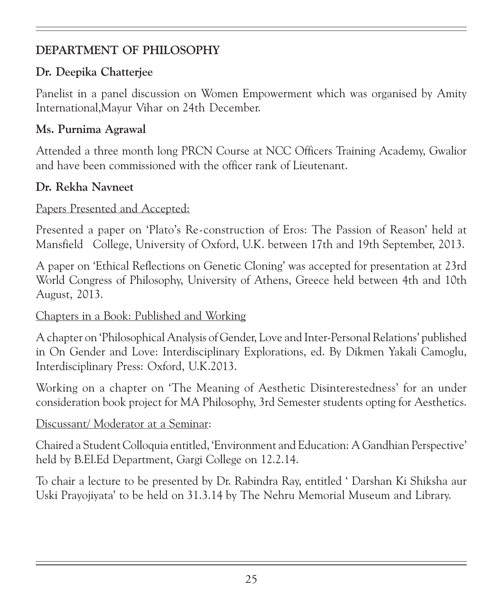## DEPARTMENT OF PHILOSOPHY

#### Dr. Deepika Chatterjee

Panelist in a panel discussion on Women Empowerment which was organised by Amity International,Mayur Vihar on 24th December.

#### Ms. Purnima Agrawal

Attended a three month long PRCN Course at NCC Officers Training Academy, Gwalior and have been commissioned with the officer rank of Lieutenant.

#### Dr. Rekha Navneet

#### Papers Presented and Accepted:

Presented a paper on 'Plato's Re-construction of Eros: The Passion of Reason' held at Mansfield College, University of Oxford, U.K. between 17th and 19th September, 2013.

A paper on 'Ethical Reflections on Genetic Cloning' was accepted for presentation at 23rd World Congress of Philosophy, University of Athens, Greece held between 4th and 10th August, 2013.

#### Chapters in a Book: Published and Working

A chapter on 'Philosophical Analysis of Gender, Love and Inter-Personal Relations' published in On Gender and Love: Interdisciplinary Explorations, ed. By Dikmen Yakali Camoglu, Interdisciplinary Press: Oxford, U.K.2013.

Working on a chapter on 'The Meaning of Aesthetic Disinterestedness' for an under consideration book project for MA Philosophy, 3rd Semester students opting for Aesthetics.

#### Discussant/ Moderator at a Seminar:

Chaired a Student Colloquia entitled, 'Environment and Education: A Gandhian Perspective' held by B.El.Ed Department, Gargi College on 12.2.14.

To chair a lecture to be presented by Dr. Rabindra Ray, entitled ' Darshan Ki Shiksha aur Uski Prayojiyata' to be held on 31.3.14 by The Nehru Memorial Museum and Library.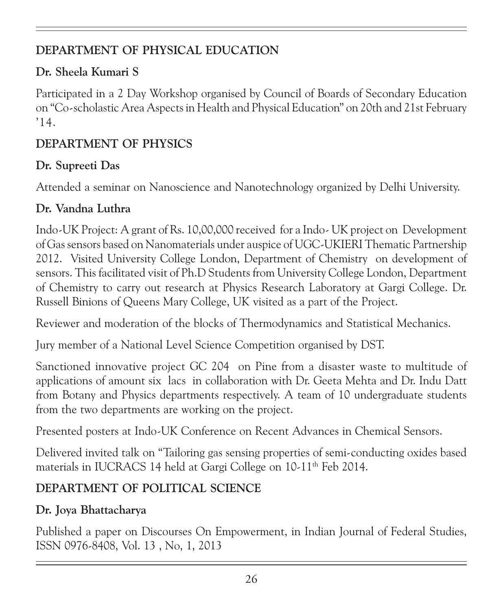## DEPARTMENT OF PHYSICAL EDUCATION

## Dr. Sheela Kumari S

Participated in a 2 Day Workshop organised by Council of Boards of Secondary Education on "Co-scholastic Area Aspects in Health and Physical Education" on 20th and 21st February '14.

## DEPARTMENT OF PHYSICS

## Dr. Supreeti Das

Attended a seminar on Nanoscience and Nanotechnology organized by Delhi University.

## Dr. Vandna Luthra

Indo-UK Project: A grant of Rs. 10,00,000 received for a Indo- UK project on Development of Gas sensors based on Nanomaterials under auspice of UGC-UKIERI Thematic Partnership 2012. Visited University College London, Department of Chemistry on development of sensors. This facilitated visit of Ph.D Students from University College London, Department of Chemistry to carry out research at Physics Research Laboratory at Gargi College. Dr. Russell Binions of Queens Mary College, UK visited as a part of the Project.

Reviewer and moderation of the blocks of Thermodynamics and Statistical Mechanics.

Jury member of a National Level Science Competition organised by DST.

Sanctioned innovative project GC 204 on Pine from a disaster waste to multitude of applications of amount six lacs in collaboration with Dr. Geeta Mehta and Dr. Indu Datt from Botany and Physics departments respectively. A team of 10 undergraduate students from the two departments are working on the project.

Presented posters at Indo-UK Conference on Recent Advances in Chemical Sensors.

Delivered invited talk on "Tailoring gas sensing properties of semi-conducting oxides based materials in IUCRACS 14 held at Gargi College on 10-11<sup>th</sup> Feb 2014.

## DEPARTMENT OF POLITICAL SCIENCE

## Dr. Joya Bhattacharya

Published a paper on Discourses On Empowerment, in Indian Journal of Federal Studies, ISSN 0976-8408, Vol. 13 , No, 1, 2013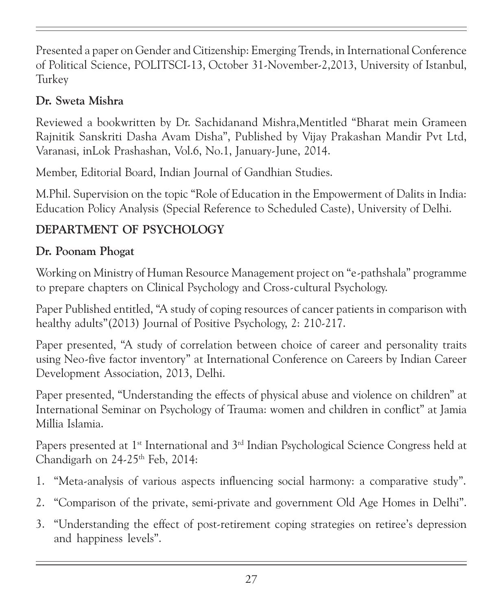Presented a paper on Gender and Citizenship: Emerging Trends, in International Conference of Political Science, POLITSCI-13, October 31-November-2,2013, University of Istanbul, Turkey

#### Dr. Sweta Mishra

Reviewed a bookwritten by Dr. Sachidanand Mishra,Mentitled "Bharat mein Grameen Rajnitik Sanskriti Dasha Avam Disha", Published by Vijay Prakashan Mandir Pvt Ltd, Varanasi, inLok Prashashan, Vol.6, No.1, January-June, 2014.

Member, Editorial Board, Indian Journal of Gandhian Studies.

M.Phil. Supervision on the topic "Role of Education in the Empowerment of Dalits in India: Education Policy Analysis (Special Reference to Scheduled Caste), University of Delhi.

## DEPARTMENT OF PSYCHOLOGY

## Dr. Poonam Phogat

Working on Ministry of Human Resource Management project on "e-pathshala" programme to prepare chapters on Clinical Psychology and Cross-cultural Psychology.

Paper Published entitled, "A study of coping resources of cancer patients in comparison with healthy adults"(2013) Journal of Positive Psychology, 2: 210-217.

Paper presented, "A study of correlation between choice of career and personality traits using Neo-five factor inventory" at International Conference on Careers by Indian Career Development Association, 2013, Delhi.

Paper presented, "Understanding the effects of physical abuse and violence on children" at International Seminar on Psychology of Trauma: women and children in conflict" at Jamia Millia Islamia.

Papers presented at 1<sup>st</sup> International and 3<sup>rd</sup> Indian Psychological Science Congress held at Chandigarh on  $24-25$ <sup>th</sup> Feb, 2014:

- 1. "Meta-analysis of various aspects influencing social harmony: a comparative study".
- 2. "Comparison of the private, semi-private and government Old Age Homes in Delhi".
- 3. "Understanding the effect of post-retirement coping strategies on retiree's depression and happiness levels".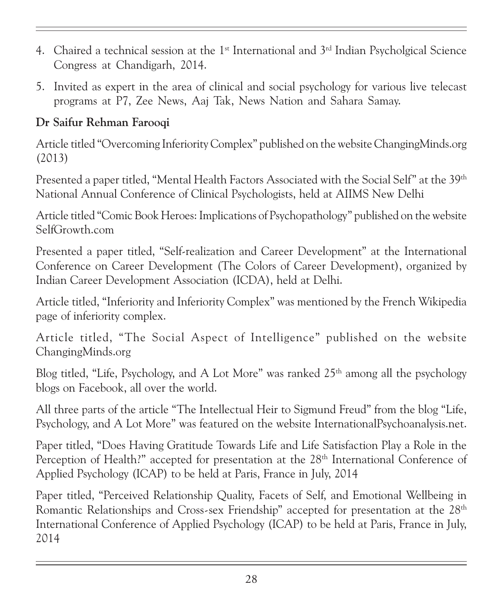- 4. Chaired a technical session at the  $1<sup>st</sup>$  International and  $3<sup>rd</sup>$  Indian Psycholgical Science Congress at Chandigarh, 2014.
- 5. Invited as expert in the area of clinical and social psychology for various live telecast programs at P7, Zee News, Aaj Tak, News Nation and Sahara Samay.

#### Dr Saifur Rehman Farooqi

Article titled "Overcoming Inferiority Complex" published on the website ChangingMinds.org (2013)

Presented a paper titled, "Mental Health Factors Associated with the Social Self" at the 39<sup>th</sup> National Annual Conference of Clinical Psychologists, held at AIIMS New Delhi

Article titled "Comic Book Heroes: Implications of Psychopathology" published on the website SelfGrowth.com

Presented a paper titled, "Self-realization and Career Development" at the International Conference on Career Development (The Colors of Career Development), organized by Indian Career Development Association (ICDA), held at Delhi.

Article titled, "Inferiority and Inferiority Complex" was mentioned by the French Wikipedia page of inferiority complex.

Article titled, "The Social Aspect of Intelligence" published on the website ChangingMinds.org

Blog titled, "Life, Psychology, and A Lot More" was ranked  $25<sup>th</sup>$  among all the psychology blogs on Facebook, all over the world.

All three parts of the article "The Intellectual Heir to Sigmund Freud" from the blog "Life, Psychology, and A Lot More" was featured on the website InternationalPsychoanalysis.net.

Paper titled, "Does Having Gratitude Towards Life and Life Satisfaction Play a Role in the Perception of Health?" accepted for presentation at the 28<sup>th</sup> International Conference of Applied Psychology (ICAP) to be held at Paris, France in July, 2014

Paper titled, "Perceived Relationship Quality, Facets of Self, and Emotional Wellbeing in Romantic Relationships and Cross-sex Friendship" accepted for presentation at the 28<sup>th</sup> International Conference of Applied Psychology (ICAP) to be held at Paris, France in July, 2014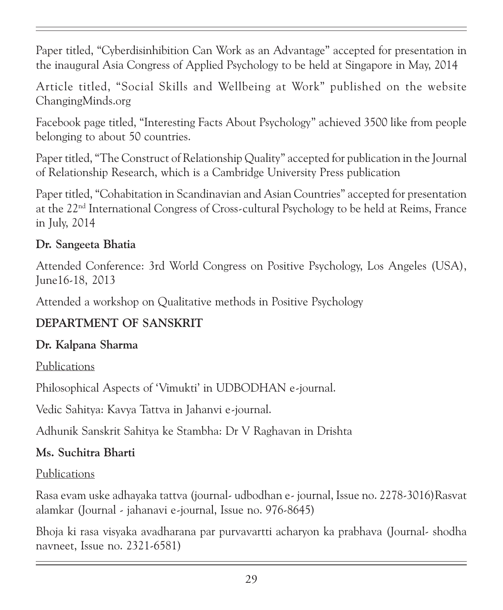Paper titled, "Cyberdisinhibition Can Work as an Advantage" accepted for presentation in the inaugural Asia Congress of Applied Psychology to be held at Singapore in May, 2014

Article titled, "Social Skills and Wellbeing at Work" published on the website ChangingMinds.org

Facebook page titled, "Interesting Facts About Psychology" achieved 3500 like from people belonging to about 50 countries.

Paper titled, "The Construct of Relationship Quality" accepted for publication in the Journal of Relationship Research, which is a Cambridge University Press publication

Paper titled, "Cohabitation in Scandinavian and Asian Countries" accepted for presentation at the 22nd International Congress of Cross-cultural Psychology to be held at Reims, France in July, 2014

#### Dr. Sangeeta Bhatia

Attended Conference: 3rd World Congress on Positive Psychology, Los Angeles (USA), June16-18, 2013

Attended a workshop on Qualitative methods in Positive Psychology

#### DEPARTMENT OF SANSKRIT

#### Dr. Kalpana Sharma

Publications

Philosophical Aspects of 'Vimukti' in UDBODHAN e-journal.

Vedic Sahitya: Kavya Tattva in Jahanvi e-journal.

Adhunik Sanskrit Sahitya ke Stambha: Dr V Raghavan in Drishta

#### Ms. Suchitra Bharti

#### Publications

Rasa evam uske adhayaka tattva (journal- udbodhan e- journal, Issue no. 2278-3016)Rasvat alamkar (Journal - jahanavi e-journal, Issue no. 976-8645)

Bhoja ki rasa visyaka avadharana par purvavartti acharyon ka prabhava (Journal- shodha navneet, Issue no. 2321-6581)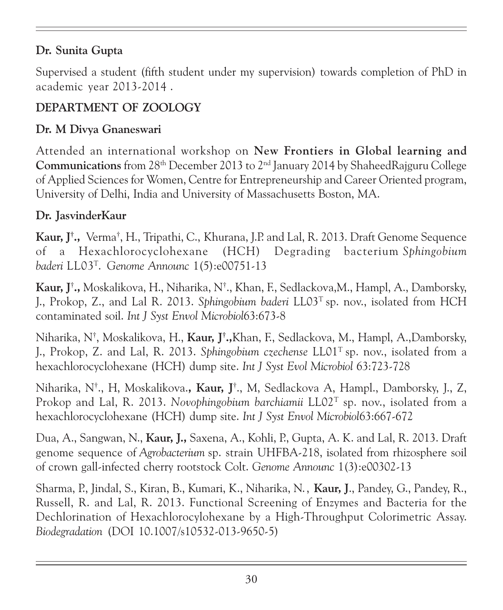#### Dr. Sunita Gupta

Supervised a student (fifth student under my supervision) towards completion of PhD in academic year 2013-2014 .

#### DEPARTMENT OF ZOOLOGY

#### Dr. M Divya Gnaneswari

Attended an international workshop on New Frontiers in Global learning and Communications from 28th December 2013 to 2nd January 2014 by ShaheedRajguru College of Applied Sciences for Women, Centre for Entrepreneurship and Career Oriented program, University of Delhi, India and University of Massachusetts Boston, MA.

#### Dr. JasvinderKaur

Kaur, J† ., Verma† , H., Tripathi, C., Khurana, J.P. and Lal, R. 2013. Draft Genome Sequence of a Hexachlorocyclohexane (HCH) Degrading bacterium Sphingobium baderi LL03<sup>T</sup>. Genome Announc 1(5):e00751-13

Kaur, J† ., Moskalikova, H., Niharika, N† ., Khan, F., Sedlackova,M., Hampl, A., Damborsky, J., Prokop, Z., and Lal R. 2013. Sphingobium baderi  $LLO3<sup>T</sup>$  sp. nov., isolated from HCH contaminated soil. Int J Syst Envol Microbiol63:673-8

Niharika, N†, Moskalikova, H., **Kaur, J†.,**Khan, F., Sedlackova, M., Hampl, A.,Damborsky, J., Prokop, Z. and Lal, R. 2013. Sphingobium czechense  $LL01^T$ sp. nov., isolated from a hexachlorocyclohexane (HCH) dump site. Int J Syst Evol Microbiol 63:723-728

Niharika, N†., H, Moskalikova.**, Kaur, J**†., M, Sedlackova A, Hampl., Damborsky, J., Z, Prokop and Lal, R. 2013. Novophingobium barchiamii  $LLO2<sup>T</sup>$  sp. nov., isolated from a hexachlorocyclohexane (HCH) dump site. Int J Syst Envol Microbiol63:667-672

Dua, A., Sangwan, N., Kaur, J., Saxena, A., Kohli, P., Gupta, A. K. and Lal, R. 2013. Draft genome sequence of Agrobacterium sp. strain UHFBA-218, isolated from rhizosphere soil of crown gall-infected cherry rootstock Colt. Genome Announc 1(3):e00302-13

Sharma, P., Jindal, S., Kiran, B., Kumari, K., Niharika, N., Kaur, J., Pandey, G., Pandey, R., Russell, R. and Lal, R. 2013. Functional Screening of Enzymes and Bacteria for the Dechlorination of Hexachlorocylohexane by a High-Throughput Colorimetric Assay. Biodegradation (DOI 10.1007/s10532-013-9650-5)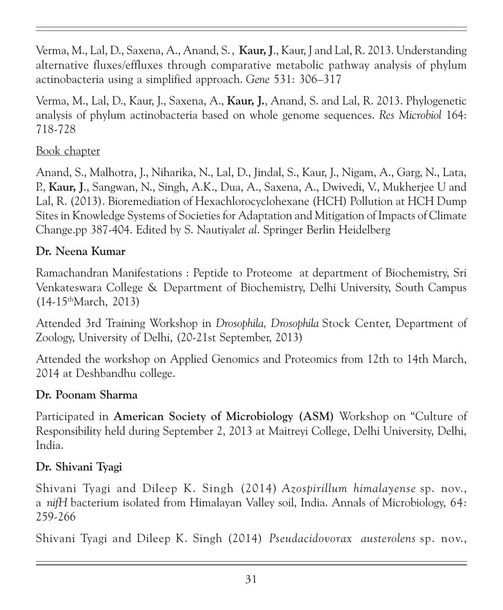Verma, M., Lal, D., Saxena, A., Anand, S., Kaur, J., Kaur, J and Lal, R. 2013. Understanding alternative fluxes/effluxes through comparative metabolic pathway analysis of phylum actinobacteria using a simplified approach. Gene 531: 306–317

Verma, M., Lal, D., Kaur, J., Saxena, A., Kaur, J., Anand, S. and Lal, R. 2013. Phylogenetic analysis of phylum actinobacteria based on whole genome sequences. Res Microbiol 164: 718-728

#### Book chapter

Anand, S., Malhotra, J., Niharika, N., Lal, D., Jindal, S., Kaur, J., Nigam, A., Garg, N., Lata, P., Kaur, J., Sangwan, N., Singh, A.K., Dua, A., Saxena, A., Dwivedi, V., Mukherjee U and Lal, R. (2013). Bioremediation of Hexachlorocyclohexane (HCH) Pollution at HCH Dump Sites in Knowledge Systems of Societies for Adaptation and Mitigation of Impacts of Climate Change.pp 387-404. Edited by S. Nautiyalet al. Springer Berlin Heidelberg

#### Dr. Neena Kumar

Ramachandran Manifestations : Peptide to Proteome at department of Biochemistry, Sri Venkateswara College & Department of Biochemistry, Delhi University, South Campus (14-15thMarch, 2013)

Attended 3rd Training Workshop in Drosophila, Drosophila Stock Center, Department of Zoology, University of Delhi, (20-21st September, 2013)

Attended the workshop on Applied Genomics and Proteomics from 12th to 14th March, 2014 at Deshbandhu college.

#### Dr. Poonam Sharma

Participated in American Society of Microbiology (ASM) Workshop on "Culture of Responsibility held during September 2, 2013 at Maitreyi College, Delhi University, Delhi, India.

#### Dr. Shivani Tyagi

Shivani Tyagi and Dileep K. Singh (2014) Azospirillum himalayense sp. nov., a nifH bacterium isolated from Himalayan Valley soil, India. Annals of Microbiology, 64: 259-266

Shivani Tyagi and Dileep K. Singh (2014) Pseudacidovorax austerolens sp. nov.,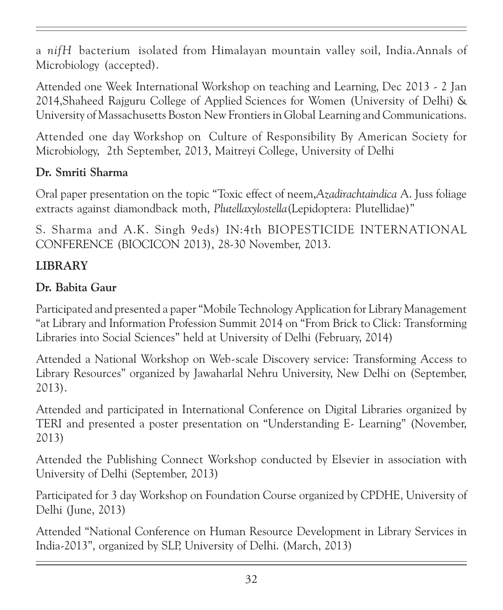a nifH bacterium isolated from Himalayan mountain valley soil, India.Annals of Microbiology (accepted).

Attended one Week International Workshop on teaching and Learning, Dec 2013 - 2 Jan 2014,Shaheed Rajguru College of Applied Sciences for Women (University of Delhi) & University of Massachusetts Boston New Frontiers in Global Learning and Communications.

Attended one day Workshop on Culture of Responsibility By American Society for Microbiology, 2th September, 2013, Maitreyi College, University of Delhi

#### Dr. Smriti Sharma

Oral paper presentation on the topic "Toxic effect of neem,Azadirachtaindica A. Juss foliage extracts against diamondback moth, Plutellaxylostella(Lepidoptera: Plutellidae)"

S. Sharma and A.K. Singh 9eds) IN:4th BIOPESTICIDE INTERNATIONAL CONFERENCE (BIOCICON 2013), 28-30 November, 2013.

#### LIBRARY

#### Dr. Babita Gaur

Participated and presented a paper "Mobile Technology Application for Library Management "at Library and Information Profession Summit 2014 on "From Brick to Click: Transforming Libraries into Social Sciences" held at University of Delhi (February, 2014)

Attended a National Workshop on Web-scale Discovery service: Transforming Access to Library Resources" organized by Jawaharlal Nehru University, New Delhi on (September, 2013).

Attended and participated in International Conference on Digital Libraries organized by TERI and presented a poster presentation on "Understanding E- Learning" (November, 2013)

Attended the Publishing Connect Workshop conducted by Elsevier in association with University of Delhi (September, 2013)

Participated for 3 day Workshop on Foundation Course organized by CPDHE, University of Delhi (June, 2013)

Attended "National Conference on Human Resource Development in Library Services in India-2013", organized by SLP, University of Delhi. (March, 2013)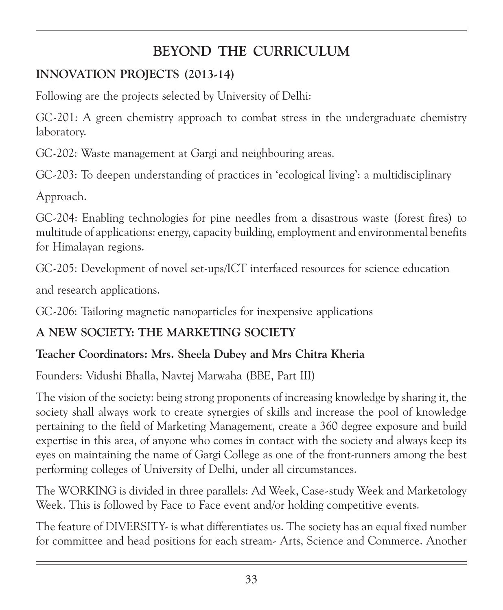## BEYOND THE CURRICULUM

## INNOVATION PROJECTS (2013-14)

Following are the projects selected by University of Delhi:

GC-201: A green chemistry approach to combat stress in the undergraduate chemistry laboratory.

GC-202: Waste management at Gargi and neighbouring areas.

GC-203: To deepen understanding of practices in 'ecological living': a multidisciplinary

Approach.

GC-204: Enabling technologies for pine needles from a disastrous waste (forest fires) to multitude of applications: energy, capacity building, employment and environmental benefits for Himalayan regions.

GC-205: Development of novel set-ups/ICT interfaced resources for science education

and research applications.

GC-206: Tailoring magnetic nanoparticles for inexpensive applications

#### A NEW SOCIETY: THE MARKETING SOCIETY

#### Teacher Coordinators: Mrs. Sheela Dubey and Mrs Chitra Kheria

Founders: Vidushi Bhalla, Navtej Marwaha (BBE, Part III)

The vision of the society: being strong proponents of increasing knowledge by sharing it, the society shall always work to create synergies of skills and increase the pool of knowledge pertaining to the field of Marketing Management, create a 360 degree exposure and build expertise in this area, of anyone who comes in contact with the society and always keep its eyes on maintaining the name of Gargi College as one of the front-runners among the best performing colleges of University of Delhi, under all circumstances.

The WORKING is divided in three parallels: Ad Week, Case-study Week and Marketology Week. This is followed by Face to Face event and/or holding competitive events.

The feature of DIVERSITY- is what differentiates us. The society has an equal fixed number for committee and head positions for each stream- Arts, Science and Commerce. Another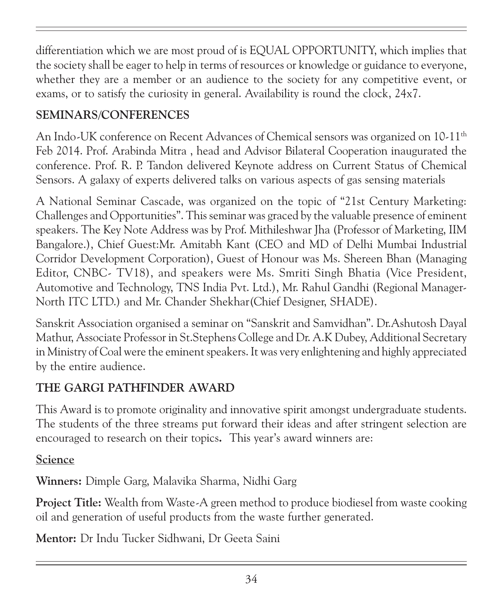differentiation which we are most proud of is EQUAL OPPORTUNITY, which implies that the society shall be eager to help in terms of resources or knowledge or guidance to everyone, whether they are a member or an audience to the society for any competitive event, or exams, or to satisfy the curiosity in general. Availability is round the clock, 24x7.

## SEMINARS/CONFERENCES

An Indo-UK conference on Recent Advances of Chemical sensors was organized on 10-11<sup>th</sup> Feb 2014. Prof. Arabinda Mitra , head and Advisor Bilateral Cooperation inaugurated the conference. Prof. R. P. Tandon delivered Keynote address on Current Status of Chemical Sensors. A galaxy of experts delivered talks on various aspects of gas sensing materials

A National Seminar Cascade, was organized on the topic of "21st Century Marketing: Challenges and Opportunities". This seminar was graced by the valuable presence of eminent speakers. The Key Note Address was by Prof. Mithileshwar Jha (Professor of Marketing, IIM Bangalore.), Chief Guest:Mr. Amitabh Kant (CEO and MD of Delhi Mumbai Industrial Corridor Development Corporation), Guest of Honour was Ms. Shereen Bhan (Managing Editor, CNBC- TV18), and speakers were Ms. Smriti Singh Bhatia (Vice President, Automotive and Technology, TNS India Pvt. Ltd.), Mr. Rahul Gandhi (Regional Manager-North ITC LTD.) and Mr. Chander Shekhar(Chief Designer, SHADE).

Sanskrit Association organised a seminar on "Sanskrit and Samvidhan". Dr.Ashutosh Dayal Mathur, Associate Professor in St.Stephens College and Dr. A.K Dubey, Additional Secretary in Ministry of Coal were the eminent speakers. It was very enlightening and highly appreciated by the entire audience.

## THE GARGI PATHFINDER AWARD

This Award is to promote originality and innovative spirit amongst undergraduate students. The students of the three streams put forward their ideas and after stringent selection are encouraged to research on their topics. This year's award winners are:

#### Science

Winners: Dimple Garg, Malavika Sharma, Nidhi Garg

Project Title: Wealth from Waste-A green method to produce biodiesel from waste cooking oil and generation of useful products from the waste further generated.

Mentor: Dr Indu Tucker Sidhwani, Dr Geeta Saini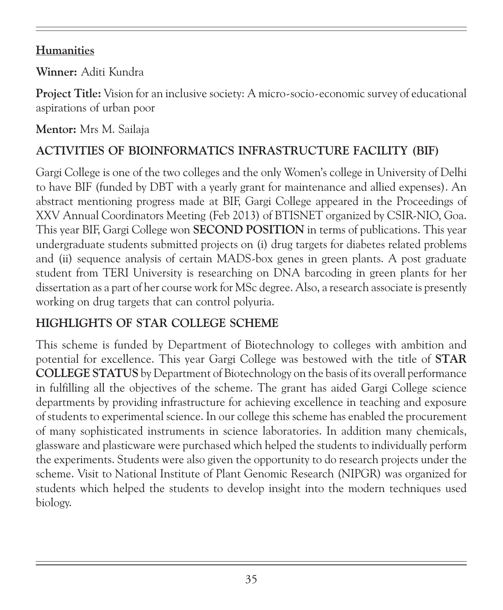### **Humanities**

Winner: Aditi Kundra

Project Title: Vision for an inclusive society: A micro-socio-economic survey of educational aspirations of urban poor

Mentor: Mrs M. Sailaja

## ACTIVITIES OF BIOINFORMATICS INFRASTRUCTURE FACILITY (BIF)

Gargi College is one of the two colleges and the only Women's college in University of Delhi to have BIF (funded by DBT with a yearly grant for maintenance and allied expenses). An abstract mentioning progress made at BIF, Gargi College appeared in the Proceedings of XXV Annual Coordinators Meeting (Feb 2013) of BTISNET organized by CSIR-NIO, Goa. This year BIF, Gargi College won SECOND POSITION in terms of publications. This year undergraduate students submitted projects on (i) drug targets for diabetes related problems and (ii) sequence analysis of certain MADS-box genes in green plants. A post graduate student from TERI University is researching on DNA barcoding in green plants for her dissertation as a part of her course work for MSc degree. Also, a research associate is presently working on drug targets that can control polyuria.

#### HIGHLIGHTS OF STAR COLLEGE SCHEME

This scheme is funded by Department of Biotechnology to colleges with ambition and potential for excellence. This year Gargi College was bestowed with the title of STAR COLLEGE STATUS by Department of Biotechnology on the basis of its overall performance in fulfilling all the objectives of the scheme. The grant has aided Gargi College science departments by providing infrastructure for achieving excellence in teaching and exposure of students to experimental science. In our college this scheme has enabled the procurement of many sophisticated instruments in science laboratories. In addition many chemicals, glassware and plasticware were purchased which helped the students to individually perform the experiments. Students were also given the opportunity to do research projects under the scheme. Visit to National Institute of Plant Genomic Research (NIPGR) was organized for students which helped the students to develop insight into the modern techniques used biology.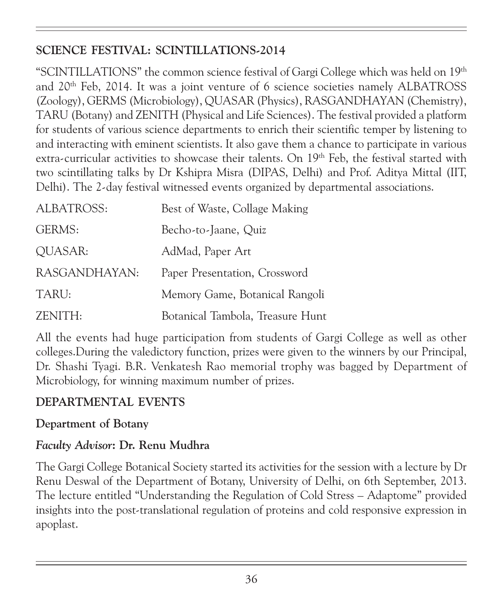## SCIENCE FESTIVAL: SCINTILLATIONS-2014

"SCINTILLATIONS" the common science festival of Gargi College which was held on 19<sup>th</sup> and 20th Feb, 2014. It was a joint venture of 6 science societies namely ALBATROSS (Zoology), GERMS (Microbiology), QUASAR (Physics), RASGANDHAYAN (Chemistry), TARU (Botany) and ZENITH (Physical and Life Sciences). The festival provided a platform for students of various science departments to enrich their scientific temper by listening to and interacting with eminent scientists. It also gave them a chance to participate in various extra-curricular activities to showcase their talents. On 19<sup>th</sup> Feb, the festival started with two scintillating talks by Dr Kshipra Misra (DIPAS, Delhi) and Prof. Aditya Mittal (IIT, Delhi). The 2-day festival witnessed events organized by departmental associations.

| ALBATROSS:    | Best of Waste, Collage Making    |
|---------------|----------------------------------|
| GERMS:        | Becho-to-Jaane, Quiz             |
| QUASAR:       | AdMad, Paper Art                 |
| RASGANDHAYAN: | Paper Presentation, Crossword    |
| TARU:         | Memory Game, Botanical Rangoli   |
| ZENITH:       | Botanical Tambola, Treasure Hunt |

All the events had huge participation from students of Gargi College as well as other colleges.During the valedictory function, prizes were given to the winners by our Principal, Dr. Shashi Tyagi. B.R. Venkatesh Rao memorial trophy was bagged by Department of Microbiology, for winning maximum number of prizes.

#### DEPARTMENTAL EVENTS

#### Department of Botany

#### Faculty Advisor: Dr. Renu Mudhra

The Gargi College Botanical Society started its activities for the session with a lecture by Dr Renu Deswal of the Department of Botany, University of Delhi, on 6th September, 2013. The lecture entitled "Understanding the Regulation of Cold Stress – Adaptome" provided insights into the post-translational regulation of proteins and cold responsive expression in apoplast.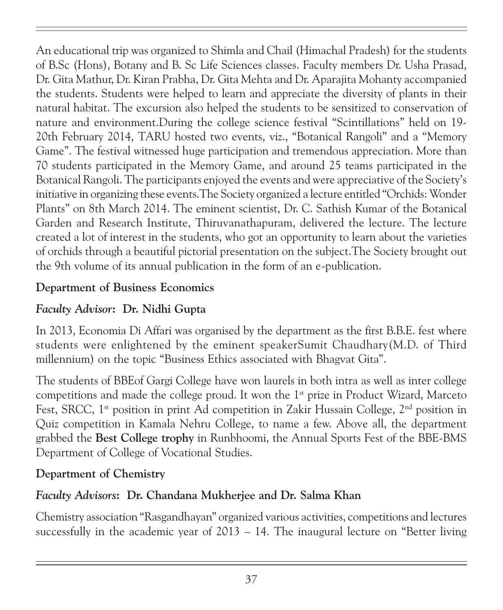An educational trip was organized to Shimla and Chail (Himachal Pradesh) for the students of B.Sc (Hons), Botany and B. Sc Life Sciences classes. Faculty members Dr. Usha Prasad, Dr. Gita Mathur, Dr. Kiran Prabha, Dr. Gita Mehta and Dr. Aparajita Mohanty accompanied the students. Students were helped to learn and appreciate the diversity of plants in their natural habitat. The excursion also helped the students to be sensitized to conservation of nature and environment.During the college science festival "Scintillations" held on 19- 20th February 2014, TARU hosted two events, viz., "Botanical Rangoli" and a "Memory Game". The festival witnessed huge participation and tremendous appreciation. More than 70 students participated in the Memory Game, and around 25 teams participated in the Botanical Rangoli. The participants enjoyed the events and were appreciative of the Society's initiative in organizing these events.The Society organized a lecture entitled "Orchids: Wonder Plants" on 8th March 2014. The eminent scientist, Dr. C. Sathish Kumar of the Botanical Garden and Research Institute, Thiruvanathapuram, delivered the lecture. The lecture created a lot of interest in the students, who got an opportunity to learn about the varieties of orchids through a beautiful pictorial presentation on the subject.The Society brought out the 9th volume of its annual publication in the form of an e-publication.

### Department of Business Economics

# Faculty Advisor: Dr. Nidhi Gupta

In 2013, Economia Di Affari was organised by the department as the first B.B.E. fest where students were enlightened by the eminent speakerSumit Chaudhary(M.D. of Third millennium) on the topic "Business Ethics associated with Bhagvat Gita".

The students of BBEof Gargi College have won laurels in both intra as well as inter college competitions and made the college proud. It won the  $1<sup>st</sup>$  prize in Product Wizard, Marceto Fest, SRCC,  $1^{st}$  position in print Ad competition in Zakir Hussain College,  $2^{nd}$  position in Quiz competition in Kamala Nehru College, to name a few. Above all, the department grabbed the Best College trophy in Runbhoomi, the Annual Sports Fest of the BBE-BMS Department of College of Vocational Studies.

### Department of Chemistry

# Faculty Advisors: Dr. Chandana Mukherjee and Dr. Salma Khan

Chemistry association "Rasgandhayan" organized various activities, competitions and lectures successfully in the academic year of 2013 – 14. The inaugural lecture on "Better living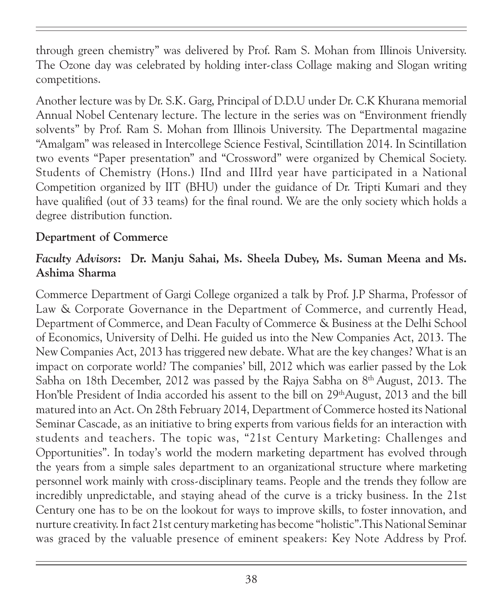through green chemistry" was delivered by Prof. Ram S. Mohan from Illinois University. The Ozone day was celebrated by holding inter-class Collage making and Slogan writing competitions.

Another lecture was by Dr. S.K. Garg, Principal of D.D.U under Dr. C.K Khurana memorial Annual Nobel Centenary lecture. The lecture in the series was on "Environment friendly solvents" by Prof. Ram S. Mohan from Illinois University. The Departmental magazine "Amalgam" was released in Intercollege Science Festival, Scintillation 2014. In Scintillation two events "Paper presentation" and "Crossword" were organized by Chemical Society. Students of Chemistry (Hons.) IInd and IIIrd year have participated in a National Competition organized by IIT (BHU) under the guidance of Dr. Tripti Kumari and they have qualified (out of 33 teams) for the final round. We are the only society which holds a degree distribution function.

#### Department of Commerce

### Faculty Advisors: Dr. Manju Sahai, Ms. Sheela Dubey, Ms. Suman Meena and Ms. Ashima Sharma

Commerce Department of Gargi College organized a talk by Prof. J.P Sharma, Professor of Law & Corporate Governance in the Department of Commerce, and currently Head, Department of Commerce, and Dean Faculty of Commerce & Business at the Delhi School of Economics, University of Delhi. He guided us into the New Companies Act, 2013. The New Companies Act, 2013 has triggered new debate. What are the key changes? What is an impact on corporate world? The companies' bill, 2012 which was earlier passed by the Lok Sabha on 18th December, 2012 was passed by the Rajya Sabha on  $8<sup>th</sup>$  August, 2013. The Hon'ble President of India accorded his assent to the bill on 29<sup>th</sup>August, 2013 and the bill matured into an Act. On 28th February 2014, Department of Commerce hosted its National Seminar Cascade, as an initiative to bring experts from various fields for an interaction with students and teachers. The topic was, "21st Century Marketing: Challenges and Opportunities". In today's world the modern marketing department has evolved through the years from a simple sales department to an organizational structure where marketing personnel work mainly with cross-disciplinary teams. People and the trends they follow are incredibly unpredictable, and staying ahead of the curve is a tricky business. In the 21st Century one has to be on the lookout for ways to improve skills, to foster innovation, and nurture creativity. In fact 21st century marketing has become "holistic".This National Seminar was graced by the valuable presence of eminent speakers: Key Note Address by Prof.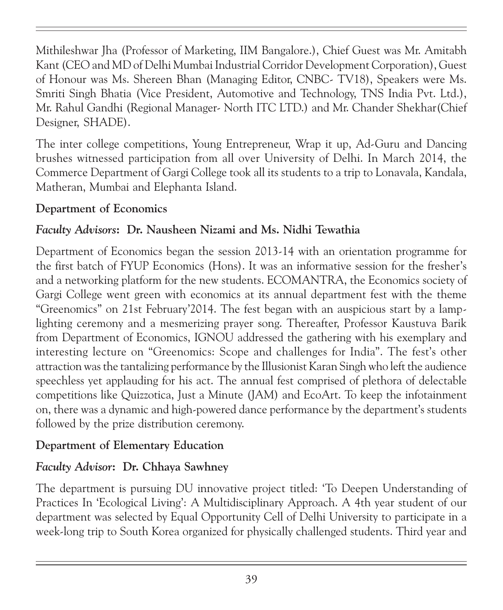Mithileshwar Jha (Professor of Marketing, IIM Bangalore.), Chief Guest was Mr. Amitabh Kant (CEO and MD of Delhi Mumbai Industrial Corridor Development Corporation), Guest of Honour was Ms. Shereen Bhan (Managing Editor, CNBC- TV18), Speakers were Ms. Smriti Singh Bhatia (Vice President, Automotive and Technology, TNS India Pvt. Ltd.), Mr. Rahul Gandhi (Regional Manager- North ITC LTD.) and Mr. Chander Shekhar(Chief Designer, SHADE).

The inter college competitions, Young Entrepreneur, Wrap it up, Ad-Guru and Dancing brushes witnessed participation from all over University of Delhi. In March 2014, the Commerce Department of Gargi College took all its students to a trip to Lonavala, Kandala, Matheran, Mumbai and Elephanta Island.

### Department of Economics

## Faculty Advisors: Dr. Nausheen Nizami and Ms. Nidhi Tewathia

Department of Economics began the session 2013-14 with an orientation programme for the first batch of FYUP Economics (Hons). It was an informative session for the fresher's and a networking platform for the new students. ECOMANTRA, the Economics society of Gargi College went green with economics at its annual department fest with the theme "Greenomics" on 21st February'2014. The fest began with an auspicious start by a lamplighting ceremony and a mesmerizing prayer song. Thereafter, Professor Kaustuva Barik from Department of Economics, IGNOU addressed the gathering with his exemplary and interesting lecture on "Greenomics: Scope and challenges for India". The fest's other attraction was the tantalizing performance by the Illusionist Karan Singh who left the audience speechless yet applauding for his act. The annual fest comprised of plethora of delectable competitions like Quizzotica, Just a Minute (JAM) and EcoArt. To keep the infotainment on, there was a dynamic and high-powered dance performance by the department's students followed by the prize distribution ceremony.

# Department of Elementary Education

# Faculty Advisor: Dr. Chhaya Sawhney

The department is pursuing DU innovative project titled: 'To Deepen Understanding of Practices In 'Ecological Living': A Multidisciplinary Approach. A 4th year student of our department was selected by Equal Opportunity Cell of Delhi University to participate in a week-long trip to South Korea organized for physically challenged students. Third year and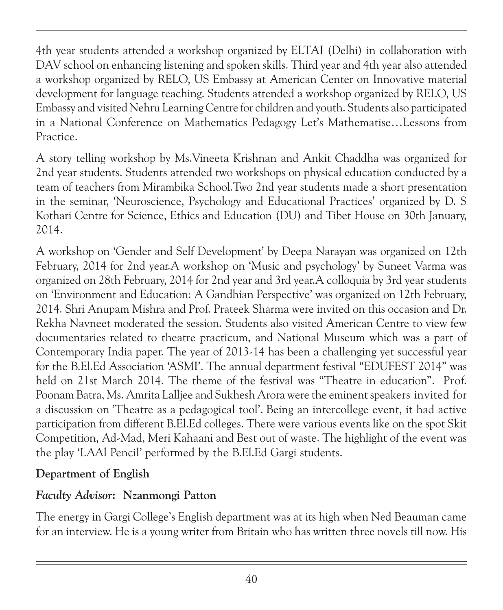4th year students attended a workshop organized by ELTAI (Delhi) in collaboration with DAV school on enhancing listening and spoken skills. Third year and 4th year also attended a workshop organized by RELO, US Embassy at American Center on Innovative material development for language teaching. Students attended a workshop organized by RELO, US Embassy and visited Nehru Learning Centre for children and youth. Students also participated in a National Conference on Mathematics Pedagogy Let's Mathematise…Lessons from Practice.

A story telling workshop by Ms.Vineeta Krishnan and Ankit Chaddha was organized for 2nd year students. Students attended two workshops on physical education conducted by a team of teachers from Mirambika School.Two 2nd year students made a short presentation in the seminar, 'Neuroscience, Psychology and Educational Practices' organized by D. S Kothari Centre for Science, Ethics and Education (DU) and Tibet House on 30th January, 2014.

A workshop on 'Gender and Self Development' by Deepa Narayan was organized on 12th February, 2014 for 2nd year.A workshop on 'Music and psychology' by Suneet Varma was organized on 28th February, 2014 for 2nd year and 3rd year.A colloquia by 3rd year students on 'Environment and Education: A Gandhian Perspective' was organized on 12th February, 2014. Shri Anupam Mishra and Prof. Prateek Sharma were invited on this occasion and Dr. Rekha Navneet moderated the session. Students also visited American Centre to view few documentaries related to theatre practicum, and National Museum which was a part of Contemporary India paper. The year of 2013-14 has been a challenging yet successful year for the B.El.Ed Association 'ASMI'. The annual department festival "EDUFEST 2014" was held on 21st March 2014. The theme of the festival was "Theatre in education". Prof. Poonam Batra, Ms. Amrita Lalljee and Sukhesh Arora were the eminent speakers invited for a discussion on 'Theatre as a pedagogical tool'. Being an intercollege event, it had active participation from different B.El.Ed colleges. There were various events like on the spot Skit Competition, Ad-Mad, Meri Kahaani and Best out of waste. The highlight of the event was the play 'LAAl Pencil' performed by the B.El.Ed Gargi students.

### Department of English

# Faculty Advisor: Nzanmongi Patton

The energy in Gargi College's English department was at its high when Ned Beauman came for an interview. He is a young writer from Britain who has written three novels till now. His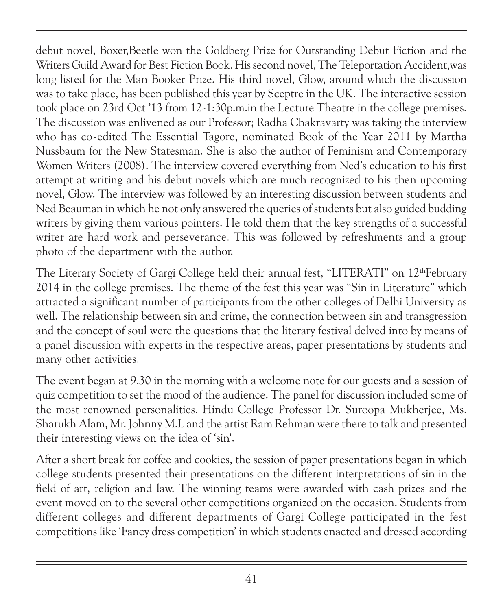debut novel, Boxer,Beetle won the Goldberg Prize for Outstanding Debut Fiction and the Writers Guild Award for Best Fiction Book. His second novel, The Teleportation Accident,was long listed for the Man Booker Prize. His third novel, Glow, around which the discussion was to take place, has been published this year by Sceptre in the UK. The interactive session took place on 23rd Oct '13 from 12-1:30p.m.in the Lecture Theatre in the college premises. The discussion was enlivened as our Professor; Radha Chakravarty was taking the interview who has co-edited The Essential Tagore, nominated Book of the Year 2011 by Martha Nussbaum for the New Statesman. She is also the author of Feminism and Contemporary Women Writers (2008). The interview covered everything from Ned's education to his first attempt at writing and his debut novels which are much recognized to his then upcoming novel, Glow. The interview was followed by an interesting discussion between students and Ned Beauman in which he not only answered the queries of students but also guided budding writers by giving them various pointers. He told them that the key strengths of a successful writer are hard work and perseverance. This was followed by refreshments and a group photo of the department with the author.

The Literary Society of Gargi College held their annual fest, "LITERATI" on 12<sup>th</sup>February 2014 in the college premises. The theme of the fest this year was "Sin in Literature" which attracted a significant number of participants from the other colleges of Delhi University as well. The relationship between sin and crime, the connection between sin and transgression and the concept of soul were the questions that the literary festival delved into by means of a panel discussion with experts in the respective areas, paper presentations by students and many other activities.

The event began at 9.30 in the morning with a welcome note for our guests and a session of quiz competition to set the mood of the audience. The panel for discussion included some of the most renowned personalities. Hindu College Professor Dr. Suroopa Mukherjee, Ms. Sharukh Alam, Mr. Johnny M.L and the artist Ram Rehman were there to talk and presented their interesting views on the idea of 'sin'.

After a short break for coffee and cookies, the session of paper presentations began in which college students presented their presentations on the different interpretations of sin in the field of art, religion and law. The winning teams were awarded with cash prizes and the event moved on to the several other competitions organized on the occasion. Students from different colleges and different departments of Gargi College participated in the fest competitions like 'Fancy dress competition' in which students enacted and dressed according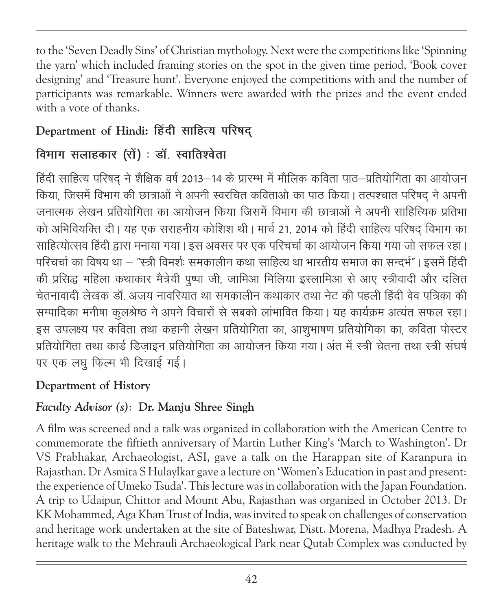to the 'Seven Deadly Sins' of Christian mythology. Next were the competitions like 'Spinning the yarn' which included framing stories on the spot in the given time period, 'Book cover designing' and 'Treasure hunt'. Everyone enjoyed the competitions with and the number of participants was remarkable. Winners were awarded with the prizes and the event ended with a vote of thanks.

# Department of Hindi: हिंदी साहित्य परिषद

# विभाग सलाहकार (रों) : डॉ. स्वातिश्वेता

हिंदी साहित्य परिषद् ने शैक्षिक वर्ष 2013–14 के प्रारम्भ में मौलिक कविता पाठ–प्रतियोगिता का आयोजन किया, जिसमें विभाग की छात्राओं ने अपनी स्वरचित कविताओ का पाठ किया। तत्पश्चात परिषद ने अपनी <u>जनात्मक लेखन प्रतियोगिता का आयोजन किया जिसमें विभाग की छात्राओं ने अपनी साहित्यिक प्रतिभा</u> को अभिवियक्ति दी। यह एक सराहनीय कोशिश थी। मार्च 21, 2014 को हिंदी साहित्य परिषद विभाग का साहित्योत्सव हिंदी द्वारा मनाया गया। इस अवसर पर एक परिचर्चा का आयोजन किया गया जो सफल रहा। परिचर्चा का विषय था – "स्त्री विमर्शः समकालीन कथा साहित्य था भारतीय समाज का सन्दर्भ"। इसमें हिंदी की प्रसिद्ध महिला कथाकार मैत्रेयी पुष्पा जी, जामिआ मिलिया इस्लामिआ से आए स्त्रीवादी और दलित चेतनावादी लेखक डॉ. अजय नावरियात था समकालीन कथाकार तथा नेट की पहली हिंदी वेव पत्रिका की सम्पादिका मनीषा कूलश्रेष्ठ ने अपने विचारों से सबको लांभावित किया। यह कार्यक्रम अत्यंत सफल रहा। इस उपलक्ष्य पर कविता तथा कहानी लेखन प्रतियोगिता का, आशुभाषण प्रतियोगिका का, कविता पोस्टर प्रतियोगिता तथा कार्ड डिजाइन प्रतियोगिता का आयोजन किया गया। अंत में स्त्री चेतना तथा स्त्री संघर्ष पर एक लघु फिल्म भी दिखाई गई।

# Department of History

### Faculty Advisor (s): Dr. Manju Shree Singh

A film was screened and a talk was organized in collaboration with the American Centre to commemorate the fiftieth anniversary of Martin Luther King's 'March to Washington'. Dr VS Prabhakar, Archaeologist, ASI, gave a talk on the Harappan site of Karanpura in Rajasthan. Dr Asmita S Hulaylkar gave a lecture on 'Women's Education in past and present: the experience of Umeko Tsuda'. This lecture was in collaboration with the Japan Foundation. A trip to Udaipur, Chittor and Mount Abu, Rajasthan was organized in October 2013. Dr KK Mohammed, Aga Khan Trust of India, was invited to speak on challenges of conservation and heritage work undertaken at the site of Bateshwar, Distt. Morena, Madhya Pradesh. A heritage walk to the Mehrauli Archaeological Park near Qutab Complex was conducted by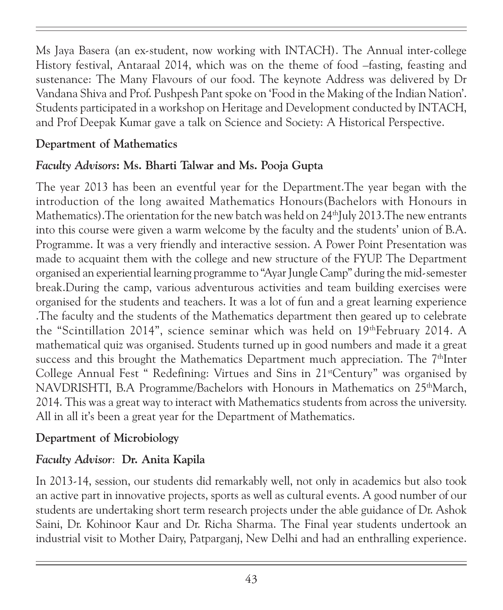Ms Jaya Basera (an ex-student, now working with INTACH). The Annual inter-college History festival, Antaraal 2014, which was on the theme of food –fasting, feasting and sustenance: The Many Flavours of our food. The keynote Address was delivered by Dr Vandana Shiva and Prof. Pushpesh Pant spoke on 'Food in the Making of the Indian Nation'. Students participated in a workshop on Heritage and Development conducted by INTACH, and Prof Deepak Kumar gave a talk on Science and Society: A Historical Perspective.

### Department of Mathematics

## Faculty Advisors: Ms. Bharti Talwar and Ms. Pooja Gupta

The year 2013 has been an eventful year for the Department.The year began with the introduction of the long awaited Mathematics Honours(Bachelors with Honours in Mathematics). The orientation for the new batch was held on  $24<sup>th</sup>$ July 2013. The new entrants into this course were given a warm welcome by the faculty and the students' union of B.A. Programme. It was a very friendly and interactive session. A Power Point Presentation was made to acquaint them with the college and new structure of the FYUP. The Department organised an experiential learning programme to "Ayar Jungle Camp" during the mid-semester break.During the camp, various adventurous activities and team building exercises were organised for the students and teachers. It was a lot of fun and a great learning experience .The faculty and the students of the Mathematics department then geared up to celebrate the "Scintillation 2014", science seminar which was held on 19thFebruary 2014. A mathematical quiz was organised. Students turned up in good numbers and made it a great success and this brought the Mathematics Department much appreciation. The 7<sup>th</sup>Inter College Annual Fest " Redefining: Virtues and Sins in 21<sup>st</sup>Century" was organised by NAVDRISHTI, B.A Programme/Bachelors with Honours in Mathematics on 25<sup>th</sup>March, 2014. This was a great way to interact with Mathematics students from across the university. All in all it's been a great year for the Department of Mathematics.

### Department of Microbiology

### Faculty Advisor: Dr. Anita Kapila

In 2013-14, session, our students did remarkably well, not only in academics but also took an active part in innovative projects, sports as well as cultural events. A good number of our students are undertaking short term research projects under the able guidance of Dr. Ashok Saini, Dr. Kohinoor Kaur and Dr. Richa Sharma. The Final year students undertook an industrial visit to Mother Dairy, Patparganj, New Delhi and had an enthralling experience.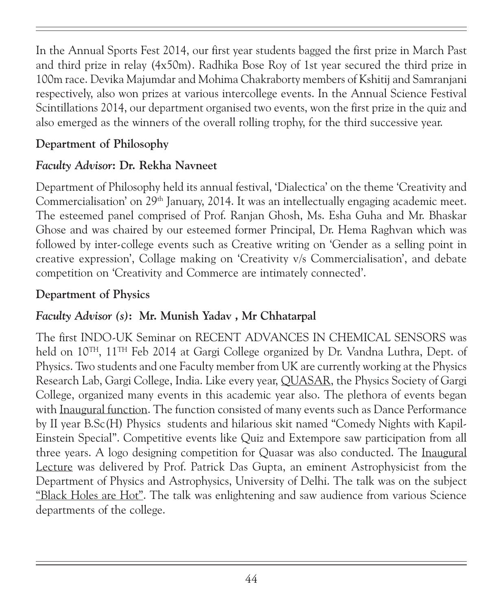In the Annual Sports Fest 2014, our first year students bagged the first prize in March Past and third prize in relay (4x50m). Radhika Bose Roy of 1st year secured the third prize in 100m race. Devika Majumdar and Mohima Chakraborty members of Kshitij and Samranjani respectively, also won prizes at various intercollege events. In the Annual Science Festival Scintillations 2014, our department organised two events, won the first prize in the quiz and also emerged as the winners of the overall rolling trophy, for the third successive year.

### Department of Philosophy

### Faculty Advisor: Dr. Rekha Navneet

Department of Philosophy held its annual festival, 'Dialectica' on the theme 'Creativity and Commercialisation' on 29<sup>th</sup> January, 2014. It was an intellectually engaging academic meet. The esteemed panel comprised of Prof. Ranjan Ghosh, Ms. Esha Guha and Mr. Bhaskar Ghose and was chaired by our esteemed former Principal, Dr. Hema Raghvan which was followed by inter-college events such as Creative writing on 'Gender as a selling point in creative expression', Collage making on 'Creativity v/s Commercialisation', and debate competition on 'Creativity and Commerce are intimately connected'.

### Department of Physics

### Faculty Advisor (s): Mr. Munish Yadav , Mr Chhatarpal

The first INDO-UK Seminar on RECENT ADVANCES IN CHEMICAL SENSORS was held on  $10^{TH}$ ,  $11^{TH}$  Feb 2014 at Gargi College organized by Dr. Vandna Luthra, Dept. of Physics. Two students and one Faculty member from UK are currently working at the Physics Research Lab, Gargi College, India. Like every year, QUASAR, the Physics Society of Gargi College, organized many events in this academic year also. The plethora of events began with Inaugural function. The function consisted of many events such as Dance Performance by II year B.Sc(H) Physics students and hilarious skit named "Comedy Nights with Kapil-Einstein Special". Competitive events like Quiz and Extempore saw participation from all three years. A logo designing competition for Quasar was also conducted. The Inaugural Lecture was delivered by Prof. Patrick Das Gupta, an eminent Astrophysicist from the Department of Physics and Astrophysics, University of Delhi. The talk was on the subject "Black Holes are Hot". The talk was enlightening and saw audience from various Science departments of the college.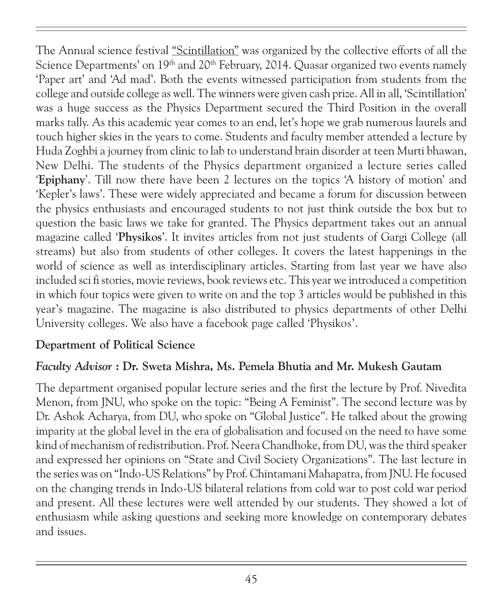The Annual science festival "Scintillation" was organized by the collective efforts of all the Science Departments' on 19<sup>th</sup> and 20<sup>th</sup> February, 2014. Quasar organized two events namely 'Paper art' and 'Ad mad'. Both the events witnessed participation from students from the college and outside college as well. The winners were given cash prize. All in all, 'Scintillation' was a huge success as the Physics Department secured the Third Position in the overall marks tally. As this academic year comes to an end, let's hope we grab numerous laurels and touch higher skies in the years to come. Students and faculty member attended a lecture by Huda Zoghbi a journey from clinic to lab to understand brain disorder at teen Murti bhawan, New Delhi. The students of the Physics department organized a lecture series called 'Epiphany'. Till now there have been 2 lectures on the topics 'A history of motion' and 'Kepler's laws'. These were widely appreciated and became a forum for discussion between the physics enthusiasts and encouraged students to not just think outside the box but to question the basic laws we take for granted. The Physics department takes out an annual magazine called 'Physikos'. It invites articles from not just students of Gargi College (all streams) but also from students of other colleges. It covers the latest happenings in the world of science as well as interdisciplinary articles. Starting from last year we have also included sci fi stories, movie reviews, book reviews etc. This year we introduced a competition in which four topics were given to write on and the top 3 articles would be published in this year's magazine. The magazine is also distributed to physics departments of other Delhi University colleges. We also have a facebook page called 'Physikos'.

### Department of Political Science

### Faculty Advisor : Dr. Sweta Mishra, Ms. Pemela Bhutia and Mr. Mukesh Gautam

The department organised popular lecture series and the first the lecture by Prof. Nivedita Menon, from JNU, who spoke on the topic: "Being A Feminist". The second lecture was by Dr. Ashok Acharya, from DU, who spoke on "Global Justice". He talked about the growing imparity at the global level in the era of globalisation and focused on the need to have some kind of mechanism of redistribution. Prof. Neera Chandhoke, from DU, was the third speaker and expressed her opinions on "State and Civil Society Organizations". The last lecture in the series was on "Indo-US Relations" by Prof. Chintamani Mahapatra, from JNU. He focused on the changing trends in Indo-US bilateral relations from cold war to post cold war period and present. All these lectures were well attended by our students. They showed a lot of enthusiasm while asking questions and seeking more knowledge on contemporary debates and issues.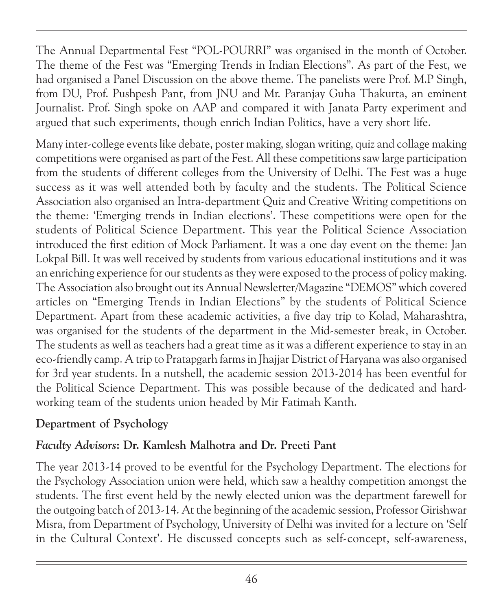The Annual Departmental Fest "POL-POURRI" was organised in the month of October. The theme of the Fest was "Emerging Trends in Indian Elections". As part of the Fest, we had organised a Panel Discussion on the above theme. The panelists were Prof. M.P Singh, from DU, Prof. Pushpesh Pant, from JNU and Mr. Paranjay Guha Thakurta, an eminent Journalist. Prof. Singh spoke on AAP and compared it with Janata Party experiment and argued that such experiments, though enrich Indian Politics, have a very short life.

Many inter-college events like debate, poster making, slogan writing, quiz and collage making competitions were organised as part of the Fest. All these competitions saw large participation from the students of different colleges from the University of Delhi. The Fest was a huge success as it was well attended both by faculty and the students. The Political Science Association also organised an Intra-department Quiz and Creative Writing competitions on the theme: 'Emerging trends in Indian elections'. These competitions were open for the students of Political Science Department. This year the Political Science Association introduced the first edition of Mock Parliament. It was a one day event on the theme: Jan Lokpal Bill. It was well received by students from various educational institutions and it was an enriching experience for our students as they were exposed to the process of policy making. The Association also brought out its Annual Newsletter/Magazine "DEMOS" which covered articles on "Emerging Trends in Indian Elections" by the students of Political Science Department. Apart from these academic activities, a five day trip to Kolad, Maharashtra, was organised for the students of the department in the Mid-semester break, in October. The students as well as teachers had a great time as it was a different experience to stay in an eco-friendly camp. A trip to Pratapgarh farms in Jhajjar District of Haryana was also organised for 3rd year students. In a nutshell, the academic session 2013-2014 has been eventful for the Political Science Department. This was possible because of the dedicated and hardworking team of the students union headed by Mir Fatimah Kanth.

### Department of Psychology

### Faculty Advisors: Dr. Kamlesh Malhotra and Dr. Preeti Pant

The year 2013-14 proved to be eventful for the Psychology Department. The elections for the Psychology Association union were held, which saw a healthy competition amongst the students. The first event held by the newly elected union was the department farewell for the outgoing batch of 2013-14. At the beginning of the academic session, Professor Girishwar Misra, from Department of Psychology, University of Delhi was invited for a lecture on 'Self in the Cultural Context'. He discussed concepts such as self-concept, self-awareness,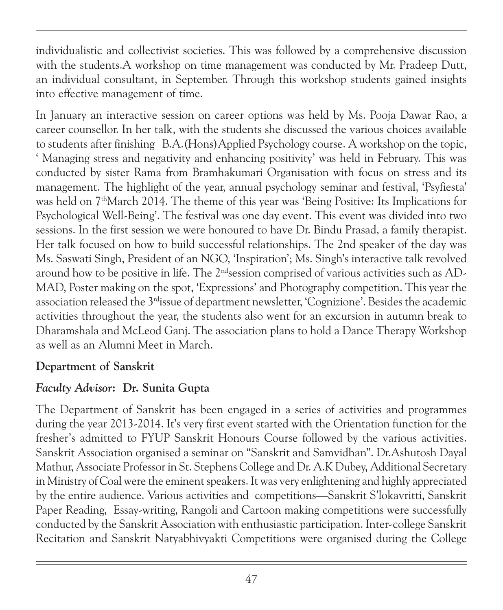individualistic and collectivist societies. This was followed by a comprehensive discussion with the students.A workshop on time management was conducted by Mr. Pradeep Dutt, an individual consultant, in September. Through this workshop students gained insights into effective management of time.

In January an interactive session on career options was held by Ms. Pooja Dawar Rao, a career counsellor. In her talk, with the students she discussed the various choices available to students after finishing B.A.(Hons)Applied Psychology course. A workshop on the topic, ' Managing stress and negativity and enhancing positivity' was held in February. This was conducted by sister Rama from Bramhakumari Organisation with focus on stress and its management. The highlight of the year, annual psychology seminar and festival, 'Psyfiesta' was held on 7<sup>th</sup>March 2014. The theme of this year was 'Being Positive: Its Implications for Psychological Well-Being'. The festival was one day event. This event was divided into two sessions. In the first session we were honoured to have Dr. Bindu Prasad, a family therapist. Her talk focused on how to build successful relationships. The 2nd speaker of the day was Ms. Saswati Singh, President of an NGO, 'Inspiration'; Ms. Singh's interactive talk revolved around how to be positive in life. The 2<sup>nd</sup>session comprised of various activities such as AD-MAD, Poster making on the spot, 'Expressions' and Photography competition. This year the association released the 3<sup>rd</sup>issue of department newsletter, 'Cognizione'. Besides the academic activities throughout the year, the students also went for an excursion in autumn break to Dharamshala and McLeod Ganj. The association plans to hold a Dance Therapy Workshop as well as an Alumni Meet in March.

### Department of Sanskrit

### Faculty Advisor: Dr. Sunita Gupta

The Department of Sanskrit has been engaged in a series of activities and programmes during the year 2013-2014. It's very first event started with the Orientation function for the fresher's admitted to FYUP Sanskrit Honours Course followed by the various activities. Sanskrit Association organised a seminar on "Sanskrit and Samvidhan". Dr.Ashutosh Dayal Mathur, Associate Professor in St. Stephens College and Dr. A.K Dubey, Additional Secretary in Ministry of Coal were the eminent speakers. It was very enlightening and highly appreciated by the entire audience. Various activities and competitions—Sanskrit S'lokavritti, Sanskrit Paper Reading, Essay-writing, Rangoli and Cartoon making competitions were successfully conducted by the Sanskrit Association with enthusiastic participation. Inter-college Sanskrit Recitation and Sanskrit Natyabhivyakti Competitions were organised during the College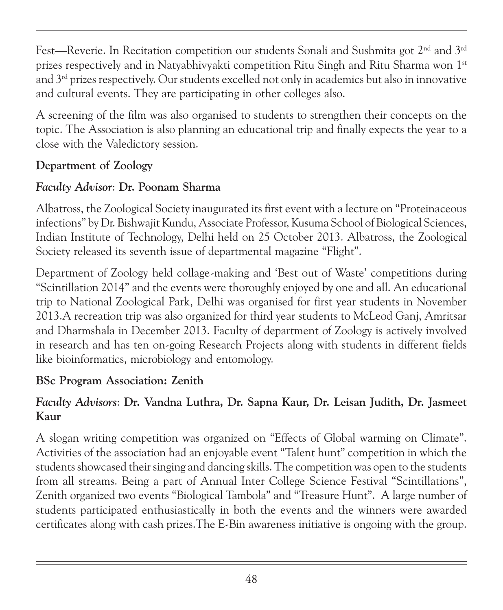Fest—Reverie. In Recitation competition our students Sonali and Sushmita got 2<sup>nd</sup> and 3<sup>rd</sup> prizes respectively and in Natyabhivyakti competition Ritu Singh and Ritu Sharma won 1st and  $3<sup>rd</sup>$  prizes respectively. Our students excelled not only in academics but also in innovative and cultural events. They are participating in other colleges also.

A screening of the film was also organised to students to strengthen their concepts on the topic. The Association is also planning an educational trip and finally expects the year to a close with the Valedictory session.

### Department of Zoology

### Faculty Advisor: Dr. Poonam Sharma

Albatross, the Zoological Society inaugurated its first event with a lecture on "Proteinaceous infections" by Dr. Bishwajit Kundu, Associate Professor, Kusuma School of Biological Sciences, Indian Institute of Technology, Delhi held on 25 October 2013. Albatross, the Zoological Society released its seventh issue of departmental magazine "Flight".

Department of Zoology held collage-making and 'Best out of Waste' competitions during "Scintillation 2014" and the events were thoroughly enjoyed by one and all. An educational trip to National Zoological Park, Delhi was organised for first year students in November 2013.A recreation trip was also organized for third year students to McLeod Ganj, Amritsar and Dharmshala in December 2013. Faculty of department of Zoology is actively involved in research and has ten on-going Research Projects along with students in different fields like bioinformatics, microbiology and entomology.

# BSc Program Association: Zenith

### Faculty Advisors: Dr. Vandna Luthra, Dr. Sapna Kaur, Dr. Leisan Judith, Dr. Jasmeet Kaur

A slogan writing competition was organized on "Effects of Global warming on Climate". Activities of the association had an enjoyable event "Talent hunt" competition in which the students showcased their singing and dancing skills. The competition was open to the students from all streams. Being a part of Annual Inter College Science Festival "Scintillations", Zenith organized two events "Biological Tambola" and "Treasure Hunt". A large number of students participated enthusiastically in both the events and the winners were awarded certificates along with cash prizes.The E-Bin awareness initiative is ongoing with the group.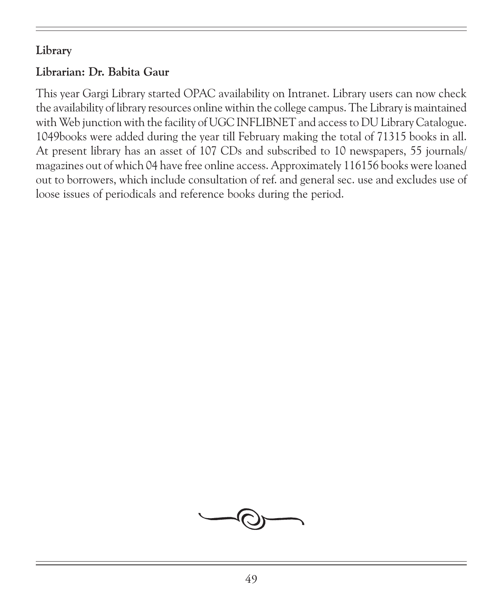### Library

# Librarian: Dr. Babita Gaur

This year Gargi Library started OPAC availability on Intranet. Library users can now check the availability of library resources online within the college campus. The Library is maintained with Web junction with the facility of UGC INFLIBNET and access to DU Library Catalogue. 1049books were added during the year till February making the total of 71315 books in all. At present library has an asset of 107 CDs and subscribed to 10 newspapers, 55 journals/ magazines out of which 04 have free online access. Approximately 116156 books were loaned out to borrowers, which include consultation of ref. and general sec. use and excludes use of loose issues of periodicals and reference books during the period.

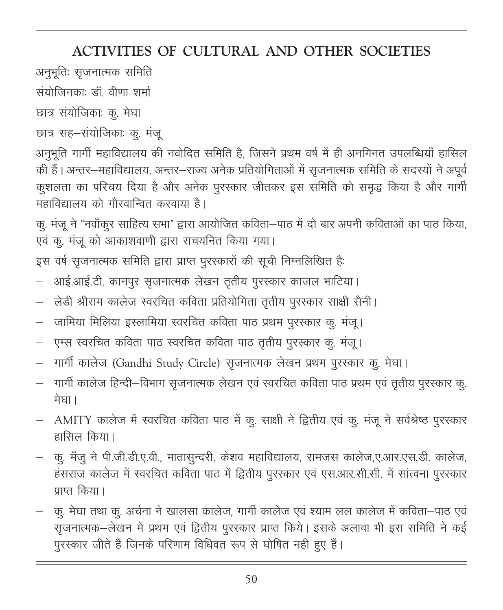# ACTIVITIES OF CULTURAL AND OTHER SOCIETIES

- अनुभूतिः सृजनात्मक समिति
- संयोजिनकाः डॉ वीणा शर्मा
- छात्र संयोजिकाः कु. मेघा
- छात्र सह–संयोजिकाः कु. मंजू

अनुभूति गार्गी महाविद्यालय की नवोदित समिति है, जिसने प्रथम वर्ष में ही अनगिनत उपलब्धियाँ हासिल की हैं। अन्तर–महाविद्यालय, अन्तर–राज्य अनेक प्रतियोगिताओं में सृजनात्मक समिति के सदस्यों ने अपूर्व कुशलता का परिचय दिया है और अनेक पुरस्कार जीतकर इस समिति को समृद्ध किया है और गार्गी महाविद्यालय को गौरवान्वित करवाया है।

कु. मंजू ने "नवाँकूर साहित्य सभा" द्वारा आयोजित कविता–पाठ में दो बार अपनी कविताओं का पाठ किया, एवं कु. मंजू को आकाशवाणी द्वारा राचयनित किया गया।

इस वर्ष सृजनात्मक समिति द्वारा प्राप्त पुरस्कारों की सूची निम्नलिखित है:

- आई.आई.टी. कानपुर सृजनात्मक लेखन तृतीय पुरस्कार काजल भाटिया।
- लेडी श्रीराम कालेज स्वरचित कविता प्रतियोगिता तृतीय पुरस्कार साक्षी सैनी।
- जामिया मिलिया इस्लामिया स्वरचित कविता पाठ प्रथम पुरस्कार कु. मंजू।
- एम्स स्वरचित कविता पाठ स्वरचित कविता पाठ तृतीय पुरस्कार कु. मंजू।
- गार्गी कालेज (Gandhi Study Circle) सृजनात्मक लेखन प्रथम पुरस्कार क्. मेघा।
- .<br>गार्गी कालेज हिन्दी–विभाग सृजनात्मक लेखन एवं स्वरचित कविता पाठ प्रथम एवं तृतीय पुरस्कार क् मेघा।
- AMITY कालेज में स्वरचित कविता पाठ में कु. साक्षी ने द्वितीय एवं कु. मंजू ने सर्वश्रेष्ठ पुरस्कार हासिल किया।
- कु. मॅंजू ने पी.जी.डी.ए.वी., मातासून्दरी, केशव महाविद्यालय, रामजस कालेज,ए.आर.एस.डी. कालेज, हंसराज कालेज में स्वरचित कविता पाठ में द्वितीय पुरस्कार एवं एस.आर.सी.सी. में सांत्वना पुरस्कार प्राप्त किया।
- कु. मेघा तथा कू. अर्चना ने खालसा कालेज, गार्गी कालेज एवं श्याम लल कालेज में कविता—पाठ एवं सृजनात्मक–लेखन में प्रथम एवं द्वितीय पुरस्कार प्राप्त किये। इसके अलावा भी इस समिति ने कई पुरस्कार जीते हैं जिनके परिणाम विधिवत रूप से घोषित नही हुए हैं।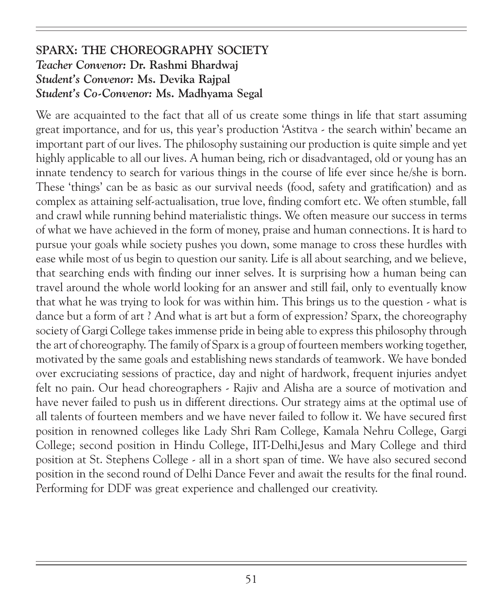#### SPARX: THE CHOREOGRAPHY SOCIETY Teacher Convenor: Dr. Rashmi Bhardwaj Student's Convenor: Ms. Devika Rajpal Student's Co-Convenor: Ms. Madhyama Segal

We are acquainted to the fact that all of us create some things in life that start assuming great importance, and for us, this year's production 'Astitva - the search within' became an important part of our lives. The philosophy sustaining our production is quite simple and yet highly applicable to all our lives. A human being, rich or disadvantaged, old or young has an innate tendency to search for various things in the course of life ever since he/she is born. These 'things' can be as basic as our survival needs (food, safety and gratification) and as complex as attaining self-actualisation, true love, finding comfort etc. We often stumble, fall and crawl while running behind materialistic things. We often measure our success in terms of what we have achieved in the form of money, praise and human connections. It is hard to pursue your goals while society pushes you down, some manage to cross these hurdles with ease while most of us begin to question our sanity. Life is all about searching, and we believe, that searching ends with finding our inner selves. It is surprising how a human being can travel around the whole world looking for an answer and still fail, only to eventually know that what he was trying to look for was within him. This brings us to the question - what is dance but a form of art ? And what is art but a form of expression? Sparx, the choreography society of Gargi College takes immense pride in being able to express this philosophy through the art of choreography. The family of Sparx is a group of fourteen members working together, motivated by the same goals and establishing news standards of teamwork. We have bonded over excruciating sessions of practice, day and night of hardwork, frequent injuries andyet felt no pain. Our head choreographers - Rajiv and Alisha are a source of motivation and have never failed to push us in different directions. Our strategy aims at the optimal use of all talents of fourteen members and we have never failed to follow it. We have secured first position in renowned colleges like Lady Shri Ram College, Kamala Nehru College, Gargi College; second position in Hindu College, IIT-Delhi,Jesus and Mary College and third position at St. Stephens College - all in a short span of time. We have also secured second position in the second round of Delhi Dance Fever and await the results for the final round. Performing for DDF was great experience and challenged our creativity.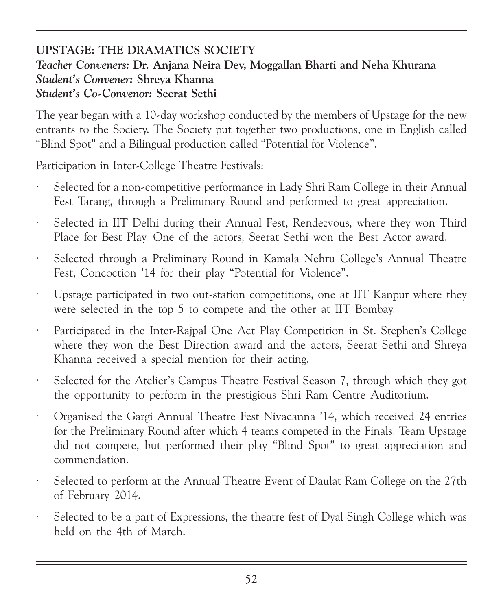#### UPSTAGE: THE DRAMATICS SOCIETY Teacher Conveners: Dr. Anjana Neira Dev, Moggallan Bharti and Neha Khurana Student's Convener: Shreya Khanna Student's Co-Convenor: Seerat Sethi

The year began with a 10-day workshop conducted by the members of Upstage for the new entrants to the Society. The Society put together two productions, one in English called "Blind Spot" and a Bilingual production called "Potential for Violence".

Participation in Inter-College Theatre Festivals:

- Selected for a non-competitive performance in Lady Shri Ram College in their Annual Fest Tarang, through a Preliminary Round and performed to great appreciation.
- Selected in IIT Delhi during their Annual Fest, Rendezvous, where they won Third Place for Best Play. One of the actors, Seerat Sethi won the Best Actor award.
- Selected through a Preliminary Round in Kamala Nehru College's Annual Theatre Fest, Concoction '14 for their play "Potential for Violence".
- · Upstage participated in two out-station competitions, one at IIT Kanpur where they were selected in the top 5 to compete and the other at IIT Bombay.
- · Participated in the Inter-Rajpal One Act Play Competition in St. Stephen's College where they won the Best Direction award and the actors, Seerat Sethi and Shreya Khanna received a special mention for their acting.
- · Selected for the Atelier's Campus Theatre Festival Season 7, through which they got the opportunity to perform in the prestigious Shri Ram Centre Auditorium.
- · Organised the Gargi Annual Theatre Fest Nivacanna '14, which received 24 entries for the Preliminary Round after which 4 teams competed in the Finals. Team Upstage did not compete, but performed their play "Blind Spot" to great appreciation and commendation.
- Selected to perform at the Annual Theatre Event of Daulat Ram College on the 27th of February 2014.
- Selected to be a part of Expressions, the theatre fest of Dyal Singh College which was held on the 4th of March.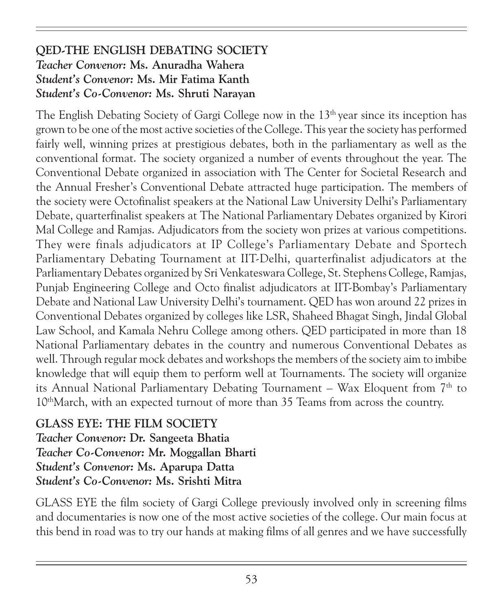#### QED-THE ENGLISH DEBATING SOCIETY Teacher Convenor: Ms. Anuradha Wahera Student's Convenor: Ms. Mir Fatima Kanth Student's Co-Convenor: Ms. Shruti Narayan

The English Debating Society of Gargi College now in the  $13<sup>th</sup>$  year since its inception has grown to be one of the most active societies of the College. This year the society has performed fairly well, winning prizes at prestigious debates, both in the parliamentary as well as the conventional format. The society organized a number of events throughout the year. The Conventional Debate organized in association with The Center for Societal Research and the Annual Fresher's Conventional Debate attracted huge participation. The members of the society were Octofinalist speakers at the National Law University Delhi's Parliamentary Debate, quarterfinalist speakers at The National Parliamentary Debates organized by Kirori Mal College and Ramjas. Adjudicators from the society won prizes at various competitions. They were finals adjudicators at IP College's Parliamentary Debate and Sportech Parliamentary Debating Tournament at IIT-Delhi, quarterfinalist adjudicators at the Parliamentary Debates organized by Sri Venkateswara College, St. Stephens College, Ramjas, Punjab Engineering College and Octo finalist adjudicators at IIT-Bombay's Parliamentary Debate and National Law University Delhi's tournament. QED has won around 22 prizes in Conventional Debates organized by colleges like LSR, Shaheed Bhagat Singh, Jindal Global Law School, and Kamala Nehru College among others. QED participated in more than 18 National Parliamentary debates in the country and numerous Conventional Debates as well. Through regular mock debates and workshops the members of the society aim to imbibe knowledge that will equip them to perform well at Tournaments. The society will organize its Annual National Parliamentary Debating Tournament – Wax Eloquent from  $7<sup>th</sup>$  to 10thMarch, with an expected turnout of more than 35 Teams from across the country.

#### GLASS EYE: THE FILM SOCIETY Teacher Convenor: Dr. Sangeeta Bhatia Teacher Co-Convenor: Mr. Moggallan Bharti Student's Convenor: Ms. Aparupa Datta Student's Co-Convenor: Ms. Srishti Mitra

GLASS EYE the film society of Gargi College previously involved only in screening films and documentaries is now one of the most active societies of the college. Our main focus at this bend in road was to try our hands at making films of all genres and we have successfully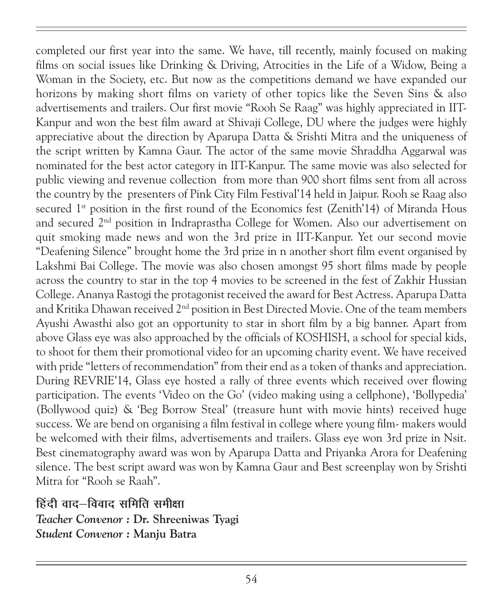completed our first year into the same. We have, till recently, mainly focused on making films on social issues like Drinking & Driving, Atrocities in the Life of a Widow, Being a Woman in the Society, etc. But now as the competitions demand we have expanded our horizons by making short films on variety of other topics like the Seven Sins & also advertisements and trailers. Our first movie "Rooh Se Raag" was highly appreciated in IIT-Kanpur and won the best film award at Shivaji College, DU where the judges were highly appreciative about the direction by Aparupa Datta & Srishti Mitra and the uniqueness of the script written by Kamna Gaur. The actor of the same movie Shraddha Aggarwal was nominated for the best actor category in IIT-Kanpur. The same movie was also selected for public viewing and revenue collection from more than 900 short films sent from all across the country by the presenters of Pink City Film Festival'14 held in Jaipur. Rooh se Raag also secured  $1<sup>st</sup>$  position in the first round of the Economics fest (Zenith'14) of Miranda Hous and secured  $2<sup>nd</sup>$  position in Indraprastha College for Women. Also our advertisement on quit smoking made news and won the 3rd prize in IIT-Kanpur. Yet our second movie "Deafening Silence" brought home the 3rd prize in n another short film event organised by Lakshmi Bai College. The movie was also chosen amongst 95 short films made by people across the country to star in the top 4 movies to be screened in the fest of Zakhir Hussian College. Ananya Rastogi the protagonist received the award for Best Actress. Aparupa Datta and Kritika Dhawan received 2<sup>nd</sup> position in Best Directed Movie. One of the team members Ayushi Awasthi also got an opportunity to star in short film by a big banner. Apart from above Glass eye was also approached by the officials of KOSHISH, a school for special kids, to shoot for them their promotional video for an upcoming charity event. We have received with pride "letters of recommendation" from their end as a token of thanks and appreciation. During REVRIE'14, Glass eye hosted a rally of three events which received over flowing participation. The events 'Video on the Go' (video making using a cellphone), 'Bollypedia' (Bollywood quiz) & 'Beg Borrow Steal' (treasure hunt with movie hints) received huge success. We are bend on organising a film festival in college where young film- makers would be welcomed with their films, advertisements and trailers. Glass eye won 3rd prize in Nsit. Best cinematography award was won by Aparupa Datta and Priyanka Arora for Deafening silence. The best script award was won by Kamna Gaur and Best screenplay won by Srishti Mitra for "Rooh se Raah".

हिंदी वाद–विवाद समिति समीक्षा

Teacher Convenor : Dr. Shreeniwas Tyagi Student Convenor : Manju Batra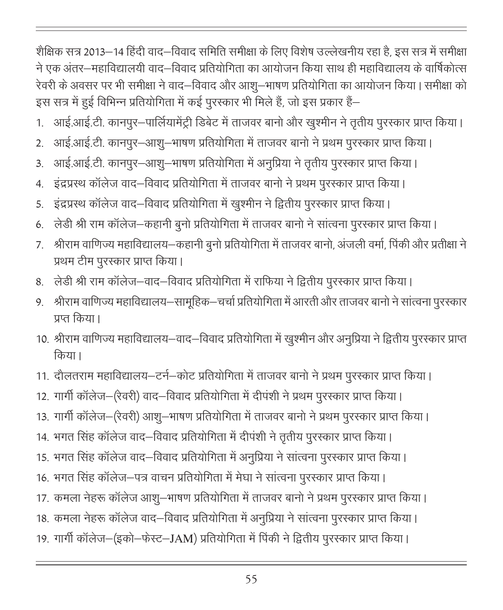शैक्षिक सत्र 2013—14 हिंदी वाद—विवाद समिति समीक्षा के लिए विशेष उल्लेखनीय रहा है, इस सत्र में समीक्षा ने एक अंतर—महाविद्यालयी वाद—विवाद प्रतियोगिता का आयोजन किया साथ ही महाविद्यालय के वार्षिकोत्स रेवरी के अवसर पर भी समीक्षा ने वाद—विवाद और आशू—भाषण प्रतियोगिता का आयोजन किया। समीक्षा को इस सत्र में हुई विभिन्न प्रतियोगिता में कई पुरस्कार भी मिले हैं, जो इस प्रकार हैं—

- 1. आई.आई.टी. कानपुर-पार्लियामेंट्री डिबेट में ताजवर बानो और खुश्मीन ने तृतीय पुरस्कार प्राप्त किया।
- 2. आई.आई.टी. कानपुर-आशु-भाषण प्रतियोगिता में ताजवर बानो ने प्रथम पुरस्कार प्राप्त किया।
- 3. आई.आई.टी. कानपुर-आशु-भाषण प्रतियोगिता में अनुप्रिया ने तृतीय पुरस्कार प्राप्त किया।
- 4. इंद्रप्रस्थ कॉलेज वाद–विवाद प्रतियोगिता में ताजवर बानो ने प्रथम पुरस्कार प्राप्त किया।
- 5. इंद्रप्रस्थ कॉलेज वाद–विवाद प्रतियोगिता में खुश्मीन ने द्वितीय पुरस्कार प्राप्त किया।
- 6. लेडी श्री राम कॉलेज-कहानी बूनो प्रतियोगिता में ताजवर बानो ने सांत्वना पुरस्कार प्राप्त किया।
- 7. श्रीराम वाणिज्य महाविद्यालय—कहानी बुनो प्रतियोगिता में ताजवर बानो, अंजली वर्मा, पिंकी और प्रतीक्षा ने प्रथम टीम पुरस्कार प्राप्त किया।
- 8. लेडी श्री राम कॉलेज-वाद-विवाद प्रतियोगिता में राफिया ने द्वितीय पुरस्कार प्राप्त किया।
- 9. श्रीराम वाणिज्य महाविद्यालय—सामूहिक—चर्चा प्रतियोगिता में आरती और ताजवर बानो ने सांत्वना पूरस्कार प्रप्त किया।
- 10. श्रीराम वाणिज्य महाविद्यालय—वाद—विवाद प्रतियोगिता में खुश्मीन और अनुप्रिया ने द्वितीय पुरस्कार प्राप्त किया।
- 11. दौलतराम महाविद्यालय-टर्न-कोट प्रतियोगिता में ताजवर बानो ने प्रथम पुरस्कार प्राप्त किया।
- 12. गार्गी कॉलेज-(रेवरी) वाद-विवाद प्रतियोगिता में दीपंशी ने प्रथम पुरस्कार प्राप्त किया।
- 13. गार्गी कॉलेज–(रेवरी) आशू–भाषण प्रतियोगिता में ताजवर बानो ने प्रथम पुरस्कार प्राप्त किया।
- 14. भगत सिंह कॉलेज वाद–विवाद प्रतियोगिता में दीपंशी ने तृतीय पुरस्कार प्राप्त किया।
- 15. भगत सिंह कॉलेज वाद–विवाद प्रतियोगिता में अनुप्रिया ने सांत्वना पुरस्कार प्राप्त किया।
- 16. भगत सिंह कॉलेज-पत्र वाचन प्रतियोगिता में मेघा ने सांत्वना पुरस्कार प्राप्त किया।
- 17. कमला नेहरू कॉलेज आशु—भाषण प्रतियोगिता में ताजवर बानो ने प्रथम पुरस्कार प्राप्त किया।
- 18. कमला नेहरू कॉलेज वाद–विवाद प्रतियोगिता में अनुप्रिया ने सांत्वना पुरस्कार प्राप्त किया।
- 19. गार्गी कॉलेज–(इको–फेस्ट–JAM) प्रतियोगिता में पिंकी ने द्वितीय पुरस्कार प्राप्त किया।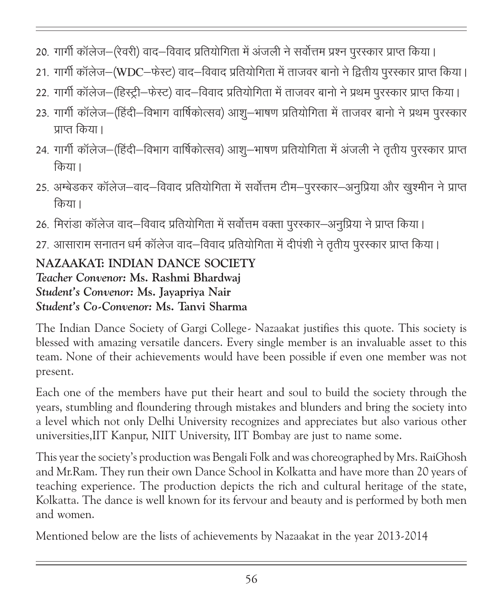- 20. गार्गी कॉलेज–(रेवरी) वाद–विवाद प्रतियोगिता में अंजली ने सर्वोत्तम प्रश्न पुरस्कार प्राप्त किया।
- 21. गार्गी कॉलेज-(WDC-फेस्ट) वाद-विवाद प्रतियोगिता में ताजवर बानो ने द्वितीय पुरस्कार प्राप्त किया।
- 22. गार्गी कॉलेज–(हिस्ट्री–फेस्ट) वाद–विवाद प्रतियोगिता में ताजवर बानो ने प्रथम पुरस्कार प्राप्त किया।
- 23. गार्गी कॉलेज–(हिंदी–विभाग वार्षिकोत्सव) आशु–भाषण प्रतियोगिता में ताजवर बानो ने प्रथम पुरस्कार प्राप्त किया।
- 24. गार्गी कॉलेज–(हिंदी–विभाग वार्षिकोत्सव) आशू–भाषण प्रतियोगिता में अंजली ने तृतीय पुरस्कार प्राप्त किया।
- 25. अम्बेडकर कॉलेज—वाद—विवाद प्रतियोगिता में सर्वोत्तम टीम—पूरस्कार—अनुप्रिया और खुश्मीन ने प्राप्त किया।
- 26. मिरांडा कॉलेज वाद–विवाद प्रतियोगिता में सर्वोत्तम वक्ता पुरस्कार–अनुप्रिया ने प्राप्त किया।
- 27. आसाराम सनातन धर्म कॉलेज वाद–विवाद प्रतियोगिता में दीपंशी ने तृतीय पूरस्कार प्राप्त किया।

NAZAAKAT: INDIAN DANCE SOCIETY Teacher Convenor: Ms. Rashmi Bhardwaj Student's Convenor: Ms. Jayapriya Nair Student's Co-Convenor: Ms. Tanvi Sharma

The Indian Dance Society of Gargi College- Nazaakat justifies this quote. This society is blessed with amazing versatile dancers. Every single member is an invaluable asset to this team. None of their achievements would have been possible if even one member was not present.

Each one of the members have put their heart and soul to build the society through the years, stumbling and floundering through mistakes and blunders and bring the society into a level which not only Delhi University recognizes and appreciates but also various other universities,IIT Kanpur, NIIT University, IIT Bombay are just to name some.

This year the society's production was Bengali Folk and was choreographed by Mrs. RaiGhosh and Mr.Ram. They run their own Dance School in Kolkatta and have more than 20 years of teaching experience. The production depicts the rich and cultural heritage of the state, Kolkatta. The dance is well known for its fervour and beauty and is performed by both men and women.

Mentioned below are the lists of achievements by Nazaakat in the year 2013-2014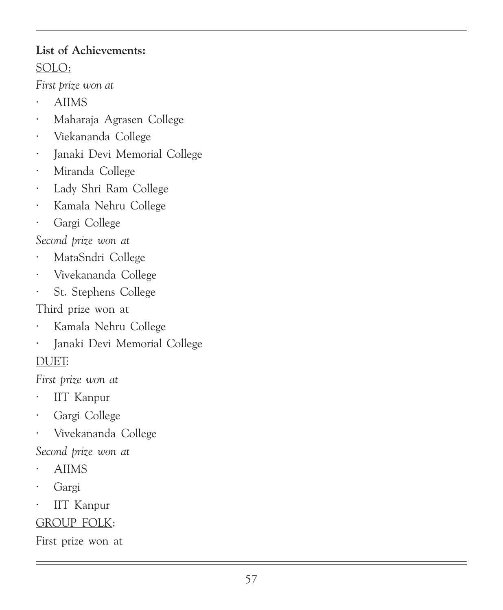# List of Achievements: SOLO:

First prize won at

- · AIIMS
- · Maharaja Agrasen College
- · Viekananda College
- · Janaki Devi Memorial College
- · Miranda College
- · Lady Shri Ram College
- · Kamala Nehru College
- Gargi College

Second prize won at

- · MataSndri College
- · Vivekananda College
- · St. Stephens College

Third prize won at

- · Kamala Nehru College
- · Janaki Devi Memorial College

### DUET:

First prize won at

- · IIT Kanpur
- Gargi College
- · Vivekananda College

Second prize won at

- · AIIMS
- · Gargi
- IIT Kanpur

### GROUP FOLK:

First prize won at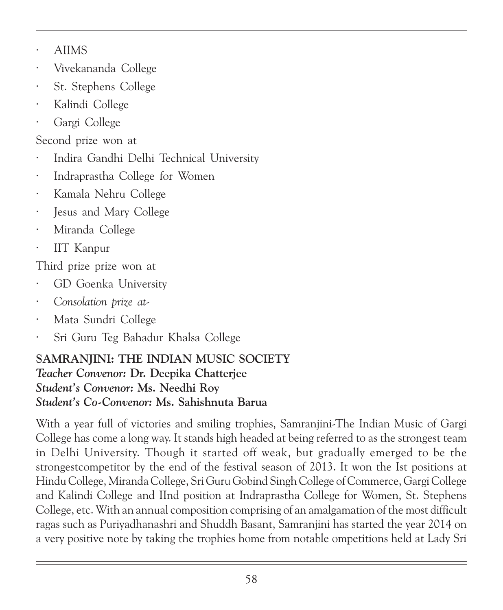- · AIIMS
- · Vivekananda College
- · St. Stephens College
- Kalindi College
- Gargi College

Second prize won at

- · Indira Gandhi Delhi Technical University
- Indraprastha College for Women
- · Kamala Nehru College
- Jesus and Mary College
- Miranda College
- IIT Kanpur

Third prize prize won at

- · GD Goenka University
- Consolation prize at-
- · Mata Sundri College
- · Sri Guru Teg Bahadur Khalsa College

#### SAMRANJINI: THE INDIAN MUSIC SOCIETY Teacher Convenor: Dr. Deepika Chatterjee Student's Convenor: Ms. Needhi Roy Student's Co-Convenor: Ms. Sahishnuta Barua

With a year full of victories and smiling trophies, Samranjini-The Indian Music of Gargi College has come a long way. It stands high headed at being referred to as the strongest team in Delhi University. Though it started off weak, but gradually emerged to be the strongestcompetitor by the end of the festival season of 2013. It won the Ist positions at Hindu College, Miranda College, Sri Guru Gobind Singh College of Commerce, Gargi College and Kalindi College and IInd position at Indraprastha College for Women, St. Stephens College, etc. With an annual composition comprising of an amalgamation of the most difficult ragas such as Puriyadhanashri and Shuddh Basant, Samranjini has started the year 2014 on a very positive note by taking the trophies home from notable ompetitions held at Lady Sri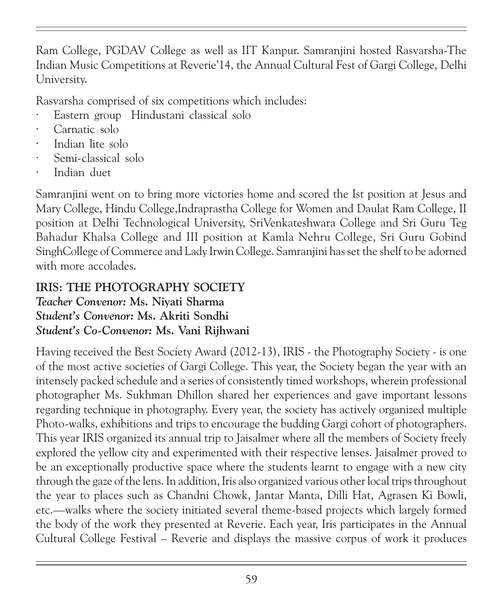Ram College, PGDAV College as well as IIT Kanpur. Samranjini hosted Rasvarsha-The Indian Music Competitions at Reverie'14, the Annual Cultural Fest of Gargi College, Delhi University.

Rasvarsha comprised of six competitions which includes:

- Eastern group Hindustani classical solo
- Carnatic solo
- · Indian lite solo
- · Semi-classical solo
- Indian duet

Samranjini went on to bring more victories home and scored the Ist position at Jesus and Mary College, Hindu College,Indraprastha College for Women and Daulat Ram College, II position at Delhi Technological University, SriVenkateshwara College and Sri Guru Teg Bahadur Khalsa College and III position at Kamla Nehru College, Sri Guru Gobind SinghCollege of Commerce and Lady Irwin College. Samranjini has set the shelf to be adorned with more accolades.

### IRIS: THE PHOTOGRAPHY SOCIETY

Teacher Convenor: Ms. Niyati Sharma Student's Convenor: Ms. Akriti Sondhi Student's Co-Convenor: Ms. Vani Rijhwani

Having received the Best Society Award (2012-13), IRIS - the Photography Society - is one of the most active societies of Gargi College. This year, the Society began the year with an intensely packed schedule and a series of consistently timed workshops, wherein professional photographer Ms. Sukhman Dhillon shared her experiences and gave important lessons regarding technique in photography. Every year, the society has actively organized multiple Photo-walks, exhibitions and trips to encourage the budding Gargi cohort of photographers. This year IRIS organized its annual trip to Jaisalmer where all the members of Society freely explored the yellow city and experimented with their respective lenses. Jaisalmer proved to be an exceptionally productive space where the students learnt to engage with a new city through the gaze of the lens. In addition, Iris also organized various other local trips throughout the year to places such as Chandni Chowk, Jantar Manta, Dilli Hat, Agrasen Ki Bowli, etc.—walks where the society initiated several theme-based projects which largely formed the body of the work they presented at Reverie. Each year, Iris participates in the Annual Cultural College Festival – Reverie and displays the massive corpus of work it produces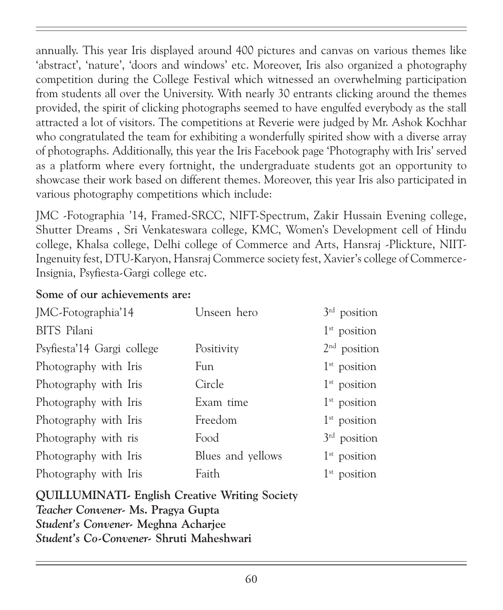annually. This year Iris displayed around 400 pictures and canvas on various themes like 'abstract', 'nature', 'doors and windows' etc. Moreover, Iris also organized a photography competition during the College Festival which witnessed an overwhelming participation from students all over the University. With nearly 30 entrants clicking around the themes provided, the spirit of clicking photographs seemed to have engulfed everybody as the stall attracted a lot of visitors. The competitions at Reverie were judged by Mr. Ashok Kochhar who congratulated the team for exhibiting a wonderfully spirited show with a diverse array of photographs. Additionally, this year the Iris Facebook page 'Photography with Iris' served as a platform where every fortnight, the undergraduate students got an opportunity to showcase their work based on different themes. Moreover, this year Iris also participated in various photography competitions which include:

JMC -Fotographia '14, Framed-SRCC, NIFT-Spectrum, Zakir Hussain Evening college, Shutter Dreams , Sri Venkateswara college, KMC, Women's Development cell of Hindu college, Khalsa college, Delhi college of Commerce and Arts, Hansraj -Plickture, NIIT-Ingenuity fest, DTU-Karyon, Hansraj Commerce society fest, Xavier's college of Commerce-Insignia, Psyfiesta-Gargi college etc.

#### Some of our achievements are:

| JMC-Fotographia'14         | Unseen hero       | $3rd$ position |
|----------------------------|-------------------|----------------|
| <b>BITS</b> Pilani         |                   | $1st$ position |
| Psyfiesta'14 Gargi college | Positivity        | $2nd$ position |
| Photography with Iris      | Fun               | $1st$ position |
| Photography with Iris      | Circle            | $1st$ position |
| Photography with Iris      | Exam time         | $1st$ position |
| Photography with Iris      | Freedom           | $1st$ position |
| Photography with ris       | Food              | $3rd$ position |
| Photography with Iris      | Blues and yellows | $1st$ position |
| Photography with Iris      | Faith             | $1st$ position |

QUILLUMINATI- English Creative Writing Society Teacher Convener- Ms. Pragya Gupta Student's Convener- Meghna Acharjee Student's Co-Convener- Shruti Maheshwari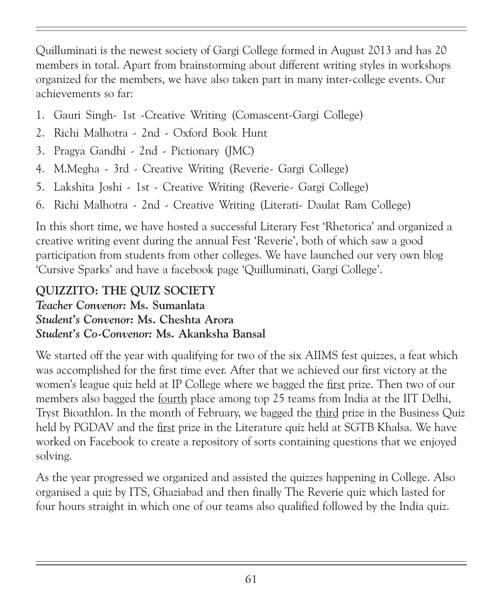Quilluminati is the newest society of Gargi College formed in August 2013 and has 20 members in total. Apart from brainstorming about different writing styles in workshops organized for the members, we have also taken part in many inter-college events. Our achievements so far:

- 1. Gauri Singh- 1st -Creative Writing (Comascent-Gargi College)
- 2. Richi Malhotra 2nd Oxford Book Hunt
- 3. Pragya Gandhi 2nd Pictionary (JMC)
- 4. M.Megha 3rd Creative Writing (Reverie- Gargi College)
- 5. Lakshita Joshi 1st Creative Writing (Reverie- Gargi College)
- 6. Richi Malhotra 2nd Creative Writing (Literati- Daulat Ram College)

In this short time, we have hosted a successful Literary Fest 'Rhetorica' and organized a creative writing event during the annual Fest 'Reverie', both of which saw a good participation from students from other colleges. We have launched our very own blog 'Cursive Sparks' and have a facebook page 'Quilluminati, Gargi College'.

# QUIZZITO: THE QUIZ SOCIETY

Teacher Convenor: Ms. Sumanlata Student's Convenor: Ms. Cheshta Arora Student's Co-Convenor: Ms. Akanksha Bansal

We started off the year with qualifying for two of the six AIIMS fest quizzes, a feat which was accomplished for the first time ever. After that we achieved our first victory at the women's league quiz held at IP College where we bagged the first prize. Then two of our members also bagged the fourth place among top 25 teams from India at the IIT Delhi, Tryst Bioathlon. In the month of February, we bagged the third prize in the Business Quiz held by PGDAV and the first prize in the Literature quiz held at SGTB Khalsa. We have worked on Facebook to create a repository of sorts containing questions that we enjoyed solving.

As the year progressed we organized and assisted the quizzes happening in College. Also organised a quiz by ITS, Ghaziabad and then finally The Reverie quiz which lasted for four hours straight in which one of our teams also qualified followed by the India quiz.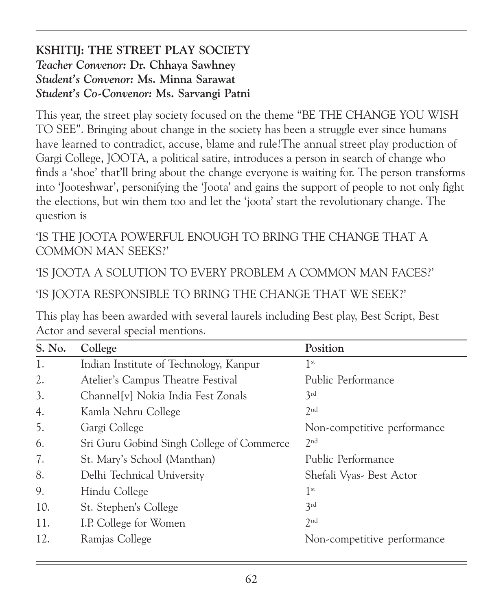#### KSHITIJ: THE STREET PLAY SOCIETY Teacher Convenor: Dr. Chhaya Sawhney Student's Convenor: Ms. Minna Sarawat Student's Co-Convenor: Ms. Sarvangi Patni

This year, the street play society focused on the theme "BE THE CHANGE YOU WISH TO SEE". Bringing about change in the society has been a struggle ever since humans have learned to contradict, accuse, blame and rule!The annual street play production of Gargi College, JOOTA, a political satire, introduces a person in search of change who finds a 'shoe' that'll bring about the change everyone is waiting for. The person transforms into 'Jooteshwar', personifying the 'Joota' and gains the support of people to not only fight the elections, but win them too and let the 'joota' start the revolutionary change. The question is

'IS THE JOOTA POWERFUL ENOUGH TO BRING THE CHANGE THAT A COMMON MAN SEEKS?'

'IS JOOTA A SOLUTION TO EVERY PROBLEM A COMMON MAN FACES?'

'IS JOOTA RESPONSIBLE TO BRING THE CHANGE THAT WE SEEK?'

This play has been awarded with several laurels including Best play, Best Script, Best Actor and several special mentions.

| S. No. | College                                   | Position                    |
|--------|-------------------------------------------|-----------------------------|
| 1.     | Indian Institute of Technology, Kanpur    | 1 <sup>st</sup>             |
| 2.     | Atelier's Campus Theatre Festival         | Public Performance          |
| 3.     | Channel [v] Nokia India Fest Zonals       | 3rd                         |
| 4.     | Kamla Nehru College                       | 2nd                         |
| 5.     | Gargi College                             | Non-competitive performance |
| 6.     | Sri Guru Gobind Singh College of Commerce | 2 <sup>nd</sup>             |
| 7.     | St. Mary's School (Manthan)               | Public Performance          |
| 8.     | Delhi Technical University                | Shefali Vyas - Best Actor   |
| 9.     | Hindu College                             | 1 <sup>st</sup>             |
| 10.    | St. Stephen's College                     | 3rd                         |
| 11.    | I.P. College for Women                    | 2 <sub>nd</sub>             |
| 12.    | Ramjas College                            | Non-competitive performance |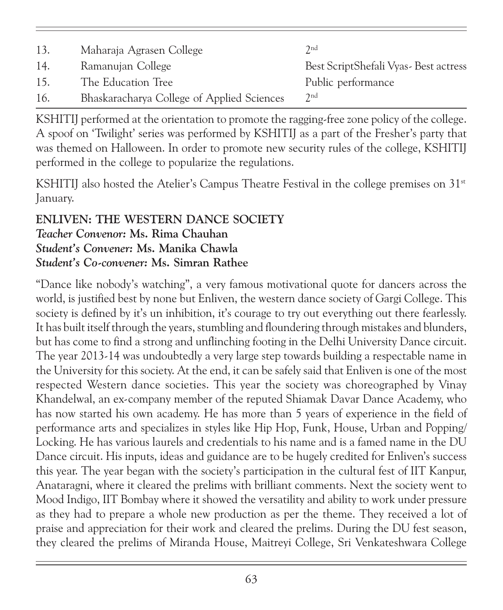| 13. | Maharaja Agrasen College                   | 2 <sub>nd</sub>                         |
|-----|--------------------------------------------|-----------------------------------------|
| 14. | Ramanujan College                          | Best Script Shefali Vyas - Best actress |
| 15. | The Education Tree                         | Public performance                      |
| 16. | Bhaskaracharya College of Applied Sciences | 2 <sub>nd</sub>                         |

KSHITIJ performed at the orientation to promote the ragging-free zone policy of the college. A spoof on 'Twilight' series was performed by KSHITIJ as a part of the Fresher's party that was themed on Halloween. In order to promote new security rules of the college, KSHITIJ performed in the college to popularize the regulations.

KSHITIJ also hosted the Atelier's Campus Theatre Festival in the college premises on 31<sup>st</sup> January.

#### ENLIVEN: THE WESTERN DANCE SOCIETY Teacher Convenor: Ms. Rima Chauhan Student's Convener: Ms. Manika Chawla Student's Co-convener: Ms. Simran Rathee

"Dance like nobody's watching", a very famous motivational quote for dancers across the world, is justified best by none but Enliven, the western dance society of Gargi College. This society is defined by it's un inhibition, it's courage to try out everything out there fearlessly. It has built itself through the years, stumbling and floundering through mistakes and blunders, but has come to find a strong and unflinching footing in the Delhi University Dance circuit. The year 2013-14 was undoubtedly a very large step towards building a respectable name in the University for this society. At the end, it can be safely said that Enliven is one of the most respected Western dance societies. This year the society was choreographed by Vinay Khandelwal, an ex-company member of the reputed Shiamak Davar Dance Academy, who has now started his own academy. He has more than 5 years of experience in the field of performance arts and specializes in styles like Hip Hop, Funk, House, Urban and Popping/ Locking. He has various laurels and credentials to his name and is a famed name in the DU Dance circuit. His inputs, ideas and guidance are to be hugely credited for Enliven's success this year. The year began with the society's participation in the cultural fest of IIT Kanpur, Anataragni, where it cleared the prelims with brilliant comments. Next the society went to Mood Indigo, IIT Bombay where it showed the versatility and ability to work under pressure as they had to prepare a whole new production as per the theme. They received a lot of praise and appreciation for their work and cleared the prelims. During the DU fest season, they cleared the prelims of Miranda House, Maitreyi College, Sri Venkateshwara College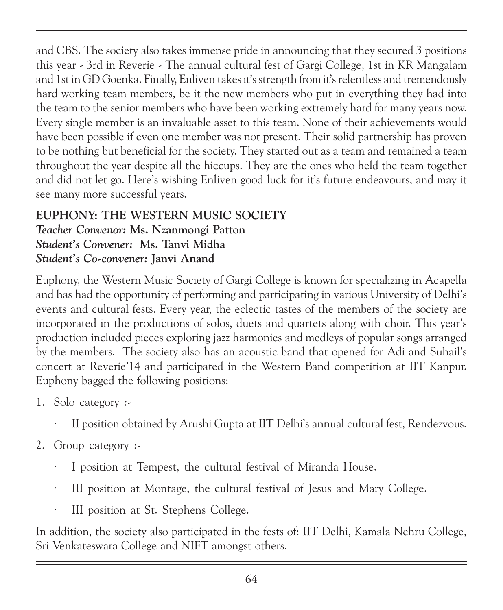and CBS. The society also takes immense pride in announcing that they secured 3 positions this year - 3rd in Reverie - The annual cultural fest of Gargi College, 1st in KR Mangalam and 1st in GD Goenka. Finally, Enliven takes it's strength from it's relentless and tremendously hard working team members, be it the new members who put in everything they had into the team to the senior members who have been working extremely hard for many years now. Every single member is an invaluable asset to this team. None of their achievements would have been possible if even one member was not present. Their solid partnership has proven to be nothing but beneficial for the society. They started out as a team and remained a team throughout the year despite all the hiccups. They are the ones who held the team together and did not let go. Here's wishing Enliven good luck for it's future endeavours, and may it see many more successful years.

#### EUPHONY: THE WESTERN MUSIC SOCIETY Teacher Convenor: Ms. Nzanmongi Patton Student's Convener: Ms. Tanvi Midha Student's Co-convener: Janvi Anand

Euphony, the Western Music Society of Gargi College is known for specializing in Acapella and has had the opportunity of performing and participating in various University of Delhi's events and cultural fests. Every year, the eclectic tastes of the members of the society are incorporated in the productions of solos, duets and quartets along with choir. This year's production included pieces exploring jazz harmonies and medleys of popular songs arranged by the members. The society also has an acoustic band that opened for Adi and Suhail's concert at Reverie'14 and participated in the Western Band competition at IIT Kanpur. Euphony bagged the following positions:

- 1. Solo category :-
	- · II position obtained by Arushi Gupta at IIT Delhi's annual cultural fest, Rendezvous.
- 2. Group category :-
	- · I position at Tempest, the cultural festival of Miranda House.
	- III position at Montage, the cultural festival of Jesus and Mary College.
	- · III position at St. Stephens College.

In addition, the society also participated in the fests of: IIT Delhi, Kamala Nehru College, Sri Venkateswara College and NIFT amongst others.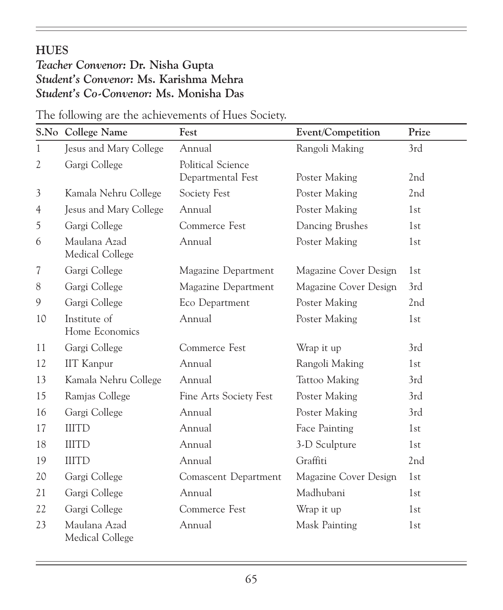### **HUES**

### Teacher Convenor: Dr. Nisha Gupta Student's Convenor: Ms. Karishma Mehra Student's Co-Convenor: Ms. Monisha Das

|                          | S.No College Name               | Fest                                   | Event/Competition     | Prize           |
|--------------------------|---------------------------------|----------------------------------------|-----------------------|-----------------|
| 1                        | Jesus and Mary College          | Annual                                 | Rangoli Making        | 3rd             |
| $\mathfrak{2}$           | Gargi College                   | Political Science<br>Departmental Fest | Poster Making         | 2nd             |
| 3                        | Kamala Nehru College            | Society Fest                           | Poster Making         | 2nd             |
| $\overline{4}$           | Jesus and Mary College          | Annual                                 | Poster Making         | 1st             |
| 5                        | Gargi College                   | Commerce Fest                          | Dancing Brushes       | 1st             |
| 6                        | Maulana Azad<br>Medical College | Annual                                 | Poster Making         | 1st             |
| $\overline{\mathcal{U}}$ | Gargi College                   | Magazine Department                    | Magazine Cover Design | 1st             |
| 8                        | Gargi College                   | Magazine Department                    | Magazine Cover Design | 3rd             |
| $\mathcal{G}$            | Gargi College                   | Eco Department                         | Poster Making         | 2nd             |
| 10                       | Institute of<br>Home Economics  | Annual                                 | Poster Making         | 1st             |
| 11                       | Gargi College                   | Commerce Fest                          | Wrap it up            | 3rd             |
| 12                       | <b>IIT</b> Kanpur               | Annual                                 | Rangoli Making        | 1st             |
| 13                       | Kamala Nehru College            | Annual                                 | Tattoo Making         | 3rd             |
| 15                       | Ramjas College                  | Fine Arts Society Fest                 | Poster Making         | 3rd             |
| 16                       | Gargi College                   | Annual                                 | Poster Making         | 3rd             |
| 17                       | <b>IIITD</b>                    | Annual                                 | Face Painting         | 1st             |
| 18                       | <b>IIITD</b>                    | Annual                                 | 3-D Sculpture         | 1st             |
| 19                       | <b>IIITD</b>                    | Annual                                 | Graffiti              | 2 <sub>nd</sub> |
| 20                       | Gargi College                   | Comascent Department                   | Magazine Cover Design | 1st             |
| 21                       | Gargi College                   | Annual                                 | Madhubani             | 1st             |
| 22                       | Gargi College                   | Commerce Fest                          | Wrap it up            | 1st             |
| 23                       | Maulana Azad<br>Medical College | Annual                                 | Mask Painting         | 1st             |

The following are the achievements of Hues Society.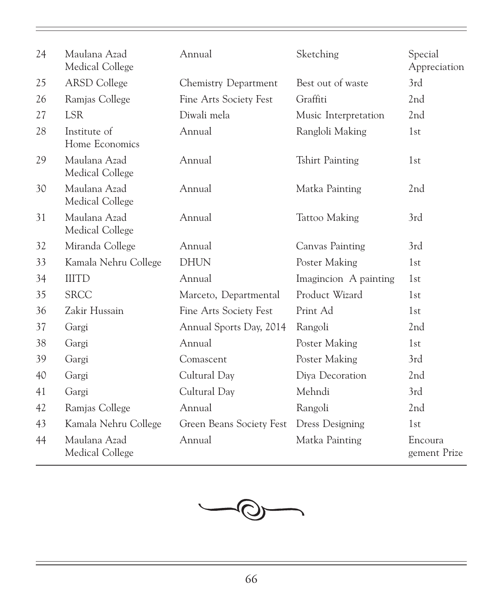| 24 | Maulana Azad<br>Medical College | Annual                   | Sketching              | Special<br>Appreciation |
|----|---------------------------------|--------------------------|------------------------|-------------------------|
| 25 | <b>ARSD</b> College             | Chemistry Department     | Best out of waste      | 3rd                     |
| 26 | Ramjas College                  | Fine Arts Society Fest   | Graffiti               | 2nd                     |
| 27 | <b>LSR</b>                      | Diwali mela              | Music Interpretation   | 2 <sub>nd</sub>         |
| 28 | Institute of<br>Home Economics  | Annual                   | Rangloli Making        | 1st                     |
| 29 | Maulana Azad<br>Medical College | Annual                   | <b>Tshirt Painting</b> | 1st                     |
| 30 | Maulana Azad<br>Medical College | Annual                   | Matka Painting         | 2nd                     |
| 31 | Maulana Azad<br>Medical College | Annual                   | Tattoo Making          | 3rd                     |
| 32 | Miranda College                 | Annual                   | Canvas Painting        | 3rd                     |
| 33 | Kamala Nehru College            | <b>DHUN</b>              | Poster Making          | 1st                     |
| 34 | <b>IIITD</b>                    | Annual                   | Imagincion A painting  | 1st                     |
| 35 | <b>SRCC</b>                     | Marceto, Departmental    | Product Wizard         | 1 <sub>st</sub>         |
| 36 | Zakir Hussain                   | Fine Arts Society Fest   | Print Ad               | 1st                     |
| 37 | Gargi                           | Annual Sports Day, 2014  | Rangoli                | 2 <sub>nd</sub>         |
| 38 | Gargi                           | Annual                   | Poster Making          | 1st                     |
| 39 | Gargi                           | Comascent                | Poster Making          | 3rd                     |
| 40 | Gargi                           | Cultural Day             | Diya Decoration        | 2 <sub>nd</sub>         |
| 41 | Gargi                           | Cultural Day             | Mehndi                 | 3rd                     |
| 42 | Ramjas College                  | Annual                   | Rangoli                | 2 <sub>nd</sub>         |
| 43 | Kamala Nehru College            | Green Beans Society Fest | <b>Dress Designing</b> | 1st                     |
| 44 | Maulana Azad<br>Medical College | Annual                   | Matka Painting         | Encoura<br>gement Prize |

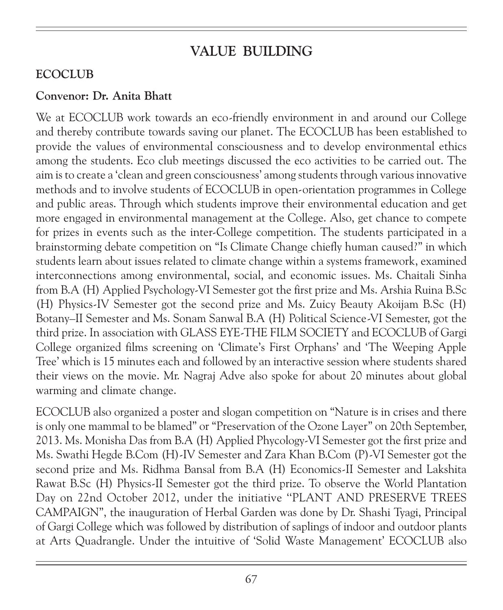# VALUE BUILDING

#### **ECOCLUB**

#### Convenor: Dr. Anita Bhatt

We at ECOCLUB work towards an eco-friendly environment in and around our College and thereby contribute towards saving our planet. The ECOCLUB has been established to provide the values of environmental consciousness and to develop environmental ethics among the students. Eco club meetings discussed the eco activities to be carried out. The aim is to create a 'clean and green consciousness' among students through various innovative methods and to involve students of ECOCLUB in open-orientation programmes in College and public areas. Through which students improve their environmental education and get more engaged in environmental management at the College. Also, get chance to compete for prizes in events such as the inter-College competition. The students participated in a brainstorming debate competition on "Is Climate Change chiefly human caused?" in which students learn about issues related to climate change within a systems framework, examined interconnections among environmental, social, and economic issues. Ms. Chaitali Sinha from B.A (H) Applied Psychology-VI Semester got the first prize and Ms. Arshia Ruina B.Sc (H) Physics-IV Semester got the second prize and Ms. Zuicy Beauty Akoijam B.Sc (H) Botany–II Semester and Ms. Sonam Sanwal B.A (H) Political Science-VI Semester, got the third prize. In association with GLASS EYE-THE FILM SOCIETY and ECOCLUB of Gargi College organized films screening on 'Climate's First Orphans' and 'The Weeping Apple Tree' which is 15 minutes each and followed by an interactive session where students shared their views on the movie. Mr. Nagraj Adve also spoke for about 20 minutes about global warming and climate change.

ECOCLUB also organized a poster and slogan competition on "Nature is in crises and there is only one mammal to be blamed" or "Preservation of the Ozone Layer" on 20th September, 2013. Ms. Monisha Das from B.A (H) Applied Phycology-VI Semester got the first prize and Ms. Swathi Hegde B.Com (H)-IV Semester and Zara Khan B.Com (P)-VI Semester got the second prize and Ms. Ridhma Bansal from B.A (H) Economics-II Semester and Lakshita Rawat B.Sc (H) Physics-II Semester got the third prize. To observe the World Plantation Day on 22nd October 2012, under the initiative ''PLANT AND PRESERVE TREES CAMPAIGN", the inauguration of Herbal Garden was done by Dr. Shashi Tyagi, Principal of Gargi College which was followed by distribution of saplings of indoor and outdoor plants at Arts Quadrangle. Under the intuitive of 'Solid Waste Management' ECOCLUB also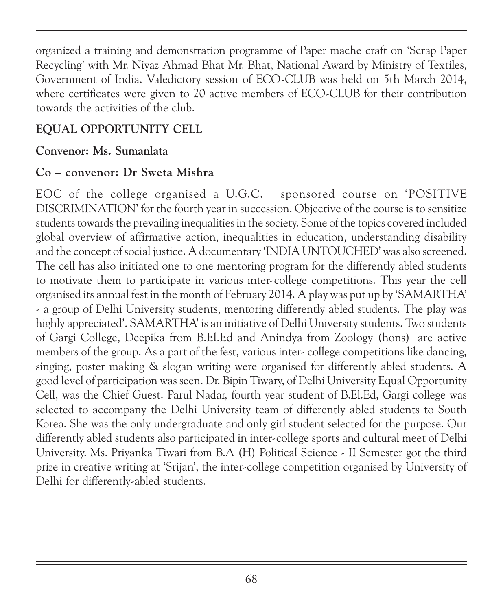organized a training and demonstration programme of Paper mache craft on 'Scrap Paper Recycling' with Mr. Niyaz Ahmad Bhat Mr. Bhat, National Award by Ministry of Textiles, Government of India. Valedictory session of ECO-CLUB was held on 5th March 2014, where certificates were given to 20 active members of ECO-CLUB for their contribution towards the activities of the club.

### EQUAL OPPORTUNITY CELL

### Convenor: Ms. Sumanlata

### Co – convenor: Dr Sweta Mishra

EOC of the college organised a U.G.C. sponsored course on 'POSITIVE DISCRIMINATION' for the fourth year in succession. Objective of the course is to sensitize students towards the prevailing inequalities in the society. Some of the topics covered included global overview of affirmative action, inequalities in education, understanding disability and the concept of social justice. A documentary 'INDIA UNTOUCHED' was also screened. The cell has also initiated one to one mentoring program for the differently abled students to motivate them to participate in various inter-college competitions. This year the cell organised its annual fest in the month of February 2014. A play was put up by 'SAMARTHA' - a group of Delhi University students, mentoring differently abled students. The play was highly appreciated'. SAMARTHA' is an initiative of Delhi University students. Two students of Gargi College, Deepika from B.El.Ed and Anindya from Zoology (hons) are active members of the group. As a part of the fest, various inter- college competitions like dancing, singing, poster making & slogan writing were organised for differently abled students. A good level of participation was seen. Dr. Bipin Tiwary, of Delhi University Equal Opportunity Cell, was the Chief Guest. Parul Nadar, fourth year student of B.El.Ed, Gargi college was selected to accompany the Delhi University team of differently abled students to South Korea. She was the only undergraduate and only girl student selected for the purpose. Our differently abled students also participated in inter-college sports and cultural meet of Delhi University. Ms. Priyanka Tiwari from B.A (H) Political Science - II Semester got the third prize in creative writing at 'Srijan', the inter-college competition organised by University of Delhi for differently-abled students.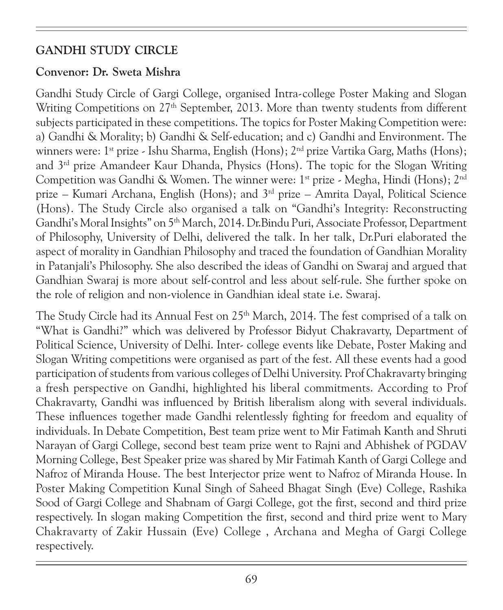### GANDHI STUDY CIRCLE

#### Convenor: Dr. Sweta Mishra

Gandhi Study Circle of Gargi College, organised Intra-college Poster Making and Slogan Writing Competitions on 27<sup>th</sup> September, 2013. More than twenty students from different subjects participated in these competitions. The topics for Poster Making Competition were: a) Gandhi & Morality; b) Gandhi & Self-education; and c) Gandhi and Environment. The winners were:  $1^{st}$  prize - Ishu Sharma, English (Hons);  $2^{nd}$  prize Vartika Garg, Maths (Hons); and 3rd prize Amandeer Kaur Dhanda, Physics (Hons). The topic for the Slogan Writing Competition was Gandhi & Women. The winner were: 1<sup>st</sup> prize - Megha, Hindi (Hons); 2<sup>nd</sup> prize – Kumari Archana, English (Hons); and 3rd prize – Amrita Dayal, Political Science (Hons). The Study Circle also organised a talk on "Gandhi's Integrity: Reconstructing Gandhi's Moral Insights" on 5<sup>th</sup> March, 2014. Dr.Bindu Puri, Associate Professor, Department of Philosophy, University of Delhi, delivered the talk. In her talk, Dr.Puri elaborated the aspect of morality in Gandhian Philosophy and traced the foundation of Gandhian Morality in Patanjali's Philosophy. She also described the ideas of Gandhi on Swaraj and argued that Gandhian Swaraj is more about self-control and less about self-rule. She further spoke on the role of religion and non-violence in Gandhian ideal state i.e. Swaraj.

The Study Circle had its Annual Fest on 25<sup>th</sup> March, 2014. The fest comprised of a talk on "What is Gandhi?" which was delivered by Professor Bidyut Chakravarty, Department of Political Science, University of Delhi. Inter- college events like Debate, Poster Making and Slogan Writing competitions were organised as part of the fest. All these events had a good participation of students from various colleges of Delhi University. Prof Chakravarty bringing a fresh perspective on Gandhi, highlighted his liberal commitments. According to Prof Chakravarty, Gandhi was influenced by British liberalism along with several individuals. These influences together made Gandhi relentlessly fighting for freedom and equality of individuals. In Debate Competition, Best team prize went to Mir Fatimah Kanth and Shruti Narayan of Gargi College, second best team prize went to Rajni and Abhishek of PGDAV Morning College, Best Speaker prize was shared by Mir Fatimah Kanth of Gargi College and Nafroz of Miranda House. The best Interjector prize went to Nafroz of Miranda House. In Poster Making Competition Kunal Singh of Saheed Bhagat Singh (Eve) College, Rashika Sood of Gargi College and Shabnam of Gargi College, got the first, second and third prize respectively. In slogan making Competition the first, second and third prize went to Mary Chakravarty of Zakir Hussain (Eve) College , Archana and Megha of Gargi College respectively.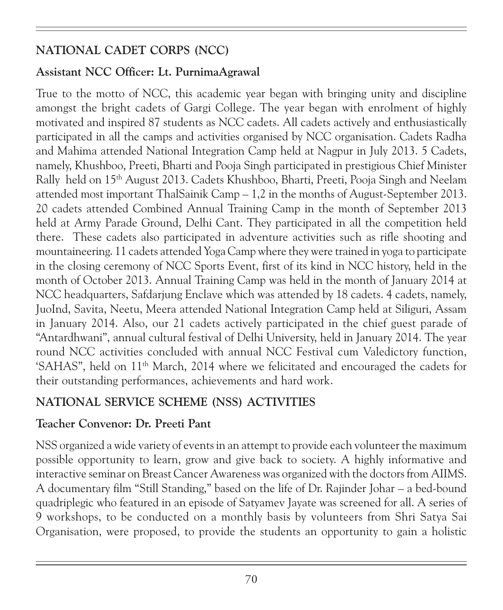# NATIONAL CADET CORPS (NCC)

### Assistant NCC Officer: Lt. PurnimaAgrawal

True to the motto of NCC, this academic year began with bringing unity and discipline amongst the bright cadets of Gargi College. The year began with enrolment of highly motivated and inspired 87 students as NCC cadets. All cadets actively and enthusiastically participated in all the camps and activities organised by NCC organisation. Cadets Radha and Mahima attended National Integration Camp held at Nagpur in July 2013. 5 Cadets, namely, Khushboo, Preeti, Bharti and Pooja Singh participated in prestigious Chief Minister Rally held on 15th August 2013. Cadets Khushboo, Bharti, Preeti, Pooja Singh and Neelam attended most important ThalSainik Camp – 1,2 in the months of August-September 2013. 20 cadets attended Combined Annual Training Camp in the month of September 2013 held at Army Parade Ground, Delhi Cant. They participated in all the competition held there. These cadets also participated in adventure activities such as rifle shooting and mountaineering. 11 cadets attended Yoga Camp where they were trained in yoga to participate in the closing ceremony of NCC Sports Event, first of its kind in NCC history, held in the month of October 2013. Annual Training Camp was held in the month of January 2014 at NCC headquarters, Safdarjung Enclave which was attended by 18 cadets. 4 cadets, namely, JuoInd, Savita, Neetu, Meera attended National Integration Camp held at Siliguri, Assam in January 2014. Also, our 21 cadets actively participated in the chief guest parade of "Antardhwani", annual cultural festival of Delhi University, held in January 2014. The year round NCC activities concluded with annual NCC Festival cum Valedictory function, 'SAHAS", held on 11th March, 2014 where we felicitated and encouraged the cadets for their outstanding performances, achievements and hard work.

# NATIONAL SERVICE SCHEME (NSS) ACTIVITIES

### Teacher Convenor: Dr. Preeti Pant

NSS organized a wide variety of events in an attempt to provide each volunteer the maximum possible opportunity to learn, grow and give back to society. A highly informative and interactive seminar on Breast Cancer Awareness was organized with the doctors from AIIMS. A documentary film "Still Standing," based on the life of Dr. Rajinder Johar – a bed-bound quadriplegic who featured in an episode of Satyamev Jayate was screened for all. A series of 9 workshops, to be conducted on a monthly basis by volunteers from Shri Satya Sai Organisation, were proposed, to provide the students an opportunity to gain a holistic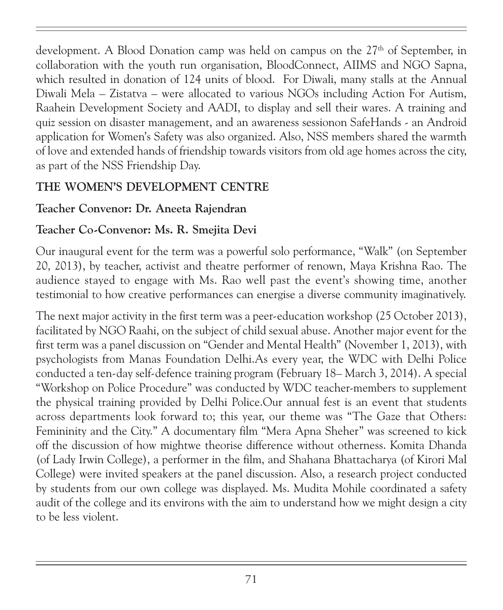development. A Blood Donation camp was held on campus on the  $27<sup>th</sup>$  of September, in collaboration with the youth run organisation, BloodConnect, AIIMS and NGO Sapna, which resulted in donation of 124 units of blood. For Diwali, many stalls at the Annual Diwali Mela – Zistatva – were allocated to various NGOs including Action For Autism, Raahein Development Society and AADI, to display and sell their wares. A training and quiz session on disaster management, and an awareness sessionon SafeHands - an Android application for Women's Safety was also organized. Also, NSS members shared the warmth of love and extended hands of friendship towards visitors from old age homes across the city, as part of the NSS Friendship Day.

## THE WOMEN'S DEVELOPMENT CENTRE

### Teacher Convenor: Dr. Aneeta Rajendran

### Teacher Co-Convenor: Ms. R. Smejita Devi

Our inaugural event for the term was a powerful solo performance, "Walk" (on September 20, 2013), by teacher, activist and theatre performer of renown, Maya Krishna Rao. The audience stayed to engage with Ms. Rao well past the event's showing time, another testimonial to how creative performances can energise a diverse community imaginatively.

The next major activity in the first term was a peer-education workshop (25 October 2013), facilitated by NGO Raahi, on the subject of child sexual abuse. Another major event for the first term was a panel discussion on "Gender and Mental Health" (November 1, 2013), with psychologists from Manas Foundation Delhi.As every year, the WDC with Delhi Police conducted a ten-day self-defence training program (February 18– March 3, 2014). A special "Workshop on Police Procedure" was conducted by WDC teacher-members to supplement the physical training provided by Delhi Police.Our annual fest is an event that students across departments look forward to; this year, our theme was "The Gaze that Others: Femininity and the City." A documentary film "Mera Apna Sheher" was screened to kick off the discussion of how mightwe theorise difference without otherness. Komita Dhanda (of Lady Irwin College), a performer in the film, and Shahana Bhattacharya (of Kirori Mal College) were invited speakers at the panel discussion. Also, a research project conducted by students from our own college was displayed. Ms. Mudita Mohile coordinated a safety audit of the college and its environs with the aim to understand how we might design a city to be less violent.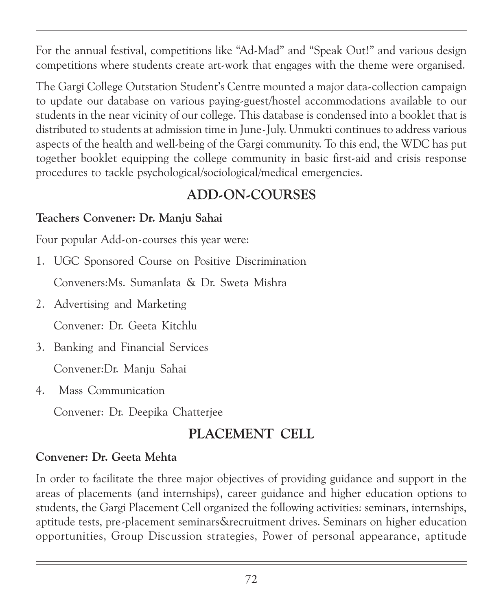For the annual festival, competitions like "Ad-Mad" and "Speak Out!" and various design competitions where students create art-work that engages with the theme were organised.

The Gargi College Outstation Student's Centre mounted a major data-collection campaign to update our database on various paying-guest/hostel accommodations available to our students in the near vicinity of our college. This database is condensed into a booklet that is distributed to students at admission time in June-July. Unmukti continues to address various aspects of the health and well-being of the Gargi community. To this end, the WDC has put together booklet equipping the college community in basic first-aid and crisis response procedures to tackle psychological/sociological/medical emergencies.

# ADD-ON-COURSES

### Teachers Convener: Dr. Manju Sahai

Four popular Add-on-courses this year were:

1. UGC Sponsored Course on Positive Discrimination

Conveners:Ms. Sumanlata & Dr. Sweta Mishra

2. Advertising and Marketing

Convener: Dr. Geeta Kitchlu

- 3. Banking and Financial Services Convener:Dr. Manju Sahai
- 4. Mass Communication

Convener: Dr. Deepika Chatterjee

# PLACEMENT CELL

### Convener: Dr. Geeta Mehta

In order to facilitate the three major objectives of providing guidance and support in the areas of placements (and internships), career guidance and higher education options to students, the Gargi Placement Cell organized the following activities: seminars, internships, aptitude tests, pre-placement seminars&recruitment drives. Seminars on higher education opportunities, Group Discussion strategies, Power of personal appearance, aptitude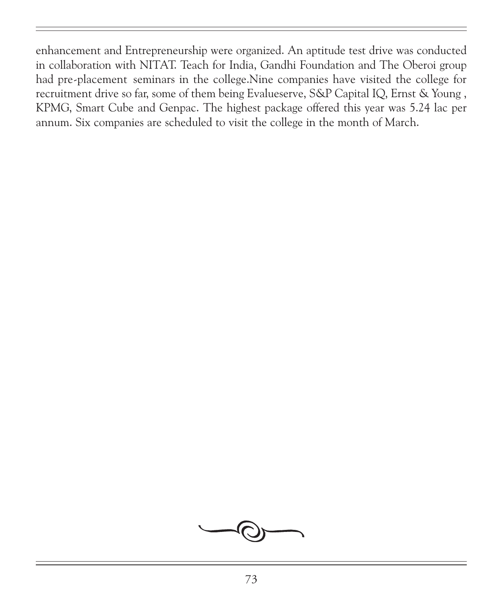enhancement and Entrepreneurship were organized. An aptitude test drive was conducted in collaboration with NITAT. Teach for India, Gandhi Foundation and The Oberoi group had pre-placement seminars in the college.Nine companies have visited the college for recruitment drive so far, some of them being Evalueserve, S&P Capital IQ, Ernst & Young , KPMG, Smart Cube and Genpac. The highest package offered this year was 5.24 lac per annum. Six companies are scheduled to visit the college in the month of March.

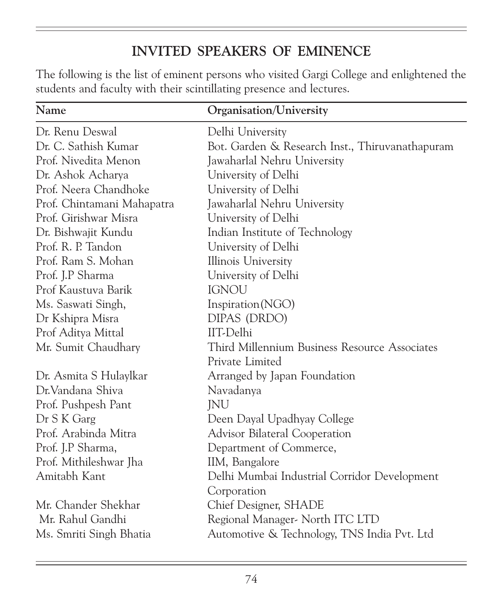## INVITED SPEAKERS OF EMINENCE

The following is the list of eminent persons who visited Gargi College and enlightened the students and faculty with their scintillating presence and lectures.

| Name                       | Organisation/University                         |
|----------------------------|-------------------------------------------------|
| Dr. Renu Deswal            | Delhi University                                |
| Dr. C. Sathish Kumar       | Bot. Garden & Research Inst., Thiruvanathapuram |
| Prof. Nivedita Menon       | Jawaharlal Nehru University                     |
| Dr. Ashok Acharya          | University of Delhi                             |
| Prof. Neera Chandhoke      | University of Delhi                             |
| Prof. Chintamani Mahapatra | Jawaharlal Nehru University                     |
| Prof. Girishwar Misra      | University of Delhi                             |
| Dr. Bishwajit Kundu        | Indian Institute of Technology                  |
| Prof. R. P. Tandon         | University of Delhi                             |
| Prof. Ram S. Mohan         | Illinois University                             |
| Prof. J.P Sharma           | University of Delhi                             |
| Prof Kaustuva Barik        | <b>IGNOU</b>                                    |
| Ms. Saswati Singh,         | Inspiration(NGO)                                |
| Dr Kshipra Misra           | DIPAS (DRDO)                                    |
| Prof Aditya Mittal         | IIT-Delhi                                       |
| Mr. Sumit Chaudhary        | Third Millennium Business Resource Associates   |
|                            | Private Limited                                 |
| Dr. Asmita S Hulaylkar     | Arranged by Japan Foundation                    |
| Dr. Vandana Shiva          | Navadanya                                       |
| Prof. Pushpesh Pant        | JNU                                             |
| Dr S K Garg                | Deen Dayal Upadhyay College                     |
| Prof. Arabinda Mitra       | Advisor Bilateral Cooperation                   |
| Prof. J.P Sharma,          | Department of Commerce,                         |
| Prof. Mithileshwar Jha     | IIM, Bangalore                                  |
| Amitabh Kant               | Delhi Mumbai Industrial Corridor Development    |
|                            | Corporation                                     |
| Mr. Chander Shekhar        | Chief Designer, SHADE                           |
| Mr. Rahul Gandhi           | Regional Manager- North ITC LTD                 |
| Ms. Smriti Singh Bhatia    | Automotive & Technology, TNS India Pvt. Ltd     |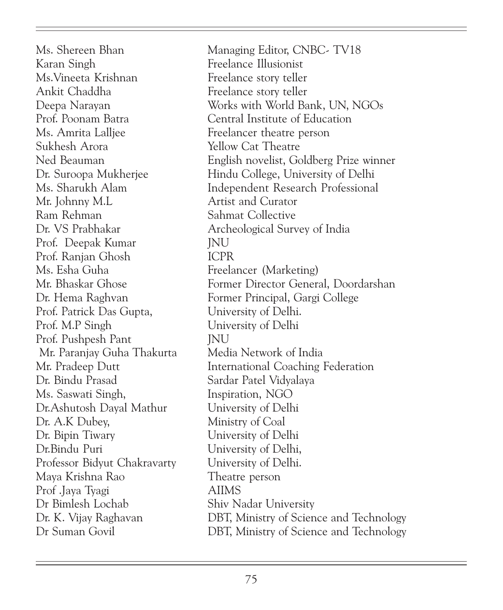Karan Singh Freelance Illusionist Ms.Vineeta Krishnan Freelance story teller Ankit Chaddha Freelance story teller Ms. Amrita Lalljee Freelancer theatre person Sukhesh Arora Yellow Cat Theatre Mr. Johnny M.L Artist and Curator Ram Rehman Sahmat Collective Dr. VS Prabhakar Archeological Survey of India Prof. Deepak Kumar JNU Prof. Ranjan Ghosh ICPR Ms. Esha Guha Freelancer (Marketing) Prof. Patrick Das Gupta, University of Delhi. Prof. M.P Singh University of Delhi Prof. Pushpesh Pant JNU Mr. Paranjay Guha Thakurta Media Network of India Dr. Bindu Prasad Sardar Patel Vidyalaya Ms. Saswati Singh, Inspiration, NGO Dr.Ashutosh Dayal Mathur University of Delhi Dr. A.K Dubey, Ministry of Coal Dr. Bipin Tiwary University of Delhi Dr.Bindu Puri University of Delhi, Professor Bidyut Chakravarty University of Delhi. Maya Krishna Rao Theatre person Prof .Jaya Tyagi AIIMS Dr Bimlesh Lochab Shiv Nadar University

Ms. Shereen Bhan Managing Editor, CNBC- TV18 Deepa Narayan Works with World Bank, UN, NGOs Prof. Poonam Batra Central Institute of Education Ned Beauman English novelist, Goldberg Prize winner Dr. Suroopa Mukherjee Hindu College, University of Delhi Ms. Sharukh Alam Independent Research Professional Mr. Bhaskar Ghose Former Director General, Doordarshan Dr. Hema Raghvan Former Principal, Gargi College Mr. Pradeep Dutt International Coaching Federation Dr. K. Vijay Raghavan DBT, Ministry of Science and Technology Dr Suman Govil DBT, Ministry of Science and Technology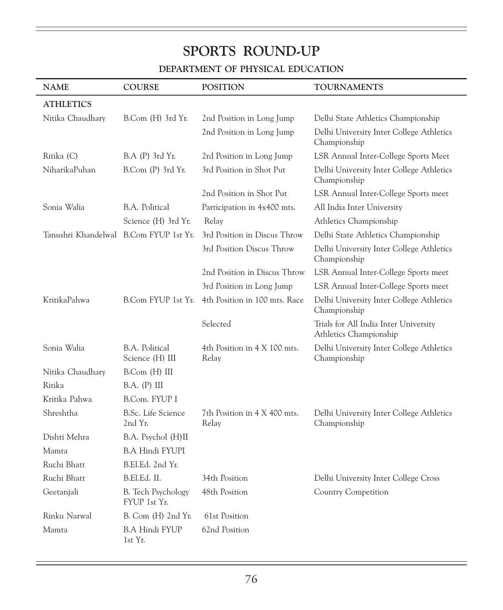## SPORTS ROUND-UP

## DEPARTMENT OF PHYSICAL EDUCATION

| <b>NAME</b>                            | <b>COURSE</b>                             | <b>POSITION</b>                       | <b>TOURNAMENTS</b>                                              |
|----------------------------------------|-------------------------------------------|---------------------------------------|-----------------------------------------------------------------|
| <b>ATHLETICS</b>                       |                                           |                                       |                                                                 |
| Nitika Chaudhary                       | B.Com (H) 3rd Yr.                         | 2nd Position in Long Jump             | Delhi State Athletics Championship                              |
|                                        |                                           | 2nd Position in Long Jump             | Delhi University Inter College Athletics<br>Championship        |
| Ritika (C)                             | $B.A$ (P) $3rd$ Yr.                       | 2rd Position in Long Jump             | LSR Annual Inter-College Sports Meet                            |
| NiharikaPuhan                          | B.Com (P) 3rd Yr.                         | 3rd Position in Shot Put              | Delhi University Inter College Athletics<br>Championship        |
|                                        |                                           | 2nd Position in Shot Put              | LSR Annual Inter-College Sports meet                            |
| Sonia Walia                            | B.A. Political                            | Participation in 4x400 mts.           | All India Inter University                                      |
|                                        | Science (H) 3rd Yr.                       | Relay                                 | Athletics Championship                                          |
| Tanushri Khandelwal B.Com FYUP 1st Yr. |                                           | 3rd Position in Discus Throw          | Delhi State Athletics Championship                              |
|                                        |                                           | 3rd Position Discus Throw             | Delhi University Inter College Athletics<br>Championship        |
|                                        |                                           | 2nd Position in Discus Throw          | LSR Annual Inter-College Sports meet                            |
|                                        |                                           | 3rd Position in Long Jump             | LSR Annual Inter-College Sports meet                            |
| KritikaPahwa                           | B.Com FYUP 1st Yr.                        | 4th Position in 100 mts. Race         | Delhi University Inter College Athletics<br>Championship        |
|                                        |                                           | Selected                              | Trials for All India Inter University<br>Athletics Championship |
| Sonia Walia                            | B.A. Political<br>Science (H) III         | 4th Position in 4 X 100 mts.<br>Relay | Delhi University Inter College Athletics<br>Championship        |
| Nitika Chaudhary                       | B.Com (H) III                             |                                       |                                                                 |
| Ritika                                 | B.A. (P) III                              |                                       |                                                                 |
| Kritika Pahwa                          | B.Com. FYUP I                             |                                       |                                                                 |
| Shreshtha                              | <b>B.Sc.</b> Life Science<br>2nd Yr.      | 7th Position in 4 X 400 mts.<br>Relay | Delhi University Inter College Athletics<br>Championship        |
| Dishti Mehra                           | B.A. Psychol (H)II                        |                                       |                                                                 |
| Mamta                                  | <b>B.A Hindi FYUPI</b>                    |                                       |                                                                 |
| Ruchi Bhatt                            | B.El.Ed. 2nd Yr.                          |                                       |                                                                 |
| Ruchi Bhatt                            | B.El.Ed. II.                              | 34th Position                         | Delhi University Inter College Cross                            |
| Geetanjali                             | <b>B.</b> Tech Psychology<br>FYUP 1st Yr. | 48th Position                         | <b>Country Competition</b>                                      |
| Rinku Narwal                           | B. Com (H) 2nd Yr.                        | 61st Position                         |                                                                 |
| Mamta                                  | <b>B.A Hindi FYUP</b><br>1st Yr.          | 62nd Position                         |                                                                 |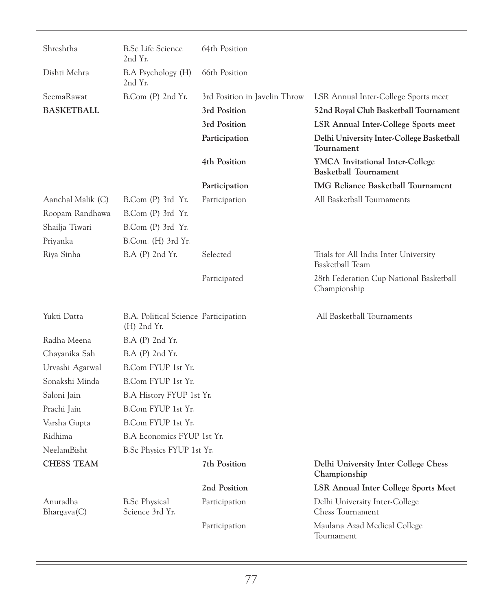| Shreshtha                            | <b>B.Sc Life Science</b><br>2nd Yr.                   | 64th Position                 |                                                                 |
|--------------------------------------|-------------------------------------------------------|-------------------------------|-----------------------------------------------------------------|
| Dishti Mehra                         | B.A Psychology (H)<br>2nd Yr.                         | 66th Position                 |                                                                 |
| SeemaRawat                           | $B_{\rm}$ Com $(P)$ 2nd $Y_{\rm}$ .                   | 3rd Position in Javelin Throw | LSR Annual Inter-College Sports meet                            |
| <b>BASKETBALL</b>                    |                                                       | 3rd Position                  | 52nd Royal Club Basketball Tournament                           |
|                                      |                                                       | 3rd Position                  | <b>LSR Annual Inter-College Sports meet</b>                     |
|                                      |                                                       | Participation                 | Delhi University Inter-College Basketball<br>Tournament         |
|                                      |                                                       | 4th Position                  | YMCA Invitational Inter-College<br><b>Basketball Tournament</b> |
|                                      |                                                       | Participation                 | <b>IMG Reliance Basketball Tournament</b>                       |
| Aanchal Malik (C)                    | B.Com (P) 3rd Yr.                                     | Participation                 | All Basketball Tournaments                                      |
| Roopam Randhawa                      | B.Com (P) 3rd Yr.                                     |                               |                                                                 |
| Shailja Tiwari                       | B.Com (P) 3rd Yr.                                     |                               |                                                                 |
| Priyanka                             | B.Com. (H) 3rd Yr.                                    |                               |                                                                 |
| Riya Sinha                           | B.A (P) 2nd Yr.                                       | Selected                      | Trials for All India Inter University<br>Basketball Team        |
|                                      |                                                       | Participated                  | 28th Federation Cup National Basketball<br>Championship         |
| Yukti Datta                          | B.A. Political Science Participation<br>$(H)$ 2nd Yr. |                               | All Basketball Tournaments                                      |
| Radha Meena                          | B.A (P) 2nd Yr.                                       |                               |                                                                 |
| Chayanika Sah                        | B.A (P) 2nd Yr.                                       |                               |                                                                 |
| Urvashi Agarwal                      | B.Com FYUP 1st Yr.                                    |                               |                                                                 |
| Sonakshi Minda                       | B.Com FYUP 1st Yr.                                    |                               |                                                                 |
| Saloni Jain                          | B.A History FYUP 1st Yr.                              |                               |                                                                 |
| Prachi Jain                          | B.Com FYUP 1st Yr.                                    |                               |                                                                 |
| Varsha Gupta                         | B.Com FYUP 1st Yr.                                    |                               |                                                                 |
| Ridhima                              | B.A Economics FYUP 1st Yr.                            |                               |                                                                 |
| NeelamBisht                          | B.Sc Physics FYUP 1st Yr.                             |                               |                                                                 |
| <b>CHESS TEAM</b>                    |                                                       | 7th Position                  | Delhi University Inter College Chess<br>Championship            |
|                                      |                                                       | 2nd Position                  | <b>LSR Annual Inter College Sports Meet</b>                     |
| Anuradha<br>B <sub>h</sub> argava(C) | <b>B.Sc Physical</b><br>Science 3rd Yr.               | Participation                 | Delhi University Inter-College<br>Chess Tournament              |
|                                      |                                                       | Participation                 | Maulana Azad Medical College<br>Tournament                      |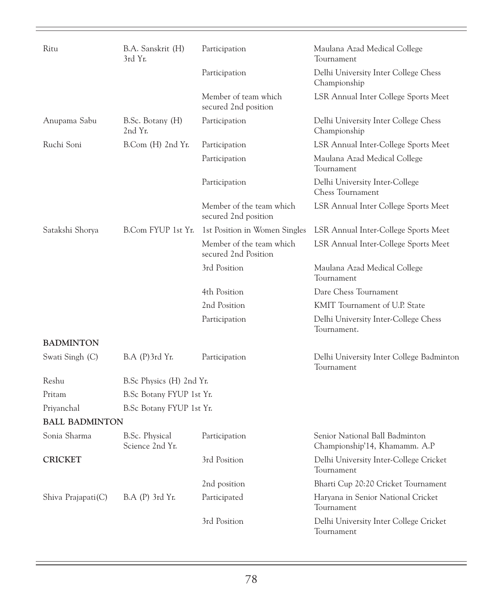| Ritu                  | B.A. Sanskrit (H)<br>3rd Yr.             | Participation                                    | Maulana Azad Medical College<br>Tournament                      |
|-----------------------|------------------------------------------|--------------------------------------------------|-----------------------------------------------------------------|
|                       |                                          | Participation                                    | Delhi University Inter College Chess<br>Championship            |
|                       |                                          | Member of team which<br>secured 2nd position     | LSR Annual Inter College Sports Meet                            |
| Anupama Sabu          | B.Sc. Botany (H)<br>2nd Yr.              | Participation                                    | Delhi University Inter College Chess<br>Championship            |
| Ruchi Soni            | B.Com (H) 2nd Yr.                        | Participation                                    | LSR Annual Inter-College Sports Meet                            |
|                       |                                          | Participation                                    | Maulana Azad Medical College<br>Tournament                      |
|                       |                                          | Participation                                    | Delhi University Inter-College<br><b>Chess Tournament</b>       |
|                       |                                          | Member of the team which<br>secured 2nd position | LSR Annual Inter College Sports Meet                            |
| Satakshi Shorya       | B.Com FYUP 1st Yr.                       | 1st Position in Women Singles                    | LSR Annual Inter-College Sports Meet                            |
|                       |                                          | Member of the team which<br>secured 2nd Position | LSR Annual Inter-College Sports Meet                            |
|                       |                                          | 3rd Position                                     | Maulana Azad Medical College<br>Tournament                      |
|                       |                                          | 4th Position                                     | Dare Chess Tournament                                           |
|                       |                                          | 2nd Position                                     | KMIT Tournament of U.P. State                                   |
|                       |                                          | Participation                                    | Delhi University Inter-College Chess<br>Tournament.             |
| <b>BADMINTON</b>      |                                          |                                                  |                                                                 |
| Swati Singh (C)       | B.A (P)3rd Yr.                           | Participation                                    | Delhi University Inter College Badminton<br>Tournament          |
| Reshu                 | B.Sc Physics (H) 2nd Yr.                 |                                                  |                                                                 |
| Pritam                | B.Sc Botany FYUP 1st Yr.                 |                                                  |                                                                 |
| Priyanchal            | B.Sc Botany FYUP 1st Yr.                 |                                                  |                                                                 |
| <b>BALL BADMINTON</b> |                                          |                                                  |                                                                 |
| Sonia Sharma          | <b>B.Sc. Physical</b><br>Science 2nd Yr. | Participation                                    | Senior National Ball Badminton<br>Championship'14, Khamamm. A.P |
| <b>CRICKET</b>        |                                          | 3rd Position                                     | Delhi University Inter-College Cricket<br>Tournament            |
|                       |                                          | 2nd position                                     | Bharti Cup 20:20 Cricket Tournament                             |
| Shiva Prajapati $(C)$ | B.A (P) 3rd Yr.                          | Participated                                     | Haryana in Senior National Cricket<br>Tournament                |
|                       |                                          | 3rd Position                                     | Delhi University Inter College Cricket<br>Tournament            |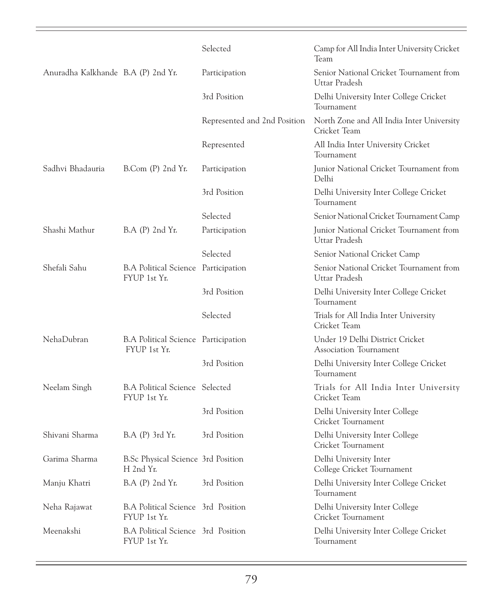|                                    |                                                       | Selected                     | Camp for All India Inter University Cricket<br>Team       |
|------------------------------------|-------------------------------------------------------|------------------------------|-----------------------------------------------------------|
| Anuradha Kalkhande B.A (P) 2nd Yr. |                                                       | Participation                | Senior National Cricket Tournament from<br>Uttar Pradesh  |
|                                    |                                                       | 3rd Position                 | Delhi University Inter College Cricket<br>Tournament      |
|                                    |                                                       | Represented and 2nd Position | North Zone and All India Inter University<br>Cricket Team |
|                                    |                                                       | Represented                  | All India Inter University Cricket<br>Tournament          |
| Sadhvi Bhadauria                   | $B_{\rm}$ Com $(P)$ 2nd Yr.                           | Participation                | Junior National Cricket Tournament from<br>Delhi          |
|                                    |                                                       | 3rd Position                 | Delhi University Inter College Cricket<br>Tournament      |
|                                    |                                                       | Selected                     | Senior National Cricket Tournament Camp                   |
| Shashi Mathur                      | $B.A$ (P) $2nd Yr$ .                                  | Participation                | Junior National Cricket Tournament from<br>Uttar Pradesh  |
|                                    |                                                       | Selected                     | Senior National Cricket Camp                              |
| Shefali Sahu                       | B.A Political Science Participation<br>FYUP 1st Yr.   |                              | Senior National Cricket Tournament from<br>Uttar Pradesh  |
|                                    |                                                       | 3rd Position                 | Delhi University Inter College Cricket<br>Tournament      |
|                                    |                                                       | Selected                     | Trials for All India Inter University<br>Cricket Team     |
| <b>NehaDubran</b>                  | B.A Political Science Participation<br>FYUP 1st Yr.   |                              | Under 19 Delhi District Cricket<br>Association Tournament |
|                                    |                                                       | 3rd Position                 | Delhi University Inter College Cricket<br>Tournament      |
| Neelam Singh                       | <b>B.A Political Science Selected</b><br>FYUP 1st Yr. |                              | Trials for All India Inter University<br>Cricket Team     |
|                                    |                                                       | 3rd Position                 | Delhi University Inter College<br>Cricket Tournament      |
| Shivani Sharma                     | B.A (P) 3rd Yr.                                       | 3rd Position                 | Delhi University Inter College<br>Cricket Tournament      |
| Garima Sharma                      | B.Sc Physical Science 3rd Position<br>H 2nd Yr.       |                              | Delhi University Inter<br>College Cricket Tournament      |
| Manju Khatri                       | B.A (P) 2nd Yr.                                       | 3rd Position                 | Delhi University Inter College Cricket<br>Tournament      |
| Neha Rajawat                       | B.A Political Science 3rd Position<br>FYUP 1st Yr.    |                              | Delhi University Inter College<br>Cricket Tournament      |
| Meenakshi                          | B.A Political Science 3rd Position<br>FYUP 1st Yr.    |                              | Delhi University Inter College Cricket<br>Tournament      |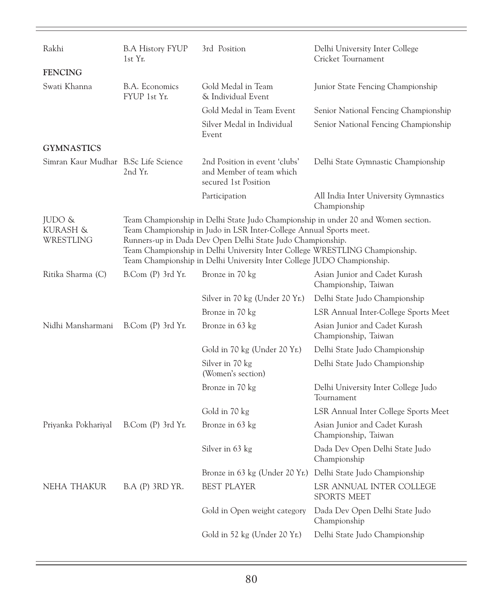| Rakhi                                | <b>B.A History FYUP</b><br>1st Yr. | 3rd Position                                                                                                                                                                                                                                                                              | Delhi University Inter College<br>Cricket Tournament                              |
|--------------------------------------|------------------------------------|-------------------------------------------------------------------------------------------------------------------------------------------------------------------------------------------------------------------------------------------------------------------------------------------|-----------------------------------------------------------------------------------|
| <b>FENCING</b>                       |                                    |                                                                                                                                                                                                                                                                                           |                                                                                   |
| Swati Khanna                         | B.A. Economics<br>FYUP 1st Yr.     | Gold Medal in Team<br>& Individual Event                                                                                                                                                                                                                                                  | Junior State Fencing Championship                                                 |
|                                      |                                    | Gold Medal in Team Event                                                                                                                                                                                                                                                                  | Senior National Fencing Championship                                              |
|                                      |                                    | Silver Medal in Individual<br>Event                                                                                                                                                                                                                                                       | Senior National Fencing Championship                                              |
| <b>GYMNASTICS</b>                    |                                    |                                                                                                                                                                                                                                                                                           |                                                                                   |
| Simran Kaur Mudhar B.Sc Life Science | 2nd Yr.                            | 2nd Position in event 'clubs'<br>and Member of team which<br>secured 1st Position                                                                                                                                                                                                         | Delhi State Gymnastic Championship                                                |
|                                      |                                    | Participation                                                                                                                                                                                                                                                                             | All India Inter University Gymnastics<br>Championship                             |
| JUDO &<br>KURASH &<br>WRESTLING      |                                    | Team Championship in Judo in LSR Inter-College Annual Sports meet.<br>Runners-up in Dada Dev Open Delhi State Judo Championship.<br>Team Championship in Delhi University Inter College WRESTLING Championship.<br>Team Championship in Delhi University Inter College JUDO Championship. | Team Championship in Delhi State Judo Championship in under 20 and Women section. |
| Ritika Sharma (C)                    | B.Com (P) 3rd Yr.                  | Bronze in 70 kg                                                                                                                                                                                                                                                                           | Asian Junior and Cadet Kurash<br>Championship, Taiwan                             |
|                                      |                                    | Silver in 70 kg (Under 20 Yr.)                                                                                                                                                                                                                                                            | Delhi State Judo Championship                                                     |
|                                      |                                    | Bronze in 70 kg                                                                                                                                                                                                                                                                           | LSR Annual Inter-College Sports Meet                                              |
| Nidhi Mansharmani                    | B.Com (P) 3rd Yr.                  | Bronze in 63 kg                                                                                                                                                                                                                                                                           | Asian Junior and Cadet Kurash<br>Championship, Taiwan                             |
|                                      |                                    | Gold in 70 kg (Under 20 Yr.)                                                                                                                                                                                                                                                              | Delhi State Judo Championship                                                     |
|                                      |                                    | Silver in 70 kg<br>(Women's section)                                                                                                                                                                                                                                                      | Delhi State Judo Championship                                                     |
|                                      |                                    | Bronze in 70 kg                                                                                                                                                                                                                                                                           | Delhi University Inter College Judo<br>Tournament                                 |
|                                      |                                    | Gold in 70 kg                                                                                                                                                                                                                                                                             | LSR Annual Inter College Sports Meet                                              |
| Priyanka Pokhariyal                  | B.Com (P) 3rd Yr.                  | Bronze in 63 kg                                                                                                                                                                                                                                                                           | Asian Junior and Cadet Kurash<br>Championship, Taiwan                             |
|                                      |                                    | Silver in 63 kg                                                                                                                                                                                                                                                                           | Dada Dev Open Delhi State Judo<br>Championship                                    |
|                                      |                                    |                                                                                                                                                                                                                                                                                           | Bronze in 63 kg (Under 20 Yr.) Delhi State Judo Championship                      |
| NEHA THAKUR                          | B.A (P) 3RD YR.                    | <b>BEST PLAYER</b>                                                                                                                                                                                                                                                                        | LSR ANNUAL INTER COLLEGE<br><b>SPORTS MEET</b>                                    |
|                                      |                                    | Gold in Open weight category                                                                                                                                                                                                                                                              | Dada Dev Open Delhi State Judo<br>Championship                                    |
|                                      |                                    | Gold in 52 kg (Under 20 Yr.)                                                                                                                                                                                                                                                              | Delhi State Judo Championship                                                     |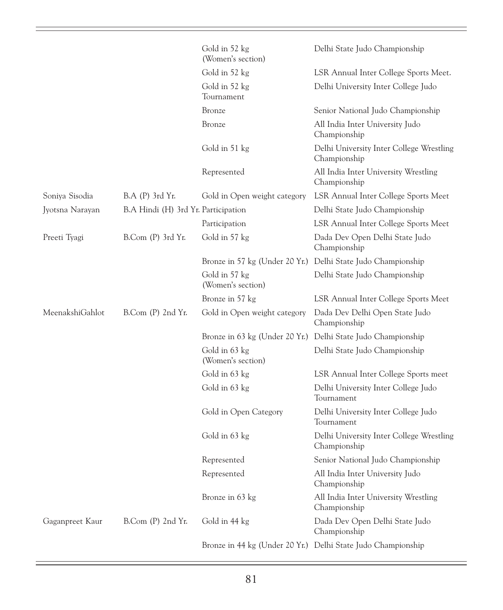|                 |                                     | Gold in 52 kg<br>(Women's section) | Delhi State Judo Championship                                |
|-----------------|-------------------------------------|------------------------------------|--------------------------------------------------------------|
|                 |                                     | Gold in 52 kg                      | LSR Annual Inter College Sports Meet.                        |
|                 |                                     | Gold in 52 kg<br>Tournament        | Delhi University Inter College Judo                          |
|                 |                                     | Bronze                             | Senior National Judo Championship                            |
|                 |                                     | Bronze                             | All India Inter University Judo<br>Championship              |
|                 |                                     | Gold in 51 kg                      | Delhi University Inter College Wrestling<br>Championship     |
|                 |                                     | Represented                        | All India Inter University Wrestling<br>Championship         |
| Soniya Sisodia  | B.A (P) 3rd Yr.                     | Gold in Open weight category       | LSR Annual Inter College Sports Meet                         |
| Jyotsna Narayan | B.A Hindi (H) 3rd Yr. Participation |                                    | Delhi State Judo Championship                                |
|                 |                                     | Participation                      | LSR Annual Inter College Sports Meet                         |
| Preeti Tyagi    | B.Com (P) 3rd Yr.                   | Gold in 57 kg                      | Dada Dev Open Delhi State Judo<br>Championship               |
|                 |                                     |                                    | Bronze in 57 kg (Under 20 Yr.) Delhi State Judo Championship |
|                 |                                     | Gold in 57 kg<br>(Women's section) | Delhi State Judo Championship                                |
|                 |                                     | Bronze in 57 kg                    | LSR Annual Inter College Sports Meet                         |
| MeenakshiGahlot | B.Com (P) 2nd Yr.                   | Gold in Open weight category       | Dada Dev Delhi Open State Judo<br>Championship               |
|                 |                                     |                                    | Bronze in 63 kg (Under 20 Yr.) Delhi State Judo Championship |
|                 |                                     | Gold in 63 kg<br>(Women's section) | Delhi State Judo Championship                                |
|                 |                                     | Gold in 63 kg                      | LSR Annual Inter College Sports meet                         |
|                 |                                     | Gold in 63 kg                      | Delhi University Inter College Judo<br>Tournament            |
|                 |                                     | Gold in Open Category              | Delhi University Inter College Judo<br>Tournament            |
|                 |                                     | Gold in 63 kg                      | Delhi University Inter College Wrestling<br>Championship     |
|                 |                                     | Represented                        | Senior National Judo Championship                            |
|                 |                                     | Represented                        | All India Inter University Judo<br>Championship              |
|                 |                                     | Bronze in 63 kg                    | All India Inter University Wrestling<br>Championship         |
| Gaganpreet Kaur | B.Com (P) 2nd Yr.                   | Gold in 44 kg                      | Dada Dev Open Delhi State Judo<br>Championship               |
|                 |                                     |                                    | Bronze in 44 kg (Under 20 Yr.) Delhi State Judo Championship |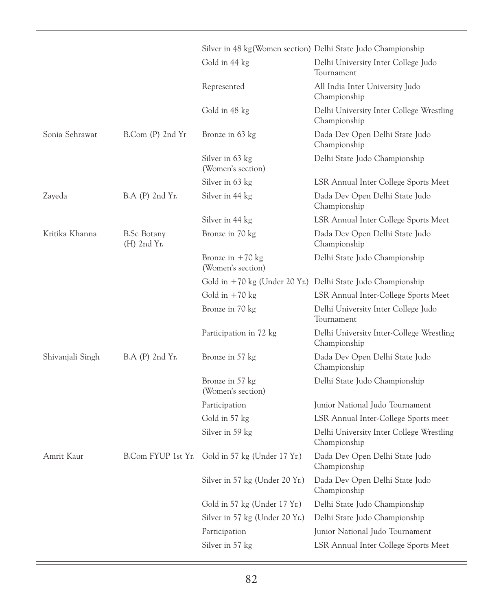|                  |                            |                                         | Silver in 48 kg(Women section) Delhi State Judo Championship |
|------------------|----------------------------|-----------------------------------------|--------------------------------------------------------------|
|                  |                            | Gold in 44 kg                           | Delhi University Inter College Judo<br>Tournament            |
|                  |                            | Represented                             | All India Inter University Judo<br>Championship              |
|                  |                            | Gold in 48 kg                           | Delhi University Inter College Wrestling<br>Championship     |
| Sonia Sehrawat   | B.Com (P) 2nd Yr           | Bronze in 63 kg                         | Dada Dev Open Delhi State Judo<br>Championship               |
|                  |                            | Silver in 63 kg<br>(Women's section)    | Delhi State Judo Championship                                |
|                  |                            | Silver in 63 kg                         | LSR Annual Inter College Sports Meet                         |
| Zayeda           | B.A (P) 2nd Yr.            | Silver in 44 kg                         | Dada Dev Open Delhi State Judo<br>Championship               |
|                  |                            | Silver in 44 kg                         | LSR Annual Inter College Sports Meet                         |
| Kritika Khanna   | B.Sc Botany<br>(H) 2nd Yr. | Bronze in 70 kg                         | Dada Dev Open Delhi State Judo<br>Championship               |
|                  |                            | Bronze in $+70$ kg<br>(Women's section) | Delhi State Judo Championship                                |
|                  |                            |                                         | Gold in +70 kg (Under 20 Yr.) Delhi State Judo Championship  |
|                  |                            | Gold in $+70$ kg                        | LSR Annual Inter-College Sports Meet                         |
|                  |                            | Bronze in 70 kg                         | Delhi University Inter College Judo<br>Tournament            |
|                  |                            | Participation in 72 kg                  | Delhi University Inter-College Wrestling<br>Championship     |
| Shivanjali Singh | B.A (P) 2nd Yr.            | Bronze in 57 kg                         | Dada Dev Open Delhi State Judo<br>Championship               |
|                  |                            | Bronze in 57 kg<br>(Women's section)    | Delhi State Judo Championship                                |
|                  |                            | Participation                           | Junior National Judo Tournament                              |
|                  |                            | Gold in 57 kg                           | LSR Annual Inter-College Sports meet                         |
|                  |                            | Silver in 59 kg                         | Delhi University Inter College Wrestling<br>Championship     |
| Amrit Kaur       | B.Com FYUP 1st Yr.         | Gold in 57 kg (Under 17 Yr.)            | Dada Dev Open Delhi State Judo<br>Championship               |
|                  |                            | Silver in 57 kg (Under 20 Yr.)          | Dada Dev Open Delhi State Judo<br>Championship               |
|                  |                            | Gold in 57 kg (Under 17 Yr.)            | Delhi State Judo Championship                                |
|                  |                            | Silver in 57 kg (Under 20 Yr.)          | Delhi State Judo Championship                                |
|                  |                            | Participation                           | Junior National Judo Tournament                              |
|                  |                            | Silver in 57 kg                         | LSR Annual Inter College Sports Meet                         |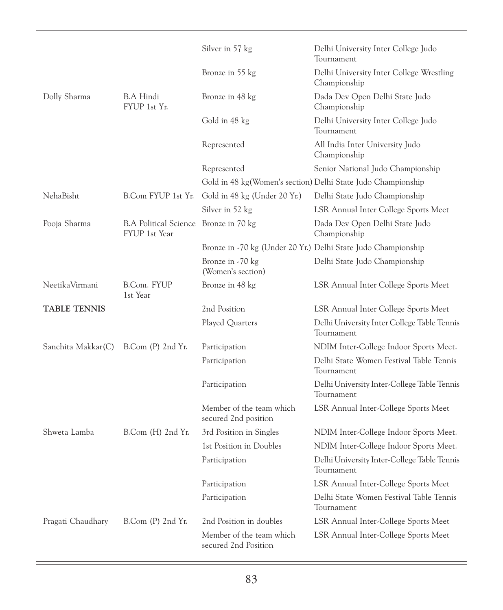|                     |                                                        | Silver in 57 kg                                  | Delhi University Inter College Judo<br>Tournament             |
|---------------------|--------------------------------------------------------|--------------------------------------------------|---------------------------------------------------------------|
|                     |                                                        | Bronze in 55 kg                                  | Delhi University Inter College Wrestling<br>Championship      |
| Dolly Sharma        | B.A Hindi<br>FYUP 1st Yr.                              | Bronze in 48 kg                                  | Dada Dev Open Delhi State Judo<br>Championship                |
|                     |                                                        | Gold in 48 kg                                    | Delhi University Inter College Judo<br>Tournament             |
|                     |                                                        | Represented                                      | All India Inter University Judo<br>Championship               |
|                     |                                                        | Represented                                      | Senior National Judo Championship                             |
|                     |                                                        |                                                  | Gold in 48 kg(Women's section) Delhi State Judo Championship  |
| NehaBisht           | B.Com FYUP 1st Yr.                                     | Gold in 48 kg (Under 20 Yr.)                     | Delhi State Judo Championship                                 |
|                     |                                                        | Silver in 52 kg                                  | LSR Annual Inter College Sports Meet                          |
| Pooja Sharma        | B.A Political Science Bronze in 70 kg<br>FYUP 1st Year |                                                  | Dada Dev Open Delhi State Judo<br>Championship                |
|                     |                                                        |                                                  | Bronze in -70 kg (Under 20 Yr.) Delhi State Judo Championship |
|                     |                                                        | Bronze in -70 kg<br>(Women's section)            | Delhi State Judo Championship                                 |
| NeetikaVirmani      | B.Com. FYUP<br>1st Year                                | Bronze in 48 kg                                  | LSR Annual Inter College Sports Meet                          |
| <b>TABLE TENNIS</b> |                                                        | 2nd Position                                     | LSR Annual Inter College Sports Meet                          |
|                     |                                                        | Played Quarters                                  | Delhi University Inter College Table Tennis<br>Tournament     |
| Sanchita Makkar(C)  | $B_{\rm COM}$ (P) 2nd Yr.                              | Participation                                    | NDIM Inter-College Indoor Sports Meet.                        |
|                     |                                                        | Participation                                    | Delhi State Women Festival Table Tennis<br>Tournament         |
|                     |                                                        | Participation                                    | Delhi University Inter-College Table Tennis<br>Tournament     |
|                     |                                                        | Member of the team which<br>secured 2nd position | LSR Annual Inter-College Sports Meet                          |
| Shweta Lamba        | B.Com (H) 2nd Yr.                                      | 3rd Position in Singles                          | NDIM Inter-College Indoor Sports Meet.                        |
|                     |                                                        | 1st Position in Doubles                          | NDIM Inter-College Indoor Sports Meet.                        |
|                     |                                                        | Participation                                    | Delhi University Inter-College Table Tennis<br>Tournament     |
|                     |                                                        | Participation                                    | LSR Annual Inter-College Sports Meet                          |
|                     |                                                        | Participation                                    | Delhi State Women Festival Table Tennis<br>Tournament         |
| Pragati Chaudhary   | B.Com (P) 2nd Yr.                                      | 2nd Position in doubles                          | LSR Annual Inter-College Sports Meet                          |
|                     |                                                        | Member of the team which<br>secured 2nd Position | LSR Annual Inter-College Sports Meet                          |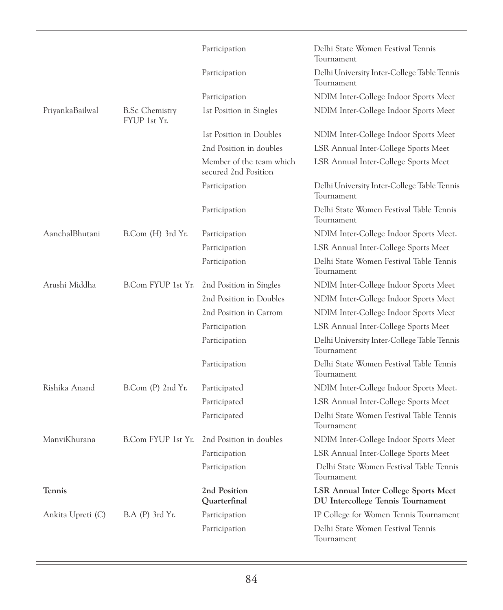|                   |                                       | Participation                                    | Delhi State Women Festival Tennis<br>Tournament                                  |
|-------------------|---------------------------------------|--------------------------------------------------|----------------------------------------------------------------------------------|
|                   |                                       | Participation                                    | Delhi University Inter-College Table Tennis<br>Tournament                        |
|                   |                                       | Participation                                    | NDIM Inter-College Indoor Sports Meet                                            |
| PriyankaBailwal   | <b>B.Sc Chemistry</b><br>FYUP 1st Yr. | 1st Position in Singles                          | NDIM Inter-College Indoor Sports Meet                                            |
|                   |                                       | 1st Position in Doubles                          | NDIM Inter-College Indoor Sports Meet                                            |
|                   |                                       | 2nd Position in doubles                          | LSR Annual Inter-College Sports Meet                                             |
|                   |                                       | Member of the team which<br>secured 2nd Position | LSR Annual Inter-College Sports Meet                                             |
|                   |                                       | Participation                                    | Delhi University Inter-College Table Tennis<br>Tournament                        |
|                   |                                       | Participation                                    | Delhi State Women Festival Table Tennis<br>Tournament                            |
| AanchalBhutani    | B.Com (H) 3rd Yr.                     | Participation                                    | NDIM Inter-College Indoor Sports Meet.                                           |
|                   |                                       | Participation                                    | LSR Annual Inter-College Sports Meet                                             |
|                   |                                       | Participation                                    | Delhi State Women Festival Table Tennis<br>Tournament                            |
| Arushi Middha     | B.Com FYUP 1st Yr.                    | 2nd Position in Singles                          | NDIM Inter-College Indoor Sports Meet                                            |
|                   |                                       | 2nd Position in Doubles                          | NDIM Inter-College Indoor Sports Meet                                            |
|                   |                                       | 2nd Position in Carrom                           | NDIM Inter-College Indoor Sports Meet                                            |
|                   |                                       | Participation                                    | LSR Annual Inter-College Sports Meet                                             |
|                   |                                       | Participation                                    | Delhi University Inter-College Table Tennis<br>Tournament                        |
|                   |                                       | Participation                                    | Delhi State Women Festival Table Tennis<br>Tournament                            |
| Rishika Anand     | B.Com (P) 2nd Yr.                     | Participated                                     | NDIM Inter-College Indoor Sports Meet.                                           |
|                   |                                       | Participated                                     | LSR Annual Inter-College Sports Meet                                             |
|                   |                                       | Participated                                     | Delhi State Women Festival Table Tennis<br>Tournament                            |
| ManviKhurana      | B.Com FYUP 1st Yr.                    | 2nd Position in doubles                          | NDIM Inter-College Indoor Sports Meet                                            |
|                   |                                       | Participation                                    | LSR Annual Inter-College Sports Meet                                             |
|                   |                                       | Participation                                    | Delhi State Women Festival Table Tennis<br>Tournament                            |
| <b>Tennis</b>     |                                       | 2nd Position<br>Quarterfinal                     | <b>LSR Annual Inter College Sports Meet</b><br>DU Intercollege Tennis Tournament |
| Ankita Upreti (C) | B.A (P) 3rd Yr.                       | Participation                                    | IP College for Women Tennis Tournament                                           |
|                   |                                       | Participation                                    | Delhi State Women Festival Tennis<br>Tournament                                  |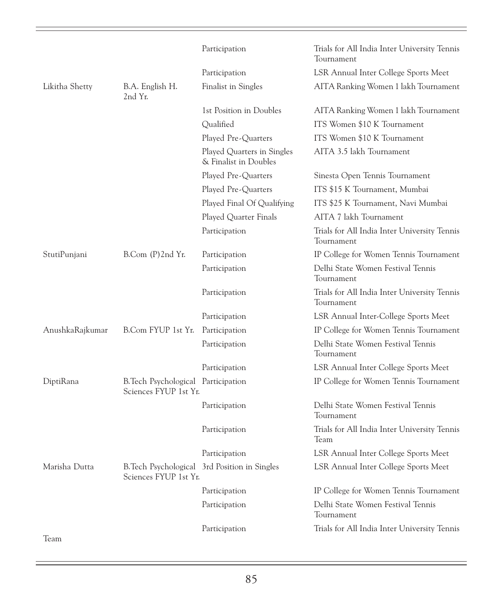|                 |                                                              | Participation                                       | Trials for All India Inter University Tennis<br>Tournament |
|-----------------|--------------------------------------------------------------|-----------------------------------------------------|------------------------------------------------------------|
|                 |                                                              | Participation                                       | LSR Annual Inter College Sports Meet                       |
| Likitha Shetty  | B.A. English H.<br>2nd Yr.                                   | Finalist in Singles                                 | AITA Ranking Women 1 lakh Tournament                       |
|                 |                                                              | 1st Position in Doubles                             | AITA Ranking Women 1 lakh Tournament                       |
|                 |                                                              | Qualified                                           | ITS Women \$10 K Tournament                                |
|                 |                                                              | Played Pre-Quarters                                 | ITS Women \$10 K Tournament                                |
|                 |                                                              | Played Quarters in Singles<br>& Finalist in Doubles | AITA 3.5 lakh Tournament                                   |
|                 |                                                              | Played Pre-Quarters                                 | Sinesta Open Tennis Tournament                             |
|                 |                                                              | Played Pre-Quarters                                 | ITS \$15 K Tournament, Mumbai                              |
|                 |                                                              | Played Final Of Qualifying                          | ITS \$25 K Tournament, Navi Mumbai                         |
|                 |                                                              | Played Quarter Finals                               | AITA 7 lakh Tournament                                     |
|                 |                                                              | Participation                                       | Trials for All India Inter University Tennis<br>Tournament |
| StutiPunjani    | B.Com (P)2nd Yr.                                             | Participation                                       | IP College for Women Tennis Tournament                     |
|                 |                                                              | Participation                                       | Delhi State Women Festival Tennis<br>Tournament            |
|                 |                                                              | Participation                                       | Trials for All India Inter University Tennis<br>Tournament |
|                 |                                                              | Participation                                       | LSR Annual Inter-College Sports Meet                       |
| AnushkaRajkumar | B.Com FYUP 1st Yr.                                           | Participation                                       | IP College for Women Tennis Tournament                     |
|                 |                                                              | Participation                                       | Delhi State Women Festival Tennis<br>Tournament            |
|                 |                                                              | Participation                                       | LSR Annual Inter College Sports Meet                       |
| DiptiRana       | B. Tech Psychological Participation<br>Sciences FYUP 1st Yr. |                                                     | IP College for Women Tennis Tournament                     |
|                 |                                                              | Participation                                       | Delhi State Women Festival Tennis<br>Tournament            |
|                 |                                                              | Participation                                       | Trials for All India Inter University Tennis<br>Team       |
|                 |                                                              | Participation                                       | LSR Annual Inter College Sports Meet                       |
| Marisha Dutta   | Sciences FYUP 1st Yr.                                        | B. Tech Psychological 3rd Position in Singles       | LSR Annual Inter College Sports Meet                       |
|                 |                                                              | Participation                                       | IP College for Women Tennis Tournament                     |
|                 |                                                              | Participation                                       | Delhi State Women Festival Tennis<br>Tournament            |
| Team            |                                                              | Participation                                       | Trials for All India Inter University Tennis               |